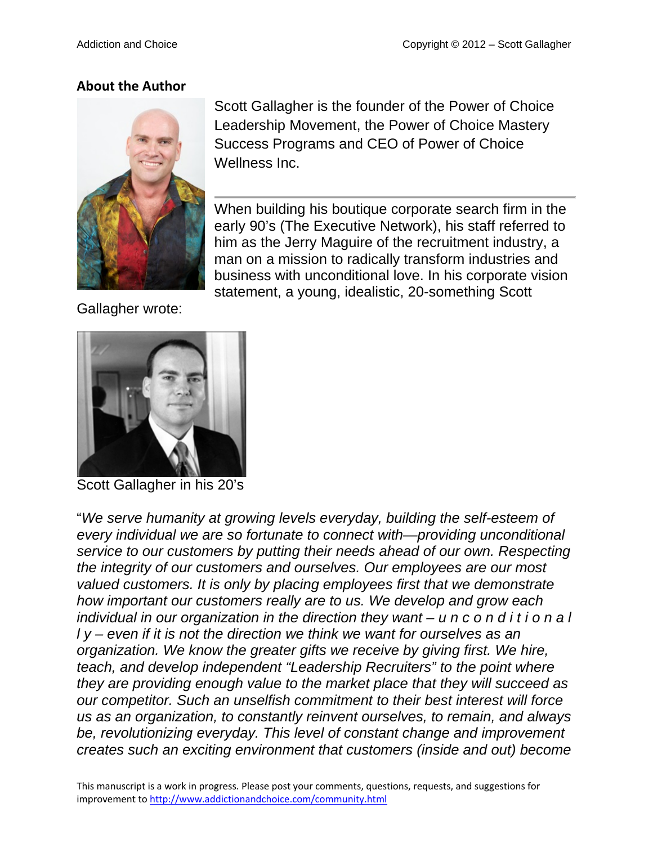### **About the Author**



Scott Gallagher is the founder of the Power of Choice Leadership Movement, the Power of Choice Mastery Success Programs and CEO of Power of Choice Wellness Inc.

When building his boutique corporate search firm in the early 90's (The Executive Network), his staff referred to him as the Jerry Maguire of the recruitment industry, a man on a mission to radically transform industries and business with unconditional love. In his corporate vision statement, a young, idealistic, 20-something Scott

Gallagher wrote:



Scott Gallagher in his 20's

"*We serve humanity at growing levels everyday, building the self-esteem of every individual we are so fortunate to connect with—providing unconditional service to our customers by putting their needs ahead of our own. Respecting the integrity of our customers and ourselves. Our employees are our most valued customers. It is only by placing employees first that we demonstrate how important our customers really are to us. We develop and grow each individual in our organization in the direction they want – u n c o n d i t i o n a l l y – even if it is not the direction we think we want for ourselves as an organization. We know the greater gifts we receive by giving first. We hire, teach, and develop independent "Leadership Recruiters" to the point where they are providing enough value to the market place that they will succeed as our competitor. Such an unselfish commitment to their best interest will force us as an organization, to constantly reinvent ourselves, to remain, and always be, revolutionizing everyday. This level of constant change and improvement creates such an exciting environment that customers (inside and out) become*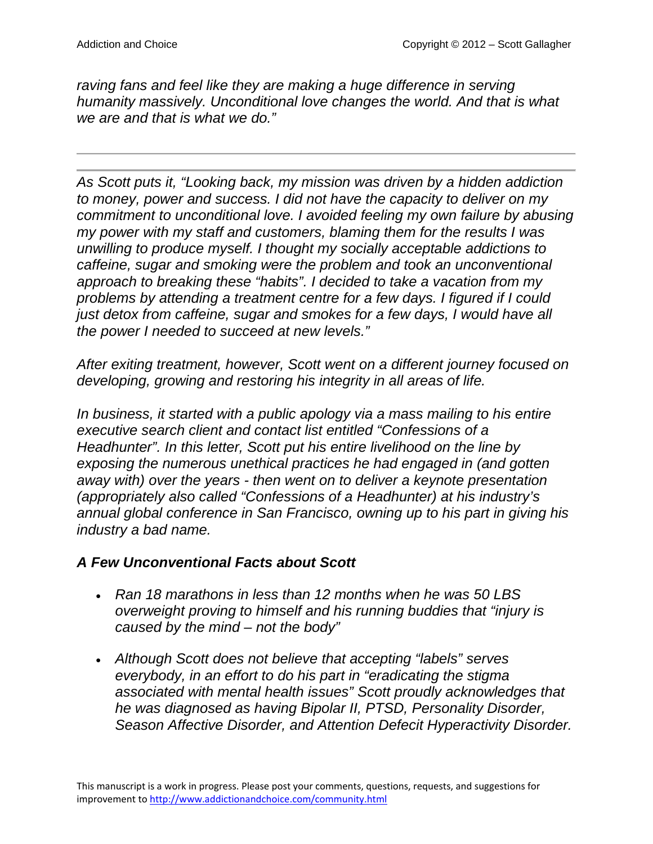*raving fans and feel like they are making a huge difference in serving humanity massively. Unconditional love changes the world. And that is what we are and that is what we do."*

*As Scott puts it, "Looking back, my mission was driven by a hidden addiction to money, power and success. I did not have the capacity to deliver on my commitment to unconditional love. I avoided feeling my own failure by abusing my power with my staff and customers, blaming them for the results I was unwilling to produce myself. I thought my socially acceptable addictions to caffeine, sugar and smoking were the problem and took an unconventional approach to breaking these "habits". I decided to take a vacation from my problems by attending a treatment centre for a few days. I figured if I could just detox from caffeine, sugar and smokes for a few days, I would have all the power I needed to succeed at new levels."*

*After exiting treatment, however, Scott went on a different journey focused on developing, growing and restoring his integrity in all areas of life.* 

In business, it started with a public apology via a mass mailing to his entire *executive search client and contact list entitled "Confessions of a Headhunter". In this letter, Scott put his entire livelihood on the line by exposing the numerous unethical practices he had engaged in (and gotten away with) over the years - then went on to deliver a keynote presentation (appropriately also called "Confessions of a Headhunter) at his industry's annual global conference in San Francisco, owning up to his part in giving his industry a bad name.*

### *A Few Unconventional Facts about Scott*

- *Ran 18 marathons in less than 12 months when he was 50 LBS overweight proving to himself and his running buddies that "injury is caused by the mind – not the body"*
- *Although Scott does not believe that accepting "labels" serves everybody, in an effort to do his part in "eradicating the stigma associated with mental health issues" Scott proudly acknowledges that he was diagnosed as having Bipolar II, PTSD, Personality Disorder, Season Affective Disorder, and Attention Defecit Hyperactivity Disorder.*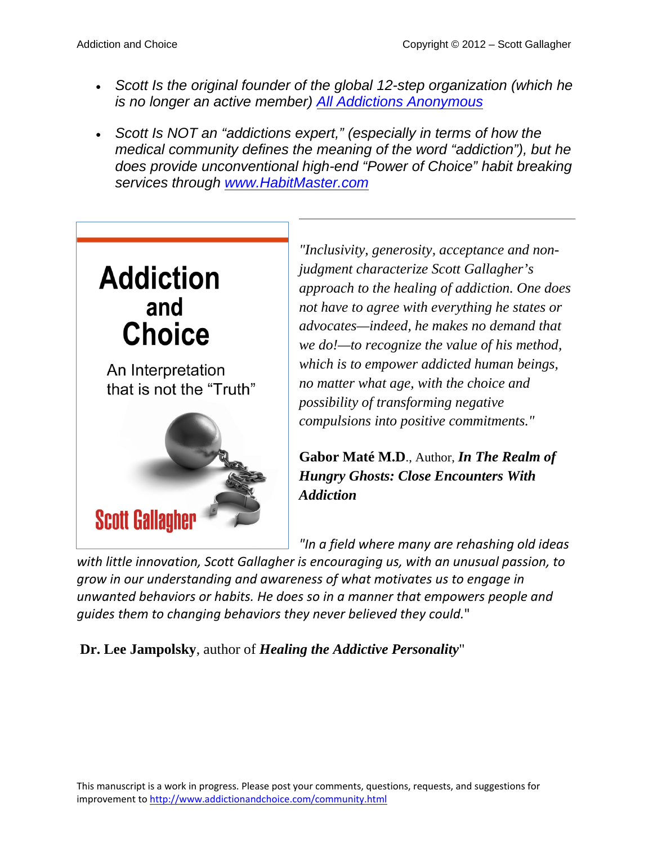- *Scott Is the original founder of the global 12-step organization (which he is no longer an active member) [All Addictions Anonymous](http://www.scottgallagher.tv/aaa)*
- *Scott Is NOT an "addictions expert," (especially in terms of how the medical community defines the meaning of the word "addiction"), but he does provide unconventional high-end "Power of Choice" habit breaking services through [www.HabitMaster.com](http://www.habitmaster.com/)*



*with little innovation, Scott Gallagher is encouraging us, with an unusual passion, to grow in our understanding and awareness of what motivates us to engage in unwanted behaviors or habits. He does so in a manner that empowers people and guides them to changing behaviors they never believed they could.*"

**Dr. Lee Jampolsky**, author of *Healing the Addictive Personality*"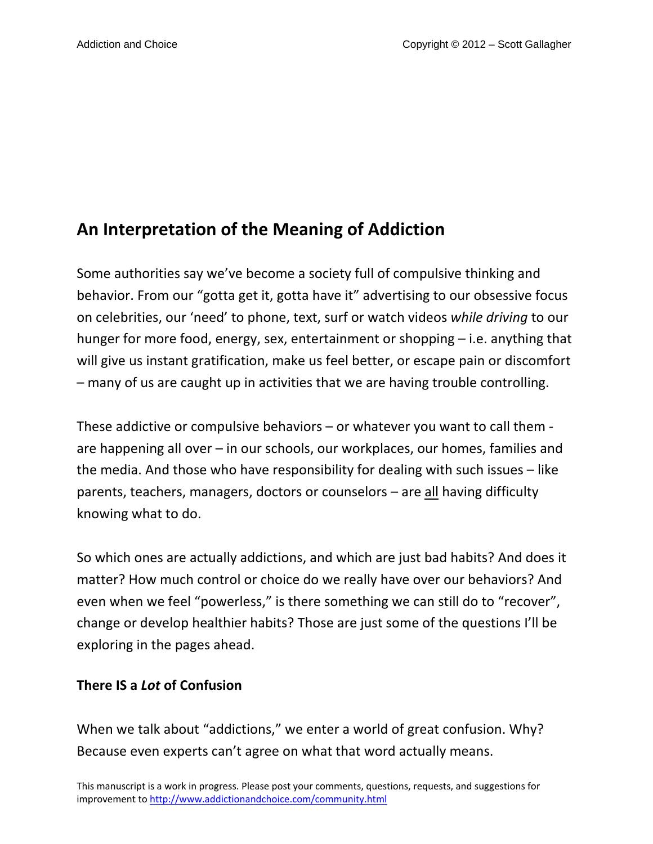# **An Interpretation of the Meaning of Addiction**

Some authorities say we've become a society full of compulsive thinking and behavior. From our "gotta get it, gotta have it" advertising to our obsessive focus on celebrities, our 'need' to phone, text, surf or watch videos *while driving* to our hunger for more food, energy, sex, entertainment or shopping – i.e. anything that will give us instant gratification, make us feel better, or escape pain or discomfort – many of us are caught up in activities that we are having trouble controlling.

These addictive or compulsive behaviors – or whatever you want to call them are happening all over – in our schools, our workplaces, our homes, families and the media. And those who have responsibility for dealing with such issues – like parents, teachers, managers, doctors or counselors – are all having difficulty knowing what to do.

So which ones are actually addictions, and which are just bad habits? And does it matter? How much control or choice do we really have over our behaviors? And even when we feel "powerless," is there something we can still do to "recover", change or develop healthier habits? Those are just some of the questions I'll be exploring in the pages ahead.

### **There IS a** *Lot* **of Confusion**

When we talk about "addictions," we enter a world of great confusion. Why? Because even experts can't agree on what that word actually means.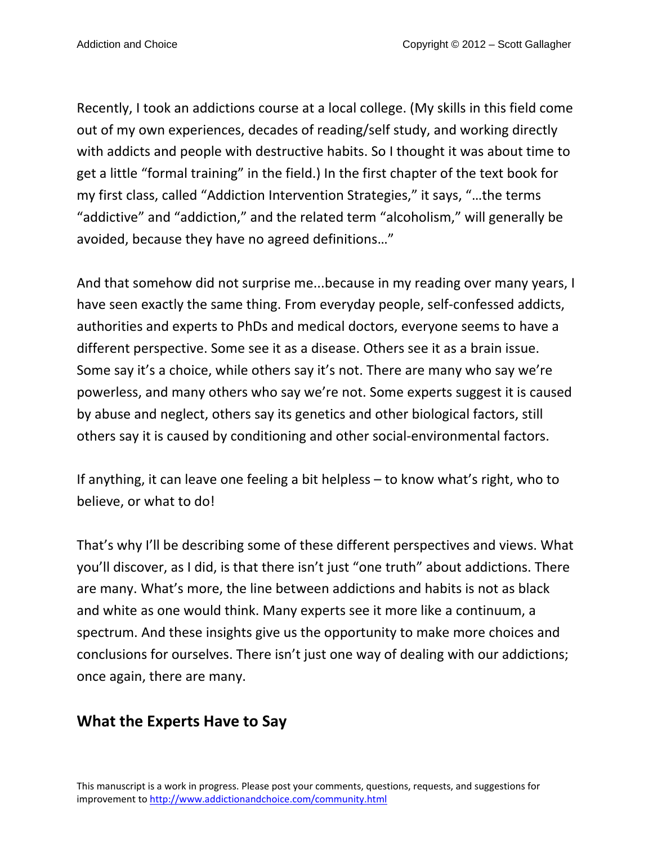Recently, I took an addictions course at a local college. (My skills in this field come out of my own experiences, decades of reading/self study, and working directly with addicts and people with destructive habits. So I thought it was about time to get a little "formal training" in the field.) In the first chapter of the text book for my first class, called "Addiction Intervention Strategies," it says, "…the terms "addictive" and "addiction," and the related term "alcoholism," will generally be avoided, because they have no agreed definitions…"

And that somehow did not surprise me...because in my reading over many years, I have seen exactly the same thing. From everyday people, self-confessed addicts, authorities and experts to PhDs and medical doctors, everyone seems to have a different perspective. Some see it as a disease. Others see it as a brain issue. Some say it's a choice, while others say it's not. There are many who say we're powerless, and many others who say we're not. Some experts suggest it is caused by abuse and neglect, others say its genetics and other biological factors, still others say it is caused by conditioning and other social-environmental factors.

If anything, it can leave one feeling a bit helpless – to know what's right, who to believe, or what to do!

That's why I'll be describing some of these different perspectives and views. What you'll discover, as I did, is that there isn't just "one truth" about addictions. There are many. What's more, the line between addictions and habits is not as black and white as one would think. Many experts see it more like a continuum, a spectrum. And these insights give us the opportunity to make more choices and conclusions for ourselves. There isn't just one way of dealing with our addictions; once again, there are many.

### **What the Experts Have to Say**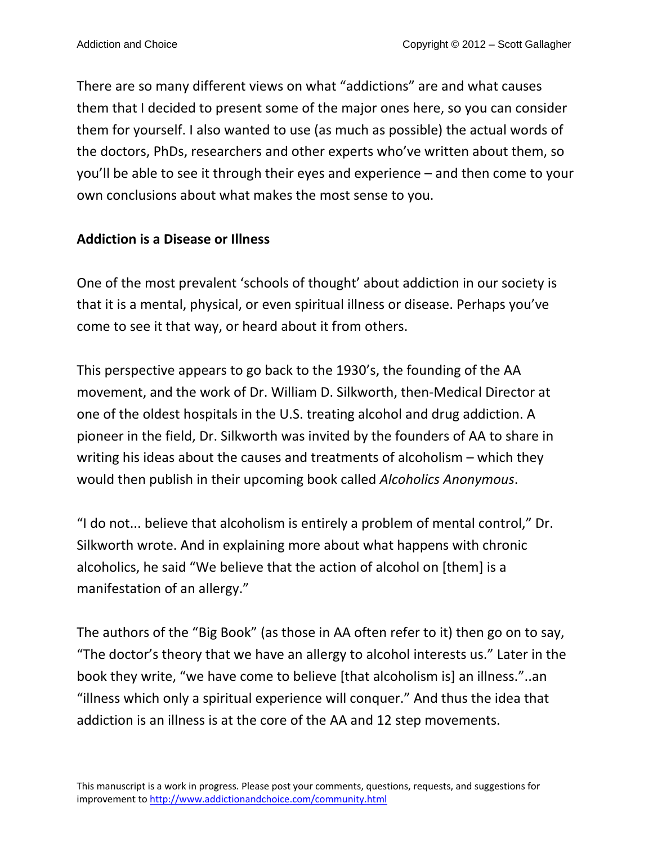There are so many different views on what "addictions" are and what causes them that I decided to present some of the major ones here, so you can consider them for yourself. I also wanted to use (as much as possible) the actual words of the doctors, PhDs, researchers and other experts who've written about them, so you'll be able to see it through their eyes and experience – and then come to your own conclusions about what makes the most sense to you.

### **Addiction is a Disease or Illness**

One of the most prevalent 'schools of thought' about addiction in our society is that it is a mental, physical, or even spiritual illness or disease. Perhaps you've come to see it that way, or heard about it from others.

This perspective appears to go back to the 1930's, the founding of the AA movement, and the work of Dr. William D. Silkworth, then-Medical Director at one of the oldest hospitals in the U.S. treating alcohol and drug addiction. A pioneer in the field, Dr. Silkworth was invited by the founders of AA to share in writing his ideas about the causes and treatments of alcoholism – which they would then publish in their upcoming book called *Alcoholics Anonymous*.

"I do not... believe that alcoholism is entirely a problem of mental control," Dr. Silkworth wrote. And in explaining more about what happens with chronic alcoholics, he said "We believe that the action of alcohol on [them] is a manifestation of an allergy."

The authors of the "Big Book" (as those in AA often refer to it) then go on to say, "The doctor's theory that we have an allergy to alcohol interests us." Later in the book they write, "we have come to believe [that alcoholism is] an illness."..an "illness which only a spiritual experience will conquer." And thus the idea that addiction is an illness is at the core of the AA and 12 step movements.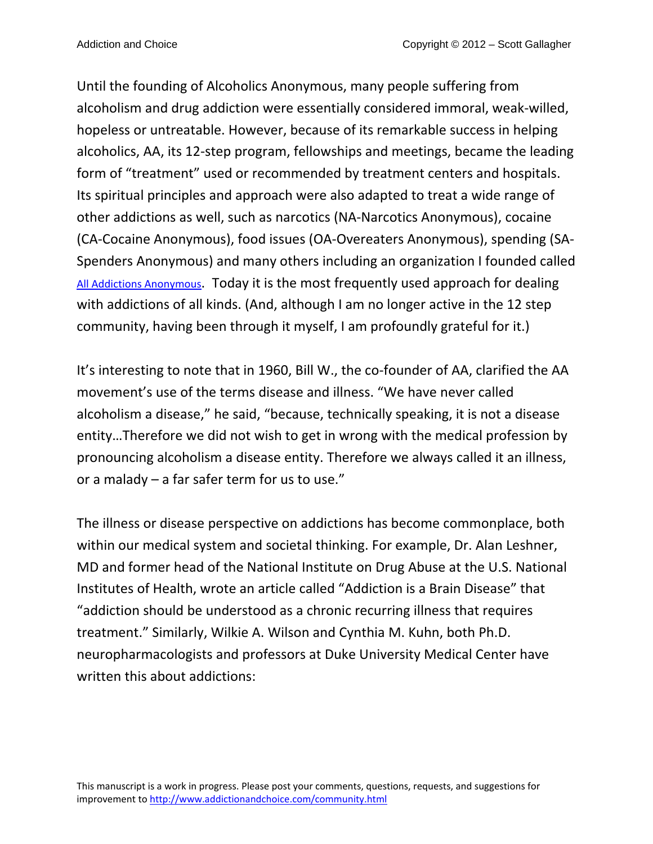Until the founding of Alcoholics Anonymous, many people suffering from alcoholism and drug addiction were essentially considered immoral, weak-willed, hopeless or untreatable. However, because of its remarkable success in helping alcoholics, AA, its 12-step program, fellowships and meetings, became the leading form of "treatment" used or recommended by treatment centers and hospitals. Its spiritual principles and approach were also adapted to treat a wide range of other addictions as well, such as narcotics (NA-Narcotics Anonymous), cocaine (CA-Cocaine Anonymous), food issues (OA-Overeaters Anonymous), spending (SA-Spenders Anonymous) and many others including an organization I founded called [All Addictions Anonymous.](http://www.alladdictionsanonymous.com/) Today it is the most frequently used approach for dealing with addictions of all kinds. (And, although I am no longer active in the 12 step community, having been through it myself, I am profoundly grateful for it.)

It's interesting to note that in 1960, Bill W., the co-founder of AA, clarified the AA movement's use of the terms disease and illness. "We have never called alcoholism a disease," he said, "because, technically speaking, it is not a disease entity…Therefore we did not wish to get in wrong with the medical profession by pronouncing alcoholism a disease entity. Therefore we always called it an illness, or a malady – a far safer term for us to use."

The illness or disease perspective on addictions has become commonplace, both within our medical system and societal thinking. For example, Dr. Alan Leshner, MD and former head of the National Institute on Drug Abuse at the U.S. National Institutes of Health, wrote an article called "Addiction is a Brain Disease" that "addiction should be understood as a chronic recurring illness that requires treatment." Similarly, Wilkie A. Wilson and Cynthia M. Kuhn, both Ph.D. neuropharmacologists and professors at Duke University Medical Center have written this about addictions: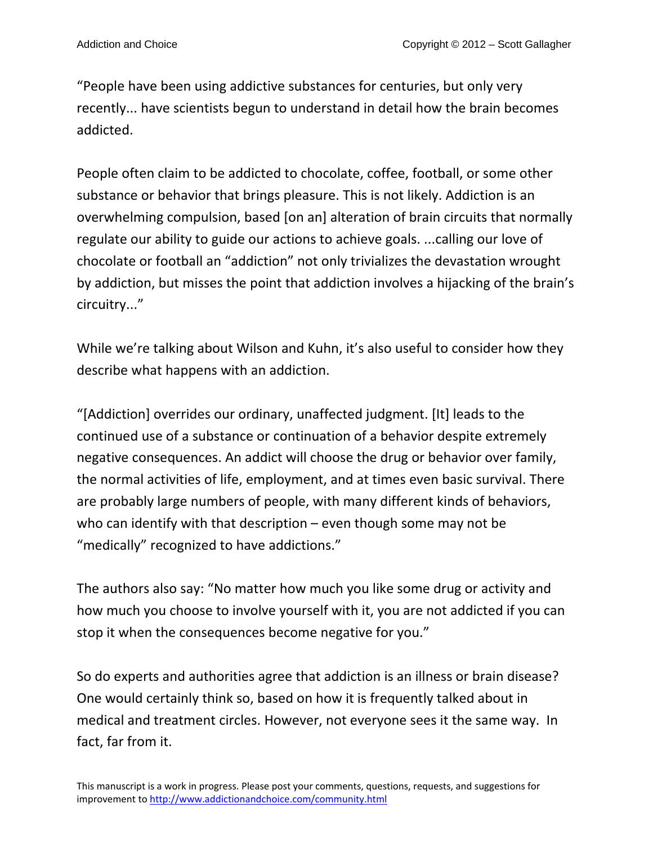"People have been using addictive substances for centuries, but only very recently... have scientists begun to understand in detail how the brain becomes addicted.

People often claim to be addicted to chocolate, coffee, football, or some other substance or behavior that brings pleasure. This is not likely. Addiction is an overwhelming compulsion, based [on an] alteration of brain circuits that normally regulate our ability to guide our actions to achieve goals. ...calling our love of chocolate or football an "addiction" not only trivializes the devastation wrought by addiction, but misses the point that addiction involves a hijacking of the brain's circuitry..."

While we're talking about Wilson and Kuhn, it's also useful to consider how they describe what happens with an addiction.

"[Addiction] overrides our ordinary, unaffected judgment. [It] leads to the continued use of a substance or continuation of a behavior despite extremely negative consequences. An addict will choose the drug or behavior over family, the normal activities of life, employment, and at times even basic survival. There are probably large numbers of people, with many different kinds of behaviors, who can identify with that description – even though some may not be "medically" recognized to have addictions."

The authors also say: "No matter how much you like some drug or activity and how much you choose to involve yourself with it, you are not addicted if you can stop it when the consequences become negative for you."

So do experts and authorities agree that addiction is an illness or brain disease? One would certainly think so, based on how it is frequently talked about in medical and treatment circles. However, not everyone sees it the same way. In fact, far from it.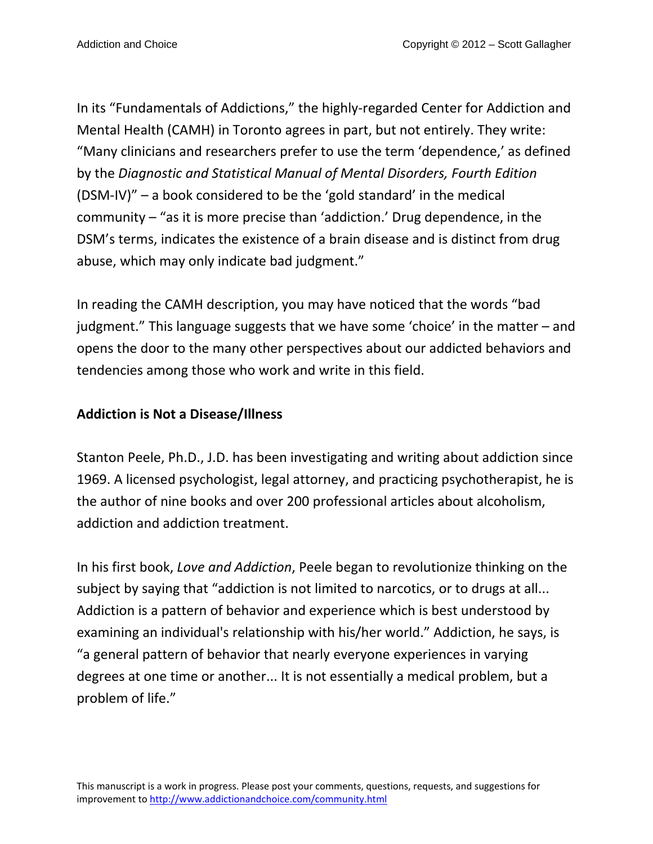In its "Fundamentals of Addictions," the highly-regarded Center for Addiction and Mental Health (CAMH) in Toronto agrees in part, but not entirely. They write: "Many clinicians and researchers prefer to use the term 'dependence,' as defined by the *Diagnostic and Statistical Manual of Mental Disorders, Fourth Edition* (DSM-IV)" – a book considered to be the 'gold standard' in the medical community – "as it is more precise than 'addiction.' Drug dependence, in the DSM's terms, indicates the existence of a brain disease and is distinct from drug abuse, which may only indicate bad judgment."

In reading the CAMH description, you may have noticed that the words "bad judgment." This language suggests that we have some 'choice' in the matter – and opens the door to the many other perspectives about our addicted behaviors and tendencies among those who work and write in this field.

### **Addiction is Not a Disease/Illness**

Stanton Peele, Ph.D., J.D. has been investigating and writing about addiction since 1969. A licensed psychologist, legal attorney, and practicing psychotherapist, he is the author of nine books and over 200 professional articles about alcoholism, addiction and addiction treatment.

In his first book, *Love and Addiction*, Peele began to revolutionize thinking on the subject by saying that "addiction is not limited to narcotics, or to drugs at all... Addiction is a pattern of behavior and experience which is best understood by examining an individual's relationship with his/her world." Addiction, he says, is "a general pattern of behavior that nearly everyone experiences in varying degrees at one time or another... It is not essentially a medical problem, but a problem of life."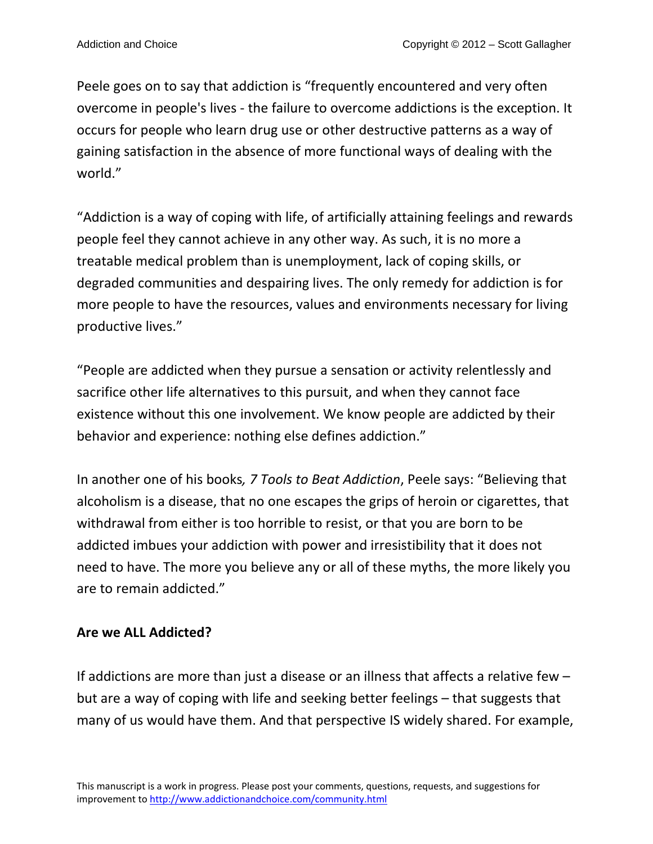Peele goes on to say that addiction is "frequently encountered and very often overcome in people's lives - the failure to overcome addictions is the exception. It occurs for people who learn drug use or other destructive patterns as a way of gaining satisfaction in the absence of more functional ways of dealing with the world."

"Addiction is a way of coping with life, of artificially attaining feelings and rewards people feel they cannot achieve in any other way. As such, it is no more a treatable medical problem than is unemployment, lack of coping skills, or degraded communities and despairing lives. The only remedy for addiction is for more people to have the resources, values and environments necessary for living productive lives."

"People are addicted when they pursue a sensation or activity relentlessly and sacrifice other life alternatives to this pursuit, and when they cannot face existence without this one involvement. We know people are addicted by their behavior and experience: nothing else defines addiction."

In another one of his books*, 7 Tools to Beat Addiction*, Peele says: "Believing that alcoholism is a disease, that no one escapes the grips of heroin or cigarettes, that withdrawal from either is too horrible to resist, or that you are born to be addicted imbues your addiction with power and irresistibility that it does not need to have. The more you believe any or all of these myths, the more likely you are to remain addicted."

### **Are we ALL Addicted?**

If addictions are more than just a disease or an illness that affects a relative few – but are a way of coping with life and seeking better feelings – that suggests that many of us would have them. And that perspective IS widely shared. For example,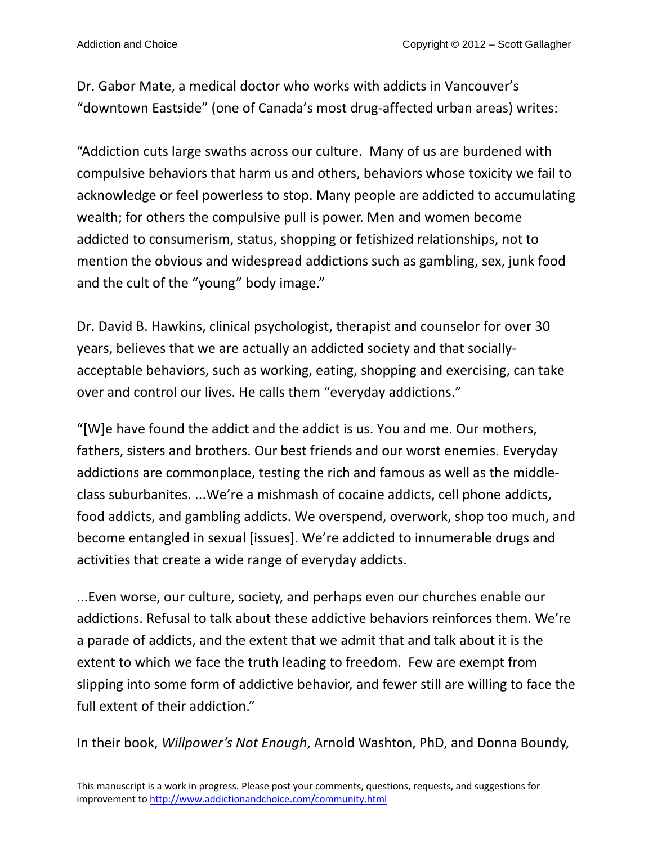Dr. Gabor Mate, a medical doctor who works with addicts in Vancouver's "downtown Eastside" (one of Canada's most drug-affected urban areas) writes:

"Addiction cuts large swaths across our culture. Many of us are burdened with compulsive behaviors that harm us and others, behaviors whose toxicity we fail to acknowledge or feel powerless to stop. Many people are addicted to accumulating wealth; for others the compulsive pull is power. Men and women become addicted to consumerism, status, shopping or fetishized relationships, not to mention the obvious and widespread addictions such as gambling, sex, junk food and the cult of the "young" body image."

Dr. David B. Hawkins, clinical psychologist, therapist and counselor for over 30 years, believes that we are actually an addicted society and that sociallyacceptable behaviors, such as working, eating, shopping and exercising, can take over and control our lives. He calls them "everyday addictions."

"[W]e have found the addict and the addict is us. You and me. Our mothers, fathers, sisters and brothers. Our best friends and our worst enemies. Everyday addictions are commonplace, testing the rich and famous as well as the middleclass suburbanites. ...We're a mishmash of cocaine addicts, cell phone addicts, food addicts, and gambling addicts. We overspend, overwork, shop too much, and become entangled in sexual [issues]. We're addicted to innumerable drugs and activities that create a wide range of everyday addicts.

...Even worse, our culture, society, and perhaps even our churches enable our addictions. Refusal to talk about these addictive behaviors reinforces them. We're a parade of addicts, and the extent that we admit that and talk about it is the extent to which we face the truth leading to freedom. Few are exempt from slipping into some form of addictive behavior, and fewer still are willing to face the full extent of their addiction."

In their book, *Willpower's Not Enough*, Arnold Washton, PhD, and Donna Boundy,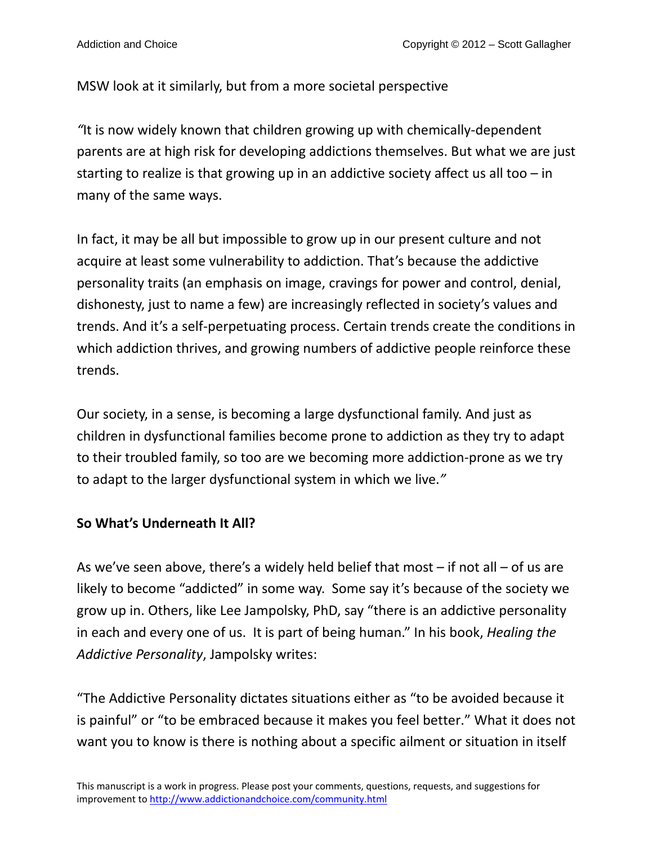MSW look at it similarly, but from a more societal perspective

*"*It is now widely known that children growing up with chemically-dependent parents are at high risk for developing addictions themselves. But what we are just starting to realize is that growing up in an addictive society affect us all too – in many of the same ways.

In fact, it may be all but impossible to grow up in our present culture and not acquire at least some vulnerability to addiction. That's because the addictive personality traits (an emphasis on image, cravings for power and control, denial, dishonesty, just to name a few) are increasingly reflected in society's values and trends. And it's a self-perpetuating process. Certain trends create the conditions in which addiction thrives, and growing numbers of addictive people reinforce these trends.

Our society, in a sense, is becoming a large dysfunctional family. And just as children in dysfunctional families become prone to addiction as they try to adapt to their troubled family, so too are we becoming more addiction-prone as we try to adapt to the larger dysfunctional system in which we live.*"* 

### **So What's Underneath It All?**

As we've seen above, there's a widely held belief that most  $-$  if not all  $-$  of us are likely to become "addicted" in some way. Some say it's because of the society we grow up in. Others, like Lee Jampolsky, PhD, say "there is an addictive personality in each and every one of us. It is part of being human." In his book, *Healing the Addictive Personality*, Jampolsky writes:

"The Addictive Personality dictates situations either as "to be avoided because it is painful" or "to be embraced because it makes you feel better." What it does not want you to know is there is nothing about a specific ailment or situation in itself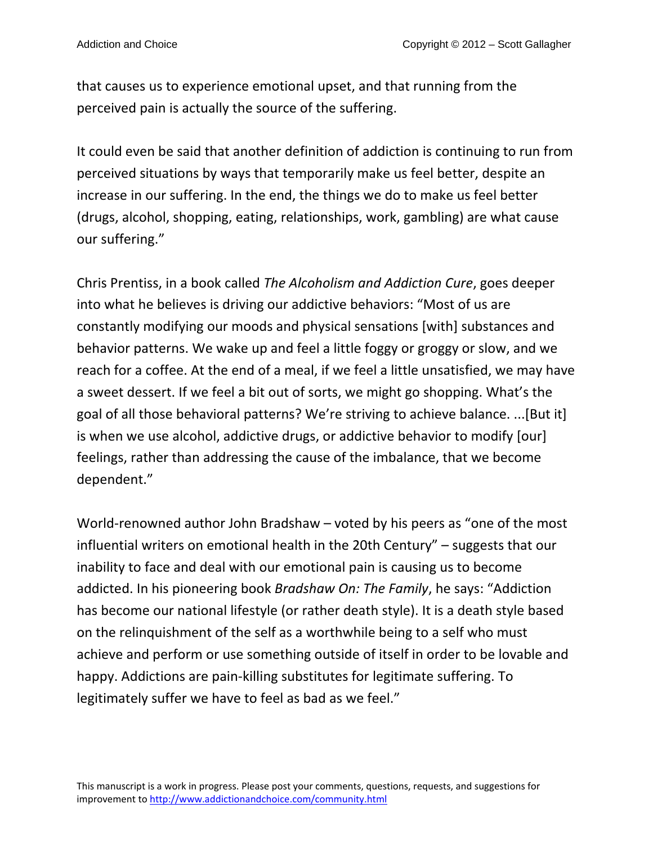that causes us to experience emotional upset, and that running from the perceived pain is actually the source of the suffering.

It could even be said that another definition of addiction is continuing to run from perceived situations by ways that temporarily make us feel better, despite an increase in our suffering. In the end, the things we do to make us feel better (drugs, alcohol, shopping, eating, relationships, work, gambling) are what cause our suffering."

Chris Prentiss, in a book called *The Alcoholism and Addiction Cure*, goes deeper into what he believes is driving our addictive behaviors: "Most of us are constantly modifying our moods and physical sensations [with] substances and behavior patterns. We wake up and feel a little foggy or groggy or slow, and we reach for a coffee. At the end of a meal, if we feel a little unsatisfied, we may have a sweet dessert. If we feel a bit out of sorts, we might go shopping. What's the goal of all those behavioral patterns? We're striving to achieve balance. ...[But it] is when we use alcohol, addictive drugs, or addictive behavior to modify [our] feelings, rather than addressing the cause of the imbalance, that we become dependent."

World-renowned author John Bradshaw – voted by his peers as "one of the most influential writers on emotional health in the 20th Century" – suggests that our inability to face and deal with our emotional pain is causing us to become addicted. In his pioneering book *Bradshaw On: The Family*, he says: "Addiction has become our national lifestyle (or rather death style). It is a death style based on the relinquishment of the self as a worthwhile being to a self who must achieve and perform or use something outside of itself in order to be lovable and happy. Addictions are pain-killing substitutes for legitimate suffering. To legitimately suffer we have to feel as bad as we feel."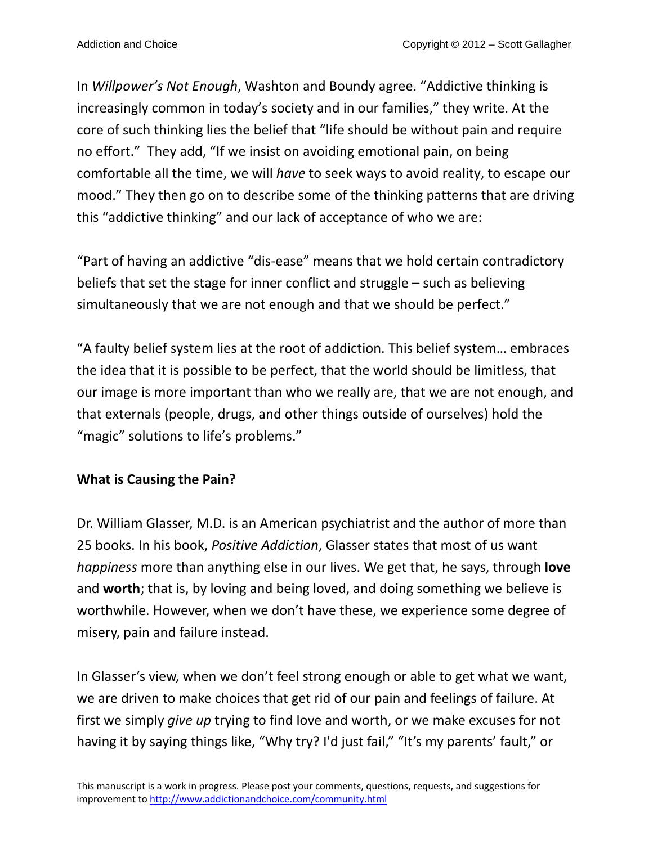In *Willpower's Not Enough*, Washton and Boundy agree. "Addictive thinking is increasingly common in today's society and in our families," they write. At the core of such thinking lies the belief that "life should be without pain and require no effort." They add, "If we insist on avoiding emotional pain, on being comfortable all the time, we will *have* to seek ways to avoid reality, to escape our mood." They then go on to describe some of the thinking patterns that are driving this "addictive thinking" and our lack of acceptance of who we are:

"Part of having an addictive "dis-ease" means that we hold certain contradictory beliefs that set the stage for inner conflict and struggle – such as believing simultaneously that we are not enough and that we should be perfect."

"A faulty belief system lies at the root of addiction. This belief system… embraces the idea that it is possible to be perfect, that the world should be limitless, that our image is more important than who we really are, that we are not enough, and that externals (people, drugs, and other things outside of ourselves) hold the "magic" solutions to life's problems."

### **What is Causing the Pain?**

Dr. William Glasser, M.D. is an American psychiatrist and the author of more than 25 books. In his book, *Positive Addiction*, Glasser states that most of us want *happiness* more than anything else in our lives. We get that, he says, through **love**  and **worth**; that is, by loving and being loved, and doing something we believe is worthwhile. However, when we don't have these, we experience some degree of misery, pain and failure instead.

In Glasser's view, when we don't feel strong enough or able to get what we want, we are driven to make choices that get rid of our pain and feelings of failure. At first we simply *give up* trying to find love and worth, or we make excuses for not having it by saying things like, "Why try? I'd just fail," "It's my parents' fault," or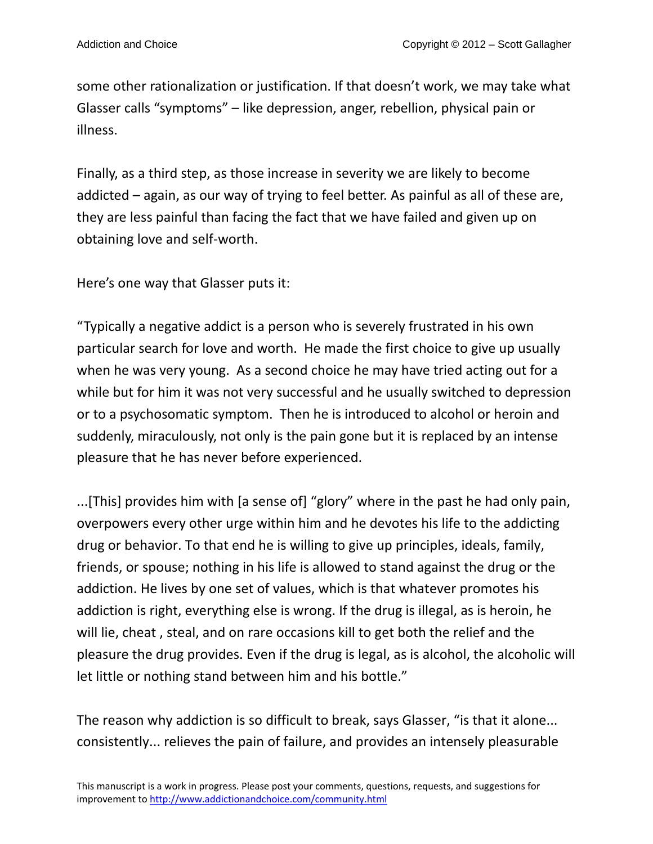some other rationalization or justification. If that doesn't work, we may take what Glasser calls "symptoms" – like depression, anger, rebellion, physical pain or illness.

Finally, as a third step, as those increase in severity we are likely to become addicted – again, as our way of trying to feel better. As painful as all of these are, they are less painful than facing the fact that we have failed and given up on obtaining love and self-worth.

Here's one way that Glasser puts it:

"Typically a negative addict is a person who is severely frustrated in his own particular search for love and worth. He made the first choice to give up usually when he was very young. As a second choice he may have tried acting out for a while but for him it was not very successful and he usually switched to depression or to a psychosomatic symptom. Then he is introduced to alcohol or heroin and suddenly, miraculously, not only is the pain gone but it is replaced by an intense pleasure that he has never before experienced.

...[This] provides him with [a sense of] "glory" where in the past he had only pain, overpowers every other urge within him and he devotes his life to the addicting drug or behavior. To that end he is willing to give up principles, ideals, family, friends, or spouse; nothing in his life is allowed to stand against the drug or the addiction. He lives by one set of values, which is that whatever promotes his addiction is right, everything else is wrong. If the drug is illegal, as is heroin, he will lie, cheat , steal, and on rare occasions kill to get both the relief and the pleasure the drug provides. Even if the drug is legal, as is alcohol, the alcoholic will let little or nothing stand between him and his bottle."

The reason why addiction is so difficult to break, says Glasser, "is that it alone... consistently... relieves the pain of failure, and provides an intensely pleasurable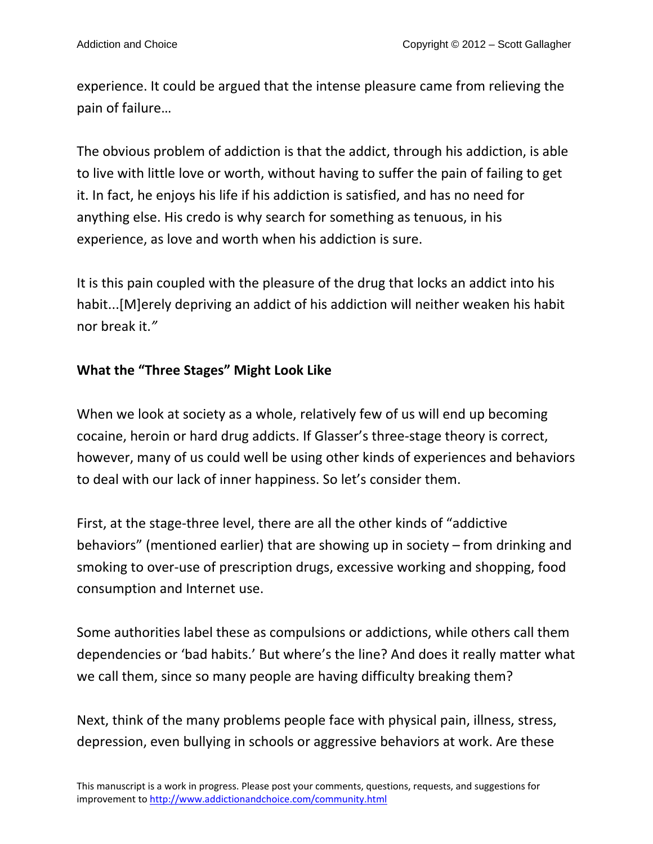experience. It could be argued that the intense pleasure came from relieving the pain of failure…

The obvious problem of addiction is that the addict, through his addiction, is able to live with little love or worth, without having to suffer the pain of failing to get it. In fact, he enjoys his life if his addiction is satisfied, and has no need for anything else. His credo is why search for something as tenuous, in his experience, as love and worth when his addiction is sure.

It is this pain coupled with the pleasure of the drug that locks an addict into his habit...[M]erely depriving an addict of his addiction will neither weaken his habit nor break it.*"*

### **What the "Three Stages" Might Look Like**

When we look at society as a whole, relatively few of us will end up becoming cocaine, heroin or hard drug addicts. If Glasser's three-stage theory is correct, however, many of us could well be using other kinds of experiences and behaviors to deal with our lack of inner happiness. So let's consider them.

First, at the stage-three level, there are all the other kinds of "addictive behaviors" (mentioned earlier) that are showing up in society – from drinking and smoking to over-use of prescription drugs, excessive working and shopping, food consumption and Internet use.

Some authorities label these as compulsions or addictions, while others call them dependencies or 'bad habits.' But where's the line? And does it really matter what we call them, since so many people are having difficulty breaking them?

Next, think of the many problems people face with physical pain, illness, stress, depression, even bullying in schools or aggressive behaviors at work. Are these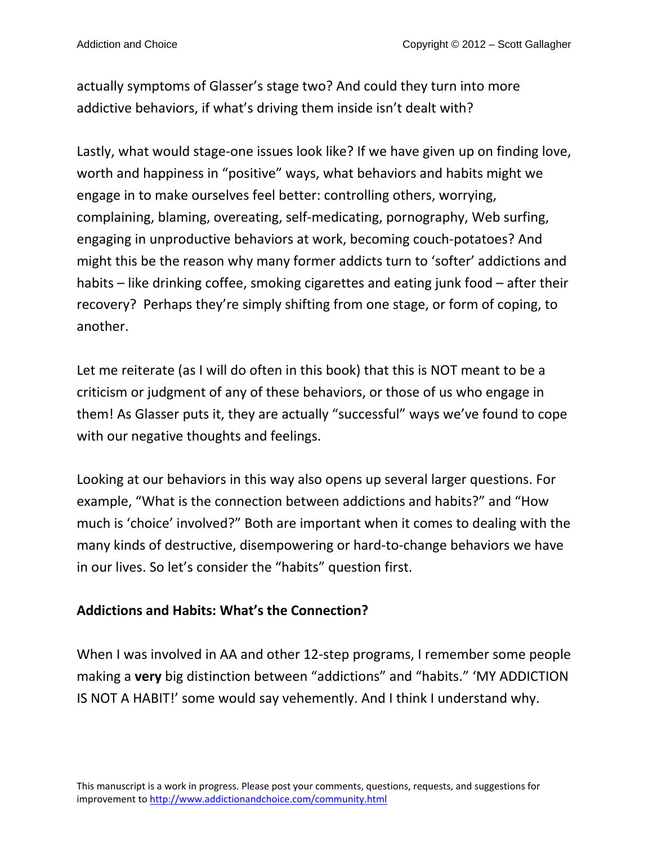actually symptoms of Glasser's stage two? And could they turn into more addictive behaviors, if what's driving them inside isn't dealt with?

Lastly, what would stage-one issues look like? If we have given up on finding love, worth and happiness in "positive" ways, what behaviors and habits might we engage in to make ourselves feel better: controlling others, worrying, complaining, blaming, overeating, self-medicating, pornography, Web surfing, engaging in unproductive behaviors at work, becoming couch-potatoes? And might this be the reason why many former addicts turn to 'softer' addictions and habits – like drinking coffee, smoking cigarettes and eating junk food – after their recovery? Perhaps they're simply shifting from one stage, or form of coping, to another.

Let me reiterate (as I will do often in this book) that this is NOT meant to be a criticism or judgment of any of these behaviors, or those of us who engage in them! As Glasser puts it, they are actually "successful" ways we've found to cope with our negative thoughts and feelings.

Looking at our behaviors in this way also opens up several larger questions. For example, "What is the connection between addictions and habits?" and "How much is 'choice' involved?" Both are important when it comes to dealing with the many kinds of destructive, disempowering or hard-to-change behaviors we have in our lives. So let's consider the "habits" question first.

### **Addictions and Habits: What's the Connection?**

When I was involved in AA and other 12-step programs, I remember some people making a **very** big distinction between "addictions" and "habits." 'MY ADDICTION IS NOT A HABIT!' some would say vehemently. And I think I understand why.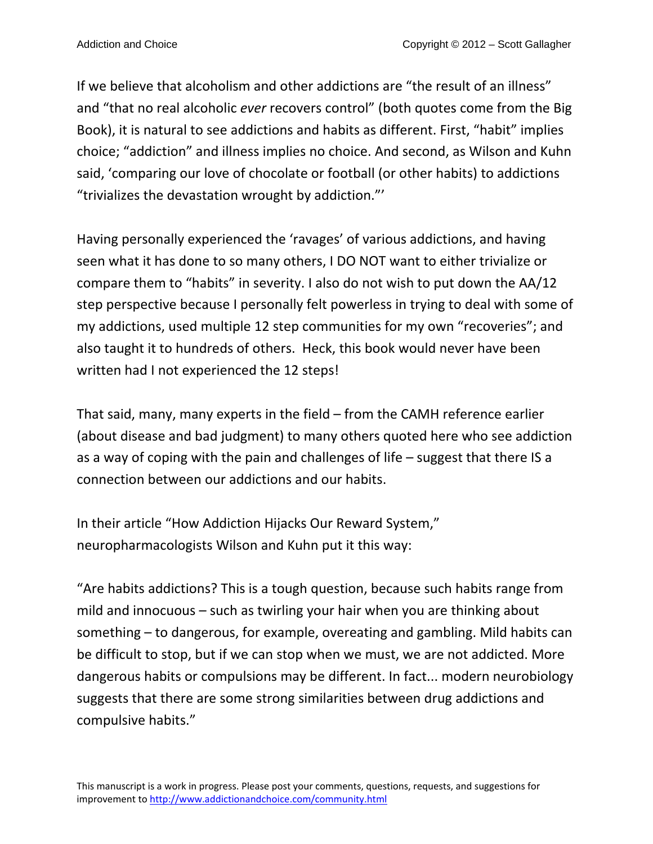If we believe that alcoholism and other addictions are "the result of an illness" and "that no real alcoholic *ever* recovers control" (both quotes come from the Big Book), it is natural to see addictions and habits as different. First, "habit" implies choice; "addiction" and illness implies no choice. And second, as Wilson and Kuhn said, 'comparing our love of chocolate or football (or other habits) to addictions "trivializes the devastation wrought by addiction."'

Having personally experienced the 'ravages' of various addictions, and having seen what it has done to so many others, I DO NOT want to either trivialize or compare them to "habits" in severity. I also do not wish to put down the AA/12 step perspective because I personally felt powerless in trying to deal with some of my addictions, used multiple 12 step communities for my own "recoveries"; and also taught it to hundreds of others. Heck, this book would never have been written had I not experienced the 12 steps!

That said, many, many experts in the field – from the CAMH reference earlier (about disease and bad judgment) to many others quoted here who see addiction as a way of coping with the pain and challenges of life – suggest that there IS a connection between our addictions and our habits.

In their article "How Addiction Hijacks Our Reward System," neuropharmacologists Wilson and Kuhn put it this way:

"Are habits addictions? This is a tough question, because such habits range from mild and innocuous – such as twirling your hair when you are thinking about something – to dangerous, for example, overeating and gambling. Mild habits can be difficult to stop, but if we can stop when we must, we are not addicted. More dangerous habits or compulsions may be different. In fact... modern neurobiology suggests that there are some strong similarities between drug addictions and compulsive habits."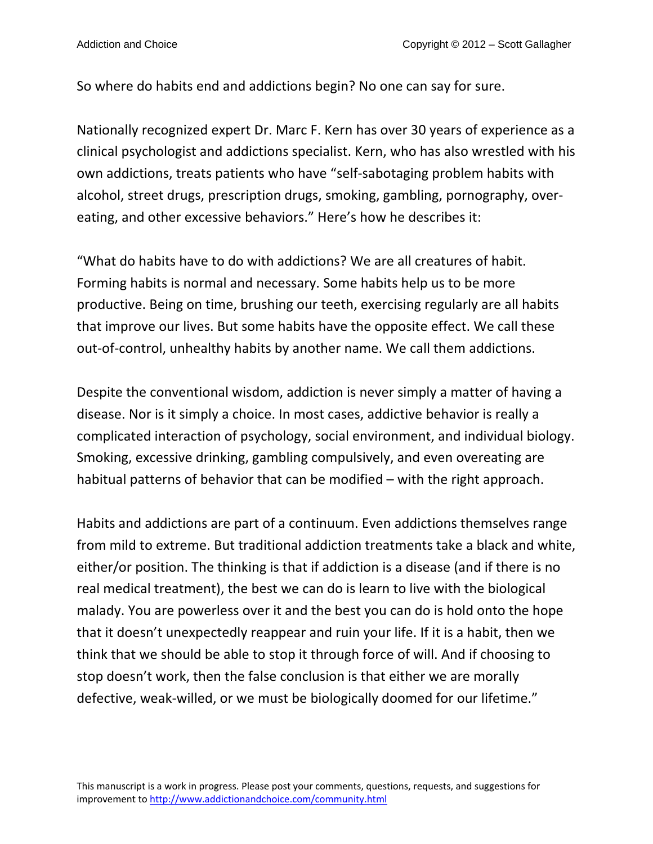So where do habits end and addictions begin? No one can say for sure.

Nationally recognized expert Dr. Marc F. Kern has over 30 years of experience as a clinical psychologist and addictions specialist. Kern, who has also wrestled with his own addictions, treats patients who have "self-sabotaging problem habits with alcohol, street drugs, prescription drugs, smoking, gambling, pornography, overeating, and other excessive behaviors." Here's how he describes it:

"What do habits have to do with addictions? We are all creatures of habit. Forming habits is normal and necessary. Some habits help us to be more productive. Being on time, brushing our teeth, exercising regularly are all habits that improve our lives. But some habits have the opposite effect. We call these out-of-control, unhealthy habits by another name. We call them addictions.

Despite the conventional wisdom, addiction is never simply a matter of having a disease. Nor is it simply a choice. In most cases, addictive behavior is really a complicated interaction of psychology, social environment, and individual biology. Smoking, excessive drinking, gambling compulsively, and even overeating are habitual patterns of behavior that can be modified – with the right approach.

Habits and addictions are part of a continuum. Even addictions themselves range from mild to extreme. But traditional addiction treatments take a black and white, either/or position. The thinking is that if addiction is a disease (and if there is no real medical treatment), the best we can do is learn to live with the biological malady. You are powerless over it and the best you can do is hold onto the hope that it doesn't unexpectedly reappear and ruin your life. If it is a habit, then we think that we should be able to stop it through force of will. And if choosing to stop doesn't work, then the false conclusion is that either we are morally defective, weak-willed, or we must be biologically doomed for our lifetime."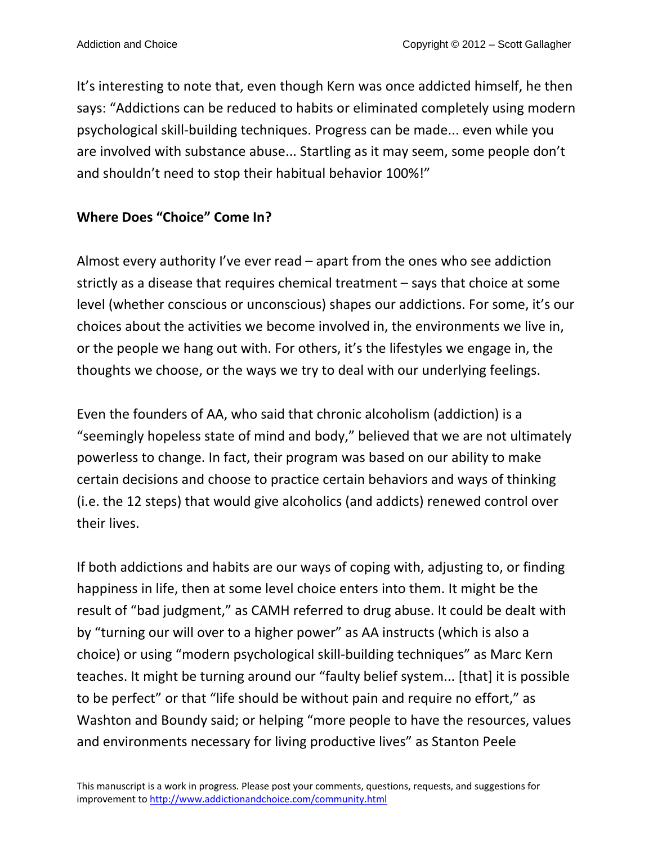It's interesting to note that, even though Kern was once addicted himself, he then says: "Addictions can be reduced to habits or eliminated completely using modern psychological skill-building techniques. Progress can be made... even while you are involved with substance abuse... Startling as it may seem, some people don't and shouldn't need to stop their habitual behavior 100%!"

### **Where Does "Choice" Come In?**

Almost every authority I've ever read – apart from the ones who see addiction strictly as a disease that requires chemical treatment – says that choice at some level (whether conscious or unconscious) shapes our addictions. For some, it's our choices about the activities we become involved in, the environments we live in, or the people we hang out with. For others, it's the lifestyles we engage in, the thoughts we choose, or the ways we try to deal with our underlying feelings.

Even the founders of AA, who said that chronic alcoholism (addiction) is a "seemingly hopeless state of mind and body," believed that we are not ultimately powerless to change. In fact, their program was based on our ability to make certain decisions and choose to practice certain behaviors and ways of thinking (i.e. the 12 steps) that would give alcoholics (and addicts) renewed control over their lives.

If both addictions and habits are our ways of coping with, adjusting to, or finding happiness in life, then at some level choice enters into them. It might be the result of "bad judgment," as CAMH referred to drug abuse. It could be dealt with by "turning our will over to a higher power" as AA instructs (which is also a choice) or using "modern psychological skill-building techniques" as Marc Kern teaches. It might be turning around our "faulty belief system... [that] it is possible to be perfect" or that "life should be without pain and require no effort," as Washton and Boundy said; or helping "more people to have the resources, values and environments necessary for living productive lives" as Stanton Peele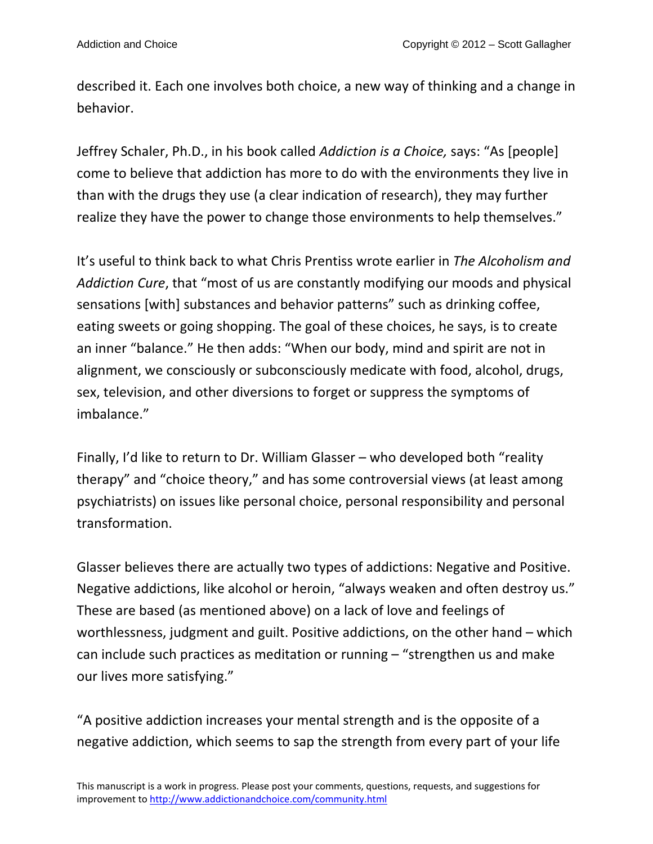described it. Each one involves both choice, a new way of thinking and a change in behavior.

Jeffrey Schaler, Ph.D., in his book called *Addiction is a Choice,* says: "As [people] come to believe that addiction has more to do with the environments they live in than with the drugs they use (a clear indication of research), they may further realize they have the power to change those environments to help themselves."

It's useful to think back to what Chris Prentiss wrote earlier in *The Alcoholism and Addiction Cure*, that "most of us are constantly modifying our moods and physical sensations [with] substances and behavior patterns" such as drinking coffee, eating sweets or going shopping. The goal of these choices, he says, is to create an inner "balance." He then adds: "When our body, mind and spirit are not in alignment, we consciously or subconsciously medicate with food, alcohol, drugs, sex, television, and other diversions to forget or suppress the symptoms of imbalance."

Finally, I'd like to return to Dr. William Glasser – who developed both "reality therapy" and "choice theory," and has some controversial views (at least among psychiatrists) on issues like personal choice, personal responsibility and personal transformation.

Glasser believes there are actually two types of addictions: Negative and Positive. Negative addictions, like alcohol or heroin, "always weaken and often destroy us." These are based (as mentioned above) on a lack of love and feelings of worthlessness, judgment and guilt. Positive addictions, on the other hand – which can include such practices as meditation or running – "strengthen us and make our lives more satisfying."

"A positive addiction increases your mental strength and is the opposite of a negative addiction, which seems to sap the strength from every part of your life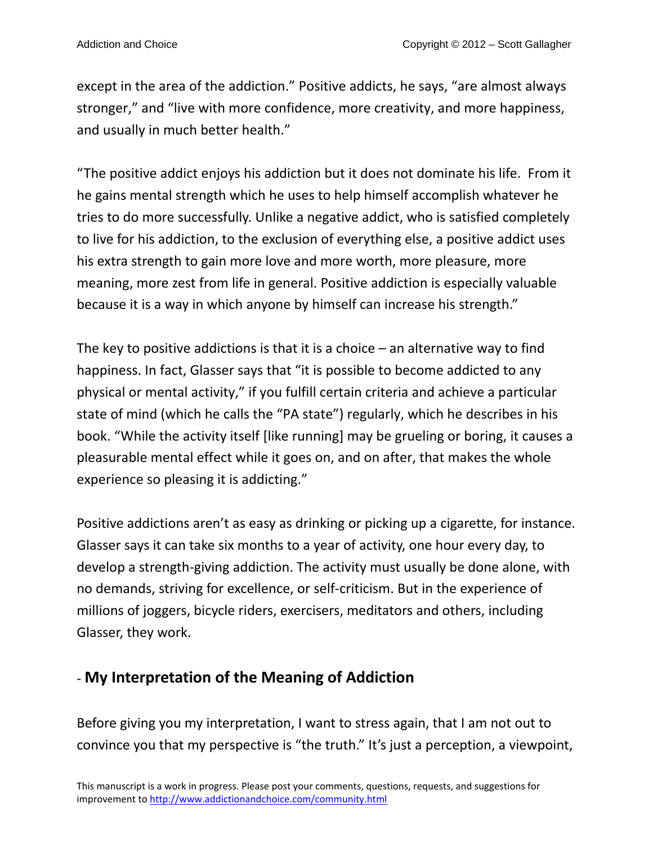except in the area of the addiction." Positive addicts, he says, "are almost always stronger," and "live with more confidence, more creativity, and more happiness, and usually in much better health."

"The positive addict enjoys his addiction but it does not dominate his life. From it he gains mental strength which he uses to help himself accomplish whatever he tries to do more successfully. Unlike a negative addict, who is satisfied completely to live for his addiction, to the exclusion of everything else, a positive addict uses his extra strength to gain more love and more worth, more pleasure, more meaning, more zest from life in general. Positive addiction is especially valuable because it is a way in which anyone by himself can increase his strength."

The key to positive addictions is that it is a choice  $-$  an alternative way to find happiness. In fact, Glasser says that "it is possible to become addicted to any physical or mental activity," if you fulfill certain criteria and achieve a particular state of mind (which he calls the "PA state") regularly, which he describes in his book. "While the activity itself [like running] may be grueling or boring, it causes a pleasurable mental effect while it goes on, and on after, that makes the whole experience so pleasing it is addicting."

Positive addictions aren't as easy as drinking or picking up a cigarette, for instance. Glasser says it can take six months to a year of activity, one hour every day, to develop a strength-giving addiction. The activity must usually be done alone, with no demands, striving for excellence, or self-criticism. But in the experience of millions of joggers, bicycle riders, exercisers, meditators and others, including Glasser, they work.

# - **My Interpretation of the Meaning of Addiction**

Before giving you my interpretation, I want to stress again, that I am not out to convince you that my perspective is "the truth." It's just a perception, a viewpoint,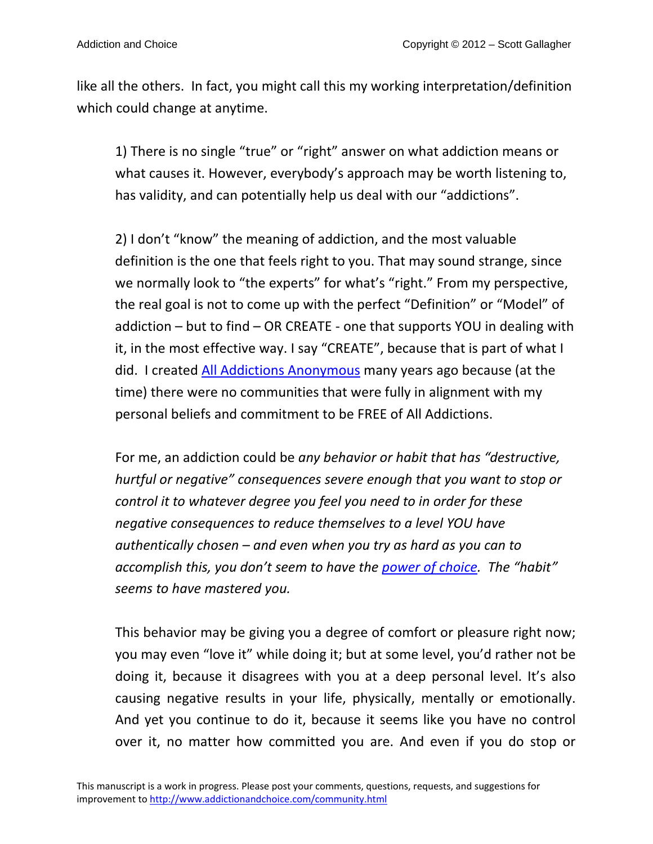like all the others. In fact, you might call this my working interpretation/definition which could change at anytime.

1) There is no single "true" or "right" answer on what addiction means or what causes it. However, everybody's approach may be worth listening to, has validity, and can potentially help us deal with our "addictions".

2) I don't "know" the meaning of addiction, and the most valuable definition is the one that feels right to you. That may sound strange, since we normally look to "the experts" for what's "right." From my perspective, the real goal is not to come up with the perfect "Definition" or "Model" of addiction – but to find – OR CREATE - one that supports YOU in dealing with it, in the most effective way. I say "CREATE", because that is part of what I did. I created [All Addictions Anonymous](http://www.alladdictionsanonymous.com/) many years ago because (at the time) there were no communities that were fully in alignment with my personal beliefs and commitment to be FREE of All Addictions.

For me, an addiction could be *any behavior or habit that has "destructive, hurtful or negative" consequences severe enough that you want to stop or control it to whatever degree you feel you need to in order for these negative consequences to reduce themselves to a level YOU have authentically chosen – and even when you try as hard as you can to accomplish this, you don't seem to have the [power of choice.](http://www.powerofchoice.org/) The "habit" seems to have mastered you.*

This behavior may be giving you a degree of comfort or pleasure right now; you may even "love it" while doing it; but at some level, you'd rather not be doing it, because it disagrees with you at a deep personal level. It's also causing negative results in your life, physically, mentally or emotionally. And yet you continue to do it, because it seems like you have no control over it, no matter how committed you are. And even if you do stop or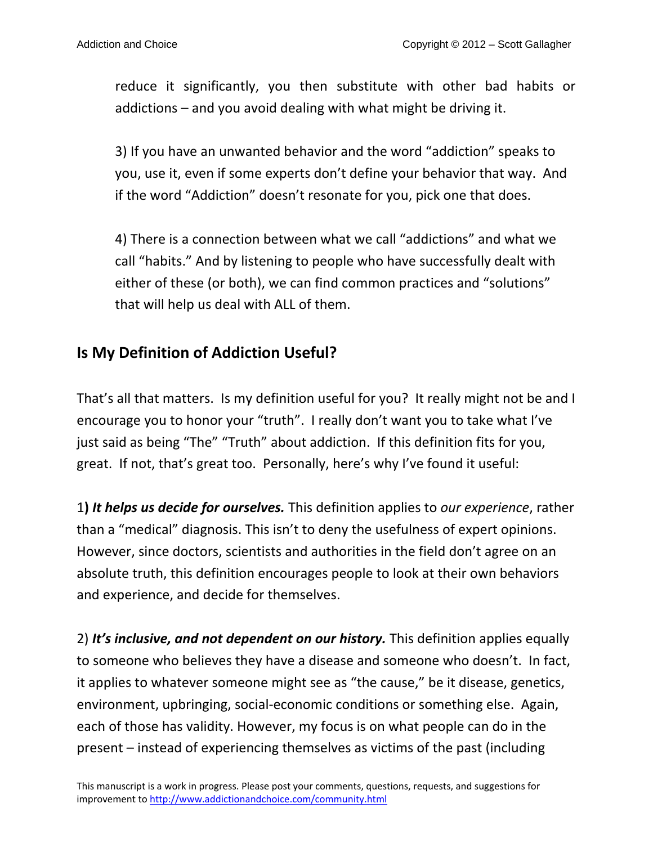reduce it significantly, you then substitute with other bad habits or addictions – and you avoid dealing with what might be driving it.

3) If you have an unwanted behavior and the word "addiction" speaks to you, use it, even if some experts don't define your behavior that way. And if the word "Addiction" doesn't resonate for you, pick one that does.

4) There is a connection between what we call "addictions" and what we call "habits." And by listening to people who have successfully dealt with either of these (or both), we can find common practices and "solutions" that will help us deal with ALL of them.

# **Is My Definition of Addiction Useful?**

That's all that matters. Is my definition useful for you? It really might not be and I encourage you to honor your "truth". I really don't want you to take what I've just said as being "The" "Truth" about addiction. If this definition fits for you, great. If not, that's great too. Personally, here's why I've found it useful:

1**)** *It helps us decide for ourselves.* This definition applies to *our experience*, rather than a "medical" diagnosis. This isn't to deny the usefulness of expert opinions. However, since doctors, scientists and authorities in the field don't agree on an absolute truth, this definition encourages people to look at their own behaviors and experience, and decide for themselves.

2) *It's inclusive, and not dependent on our history.* This definition applies equally to someone who believes they have a disease and someone who doesn't. In fact, it applies to whatever someone might see as "the cause," be it disease, genetics, environment, upbringing, social-economic conditions or something else. Again, each of those has validity. However, my focus is on what people can do in the present – instead of experiencing themselves as victims of the past (including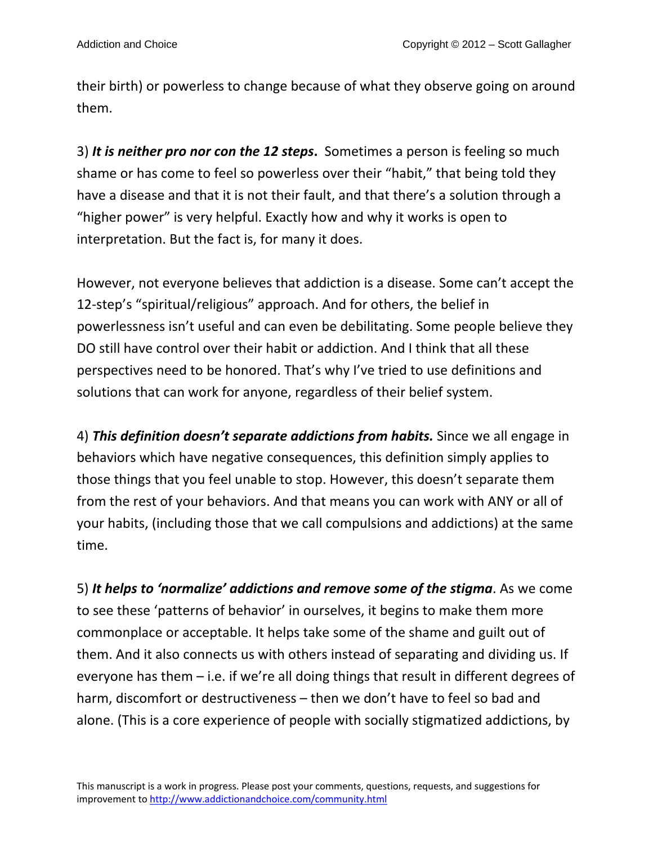their birth) or powerless to change because of what they observe going on around them.

3) *It is neither pro nor con the 12 steps***.** Sometimes a person is feeling so much shame or has come to feel so powerless over their "habit," that being told they have a disease and that it is not their fault, and that there's a solution through a "higher power" is very helpful. Exactly how and why it works is open to interpretation. But the fact is, for many it does.

However, not everyone believes that addiction is a disease. Some can't accept the 12-step's "spiritual/religious" approach. And for others, the belief in powerlessness isn't useful and can even be debilitating. Some people believe they DO still have control over their habit or addiction. And I think that all these perspectives need to be honored. That's why I've tried to use definitions and solutions that can work for anyone, regardless of their belief system.

4) *This definition doesn't separate addictions from habits.* Since we all engage in behaviors which have negative consequences, this definition simply applies to those things that you feel unable to stop. However, this doesn't separate them from the rest of your behaviors. And that means you can work with ANY or all of your habits, (including those that we call compulsions and addictions) at the same time.

5) *It helps to 'normalize' addictions and remove some of the stigma*. As we come to see these 'patterns of behavior' in ourselves, it begins to make them more commonplace or acceptable. It helps take some of the shame and guilt out of them. And it also connects us with others instead of separating and dividing us. If everyone has them – i.e. if we're all doing things that result in different degrees of harm, discomfort or destructiveness – then we don't have to feel so bad and alone. (This is a core experience of people with socially stigmatized addictions, by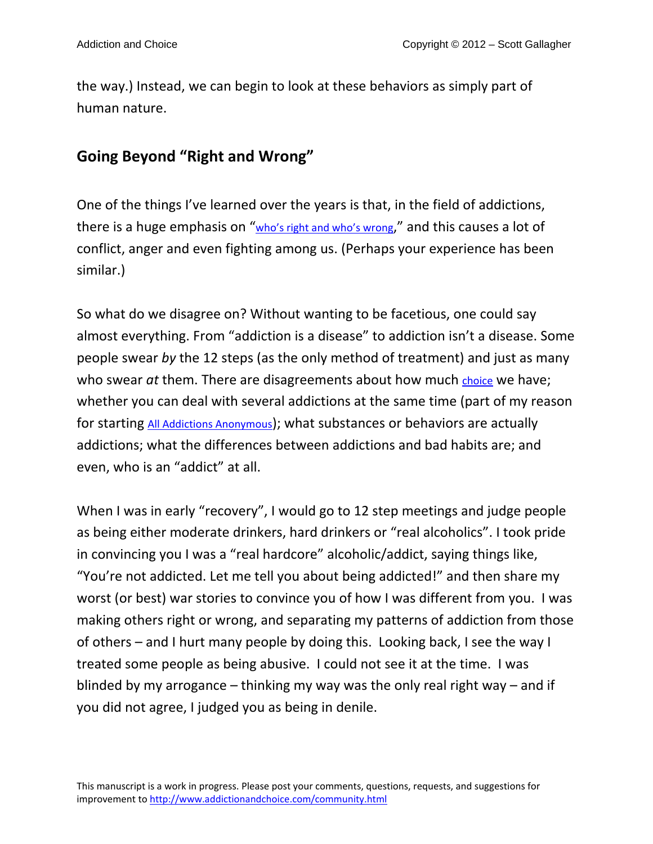the way.) Instead, we can begin to look at these behaviors as simply part of human nature.

## **Going Beyond "Right and Wrong"**

One of the things I've learned over the years is that, in the field of addictions, there is a huge emphasis on ["who's right and who's wrong,](http://www.powerofchoice.org/uploads/5/8/6/8/5868981/nothings_wrong_somethings_right.pdf)" and this causes a lot of conflict, anger and even fighting among us. (Perhaps your experience has been similar.)

So what do we disagree on? Without wanting to be facetious, one could say almost everything. From "addiction is a disease" to addiction isn't a disease. Some people swear *by* the 12 steps (as the only method of treatment) and just as many who swear *at* them. There are disagreements about how much [choice](http://www.powerofchoice.org/) we have; whether you can deal with several addictions at the same time (part of my reason for starting [All Addictions Anonymous\)](http://www.alladdictionsanonymous.com/); what substances or behaviors are actually addictions; what the differences between addictions and bad habits are; and even, who is an "addict" at all.

When I was in early "recovery", I would go to 12 step meetings and judge people as being either moderate drinkers, hard drinkers or "real alcoholics". I took pride in convincing you I was a "real hardcore" alcoholic/addict, saying things like, "You're not addicted. Let me tell you about being addicted!" and then share my worst (or best) war stories to convince you of how I was different from you. I was making others right or wrong, and separating my patterns of addiction from those of others – and I hurt many people by doing this. Looking back, I see the way I treated some people as being abusive. I could not see it at the time. I was blinded by my arrogance – thinking my way was the only real right way – and if you did not agree, I judged you as being in denile.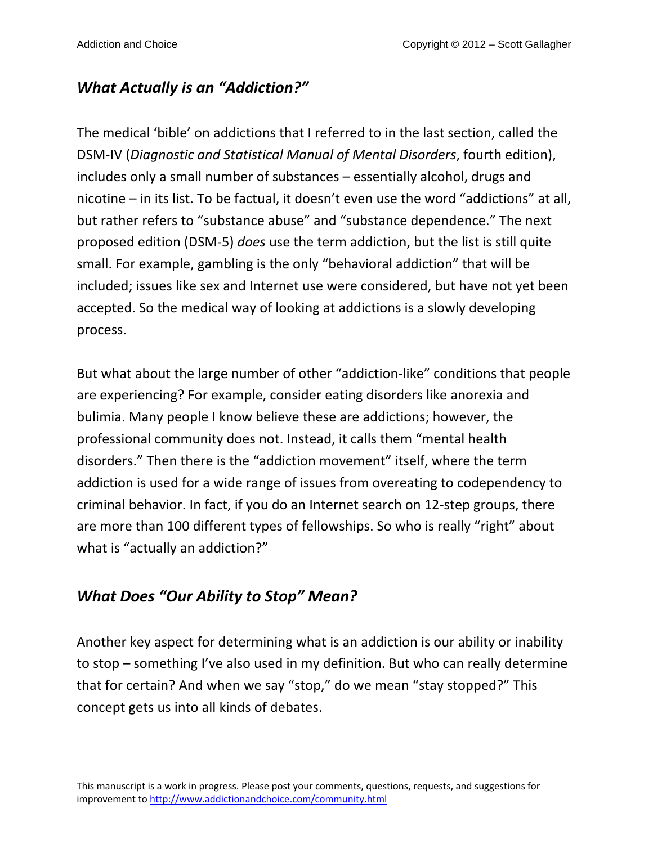## *What Actually is an "Addiction?"*

The medical 'bible' on addictions that I referred to in the last section, called the DSM-IV (*Diagnostic and Statistical Manual of Mental Disorders*, fourth edition), includes only a small number of substances – essentially alcohol, drugs and nicotine – in its list. To be factual, it doesn't even use the word "addictions" at all, but rather refers to "substance abuse" and "substance dependence." The next proposed edition (DSM-5) *does* use the term addiction, but the list is still quite small. For example, gambling is the only "behavioral addiction" that will be included; issues like sex and Internet use were considered, but have not yet been accepted. So the medical way of looking at addictions is a slowly developing process.

But what about the large number of other "addiction-like" conditions that people are experiencing? For example, consider eating disorders like anorexia and bulimia. Many people I know believe these are addictions; however, the professional community does not. Instead, it calls them "mental health disorders." Then there is the "addiction movement" itself, where the term addiction is used for a wide range of issues from overeating to codependency to criminal behavior. In fact, if you do an Internet search on 12-step groups, there are more than 100 different types of fellowships. So who is really "right" about what is "actually an addiction?"

# *What Does "Our Ability to Stop" Mean?*

Another key aspect for determining what is an addiction is our ability or inability to stop – something I've also used in my definition. But who can really determine that for certain? And when we say "stop," do we mean "stay stopped?" This concept gets us into all kinds of debates.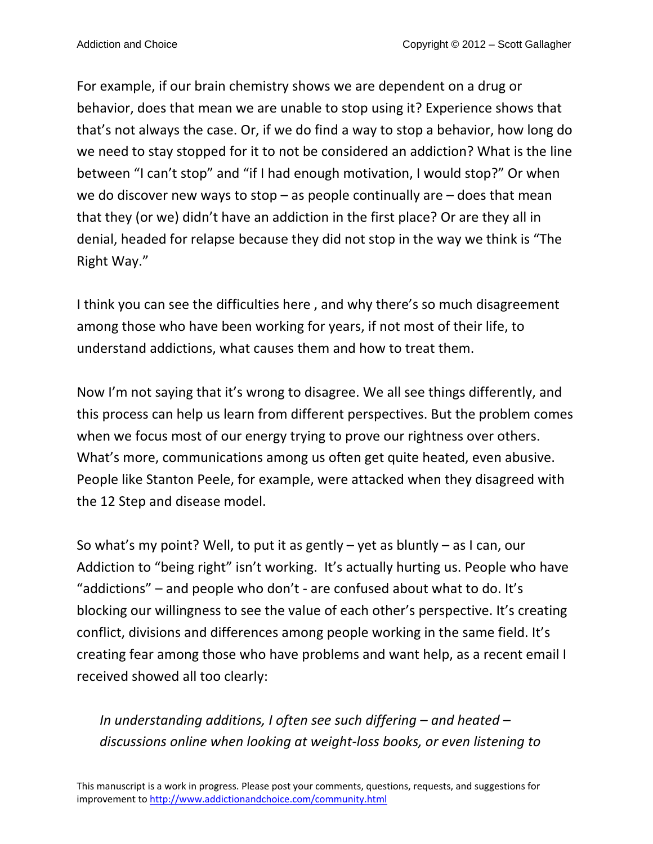For example, if our brain chemistry shows we are dependent on a drug or behavior, does that mean we are unable to stop using it? Experience shows that that's not always the case. Or, if we do find a way to stop a behavior, how long do we need to stay stopped for it to not be considered an addiction? What is the line between "I can't stop" and "if I had enough motivation, I would stop?" Or when we do discover new ways to stop  $-$  as people continually are  $-$  does that mean that they (or we) didn't have an addiction in the first place? Or are they all in denial, headed for relapse because they did not stop in the way we think is "The Right Way."

I think you can see the difficulties here , and why there's so much disagreement among those who have been working for years, if not most of their life, to understand addictions, what causes them and how to treat them.

Now I'm not saying that it's wrong to disagree. We all see things differently, and this process can help us learn from different perspectives. But the problem comes when we focus most of our energy trying to prove our rightness over others. What's more, communications among us often get quite heated, even abusive. People like Stanton Peele, for example, were attacked when they disagreed with the 12 Step and disease model.

So what's my point? Well, to put it as gently  $-$  yet as bluntly  $-$  as I can, our Addiction to "being right" isn't working. It's actually hurting us. People who have "addictions" – and people who don't - are confused about what to do. It's blocking our willingness to see the value of each other's perspective. It's creating conflict, divisions and differences among people working in the same field. It's creating fear among those who have problems and want help, as a recent email I received showed all too clearly:

*In understanding additions, I often see such differing – and heated – discussions online when looking at weight-loss books, or even listening to*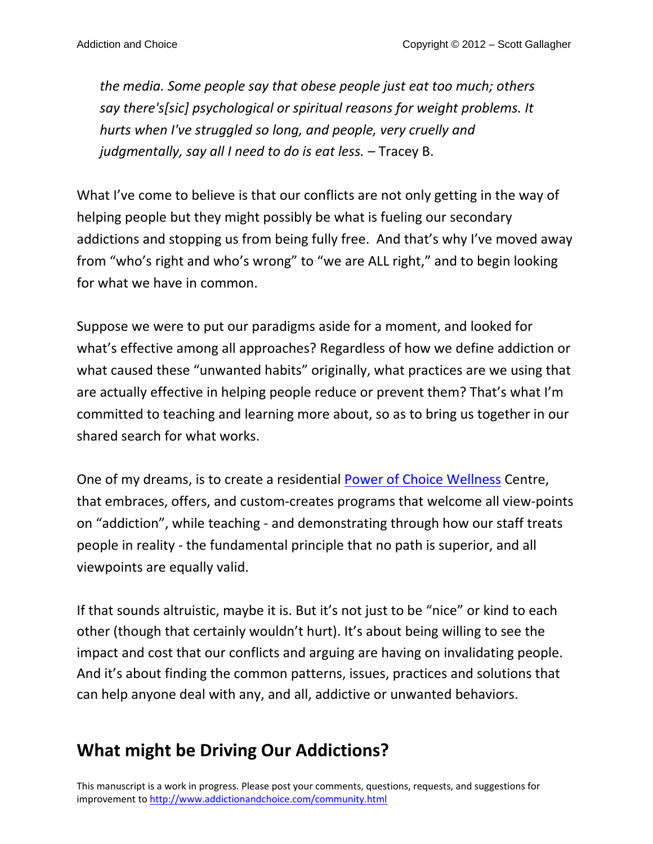*the media. Some people say that obese people just eat too much; others say there's[sic] psychological or spiritual reasons for weight problems. It hurts when I've struggled so long, and people, very cruelly and judgmentally, say all I need to do is eat less.* – Tracey B.

What I've come to believe is that our conflicts are not only getting in the way of helping people but they might possibly be what is fueling our secondary addictions and stopping us from being fully free. And that's why I've moved away from "who's right and who's wrong" to "we are ALL right," and to begin looking for what we have in common.

Suppose we were to put our paradigms aside for a moment, and looked for what's effective among all approaches? Regardless of how we define addiction or what caused these "unwanted habits" originally, what practices are we using that are actually effective in helping people reduce or prevent them? That's what I'm committed to teaching and learning more about, so as to bring us together in our shared search for what works.

One of my dreams, is to create a residential [Power of Choice Wellness](http://www.powerofchoice.org/) Centre, that embraces, offers, and custom-creates programs that welcome all view-points on "addiction", while teaching - and demonstrating through how our staff treats people in reality - the fundamental principle that no path is superior, and all viewpoints are equally valid.

If that sounds altruistic, maybe it is. But it's not just to be "nice" or kind to each other (though that certainly wouldn't hurt). It's about being willing to see the impact and cost that our conflicts and arguing are having on invalidating people. And it's about finding the common patterns, issues, practices and solutions that can help anyone deal with any, and all, addictive or unwanted behaviors.

# **What might be Driving Our Addictions?**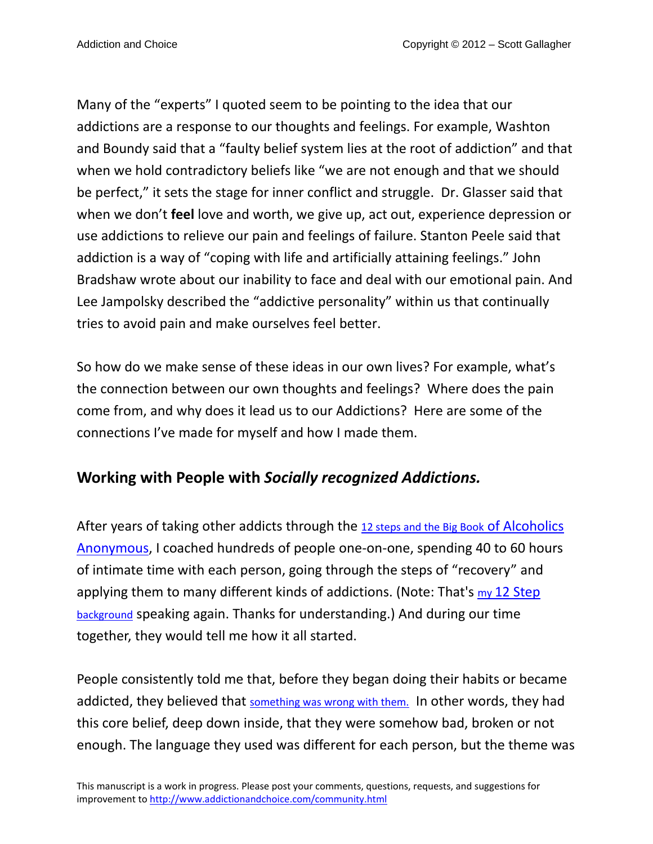Many of the "experts" I quoted seem to be pointing to the idea that our addictions are a response to our thoughts and feelings. For example, Washton and Boundy said that a "faulty belief system lies at the root of addiction" and that when we hold contradictory beliefs like "we are not enough and that we should be perfect," it sets the stage for inner conflict and struggle. Dr. Glasser said that when we don't **feel** love and worth, we give up, act out, experience depression or use addictions to relieve our pain and feelings of failure. Stanton Peele said that addiction is a way of "coping with life and artificially attaining feelings." John Bradshaw wrote about our inability to face and deal with our emotional pain. And Lee Jampolsky described the "addictive personality" within us that continually tries to avoid pain and make ourselves feel better.

So how do we make sense of these ideas in our own lives? For example, what's the connection between our own thoughts and feelings? Where does the pain come from, and why does it lead us to our Addictions? Here are some of the connections I've made for myself and how I made them.

# **Working with People with** *Socially recognized Addictions.*

After years of taking other addicts through the 12 [steps and the Big Book](http://www.powerofchoice.org/3/post/2011/12/12-step-roots.html) of Alcoholics [Anonymous,](http://www.powerofchoice.org/3/post/2011/12/12-step-roots.html) I coached hundreds of people one-on-one, spending 40 to 60 hours of intimate time with each person, going through the steps of "recovery" and applying them to many different kinds of addictions. (Note: That's [my 12 Step](http://www.powerofchoice.org/3/post/2011/12/12-step-roots.html) [background](http://www.powerofchoice.org/3/post/2011/12/12-step-roots.html) speaking again. Thanks for understanding.) And during our time together, they would tell me how it all started.

People consistently told me that, before they began doing their habits or became addicted, they believed that [something was wrong with them.](http://www.powerofchoice.org/uploads/5/8/6/8/5868981/the_root_causes_of_destructive_habits.pdf) In other words, they had this core belief, deep down inside, that they were somehow bad, broken or not enough. The language they used was different for each person, but the theme was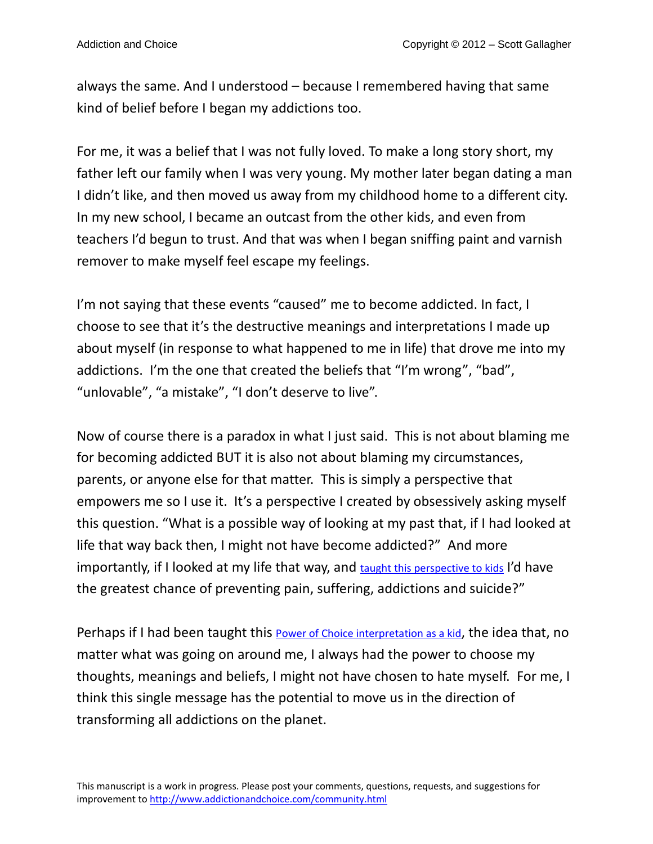always the same. And I understood – because I remembered having that same kind of belief before I began my addictions too.

For me, it was a belief that I was not fully loved. To make a long story short, my father left our family when I was very young. My mother later began dating a man I didn't like, and then moved us away from my childhood home to a different city. In my new school, I became an outcast from the other kids, and even from teachers I'd begun to trust. And that was when I began sniffing paint and varnish remover to make myself feel escape my feelings.

I'm not saying that these events "caused" me to become addicted. In fact, I choose to see that it's the destructive meanings and interpretations I made up about myself (in response to what happened to me in life) that drove me into my addictions. I'm the one that created the beliefs that "I'm wrong", "bad", "unlovable", "a mistake", "I don't deserve to live".

Now of course there is a paradox in what I just said. This is not about blaming me for becoming addicted BUT it is also not about blaming my circumstances, parents, or anyone else for that matter. This is simply a perspective that empowers me so I use it. It's a perspective I created by obsessively asking myself this question. "What is a possible way of looking at my past that, if I had looked at life that way back then, I might not have become addicted?" And more importantly, if I looked at my life that way, and [taught this perspective to kids](http://www.powerofchoice.org/school-programs.html) I'd have the greatest chance of preventing pain, suffering, addictions and suicide?"

Perhaps if I had been taught this [Power of Choice interpretation](http://www.powerofchoice.org/school-programs.html) as a kid, the idea that, no matter what was going on around me, I always had the power to choose my thoughts, meanings and beliefs, I might not have chosen to hate myself. For me, I think this single message has the potential to move us in the direction of transforming all addictions on the planet.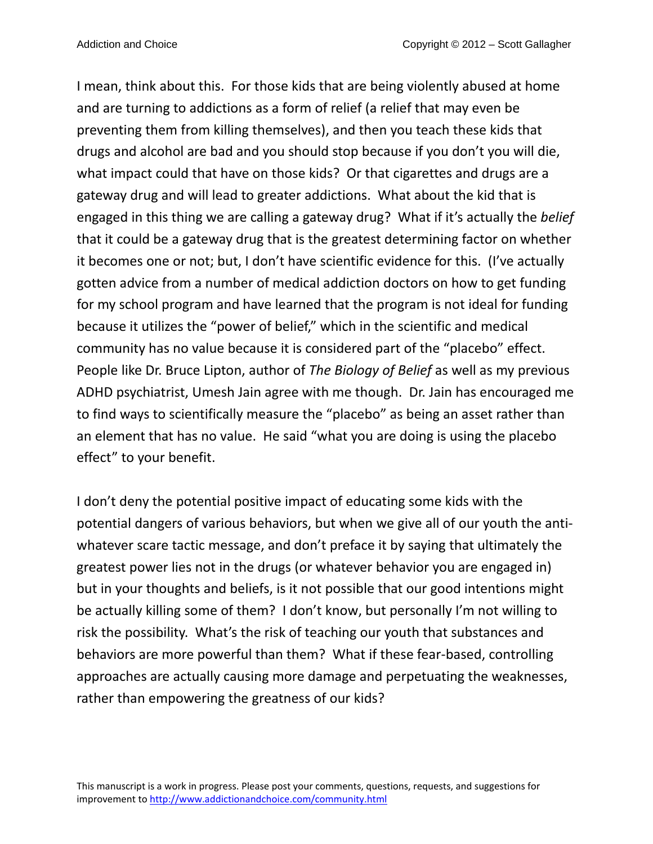I mean, think about this. For those kids that are being violently abused at home and are turning to addictions as a form of relief (a relief that may even be preventing them from killing themselves), and then you teach these kids that drugs and alcohol are bad and you should stop because if you don't you will die, what impact could that have on those kids? Or that cigarettes and drugs are a gateway drug and will lead to greater addictions. What about the kid that is engaged in this thing we are calling a gateway drug? What if it's actually the *belief* that it could be a gateway drug that is the greatest determining factor on whether it becomes one or not; but, I don't have scientific evidence for this. (I've actually gotten advice from a number of medical addiction doctors on how to get funding for my school program and have learned that the program is not ideal for funding because it utilizes the "power of belief," which in the scientific and medical community has no value because it is considered part of the "placebo" effect. People like Dr. Bruce Lipton, author of *The Biology of Belief* as well as my previous ADHD psychiatrist, Umesh Jain agree with me though. Dr. Jain has encouraged me to find ways to scientifically measure the "placebo" as being an asset rather than an element that has no value. He said "what you are doing is using the placebo effect" to your benefit.

I don't deny the potential positive impact of educating some kids with the potential dangers of various behaviors, but when we give all of our youth the antiwhatever scare tactic message, and don't preface it by saying that ultimately the greatest power lies not in the drugs (or whatever behavior you are engaged in) but in your thoughts and beliefs, is it not possible that our good intentions might be actually killing some of them? I don't know, but personally I'm not willing to risk the possibility. What's the risk of teaching our youth that substances and behaviors are more powerful than them? What if these fear-based, controlling approaches are actually causing more damage and perpetuating the weaknesses, rather than empowering the greatness of our kids?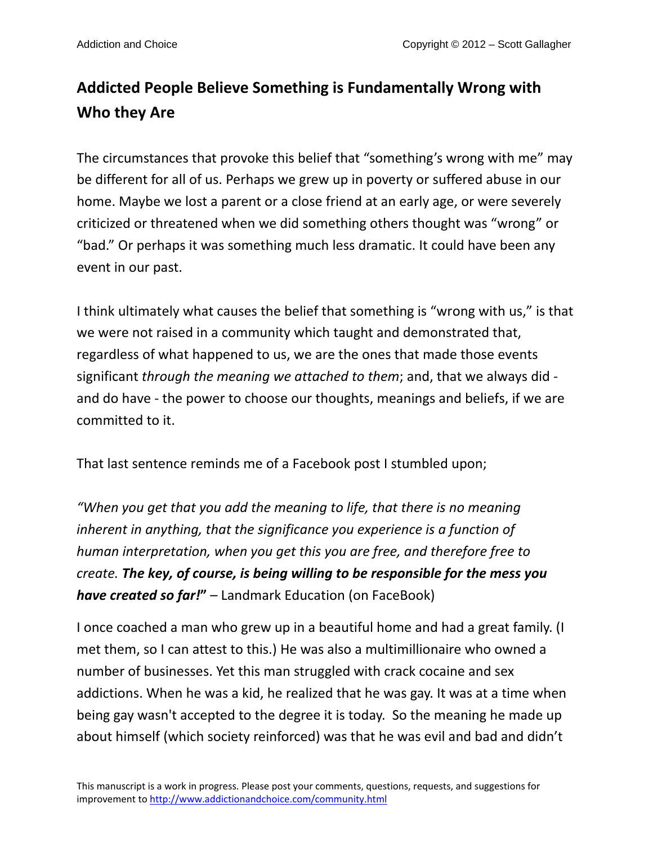# **Addicted People Believe Something is Fundamentally Wrong with Who they Are**

The circumstances that provoke this belief that "something's wrong with me" may be different for all of us. Perhaps we grew up in poverty or suffered abuse in our home. Maybe we lost a parent or a close friend at an early age, or were severely criticized or threatened when we did something others thought was "wrong" or "bad." Or perhaps it was something much less dramatic. It could have been any event in our past.

I think ultimately what causes the belief that something is "wrong with us," is that we were not raised in a community which taught and demonstrated that, regardless of what happened to us, we are the ones that made those events significant *through the meaning we attached to them*; and, that we always did and do have - the power to choose our thoughts, meanings and beliefs, if we are committed to it.

That last sentence reminds me of a Facebook post I stumbled upon;

*"When you get that you add the meaning to life, that there is no meaning inherent in anything, that the significance you experience is a function of human interpretation, when you get this you are free, and therefore free to create. The key, of course, is being willing to be responsible for the mess you have created so far!***"** – Landmark Education (on FaceBook)

I once coached a man who grew up in a beautiful home and had a great family. (I met them, so I can attest to this.) He was also a multimillionaire who owned a number of businesses. Yet this man struggled with crack cocaine and sex addictions. When he was a kid, he realized that he was gay. It was at a time when being gay wasn't accepted to the degree it is today. So the meaning he made up about himself (which society reinforced) was that he was evil and bad and didn't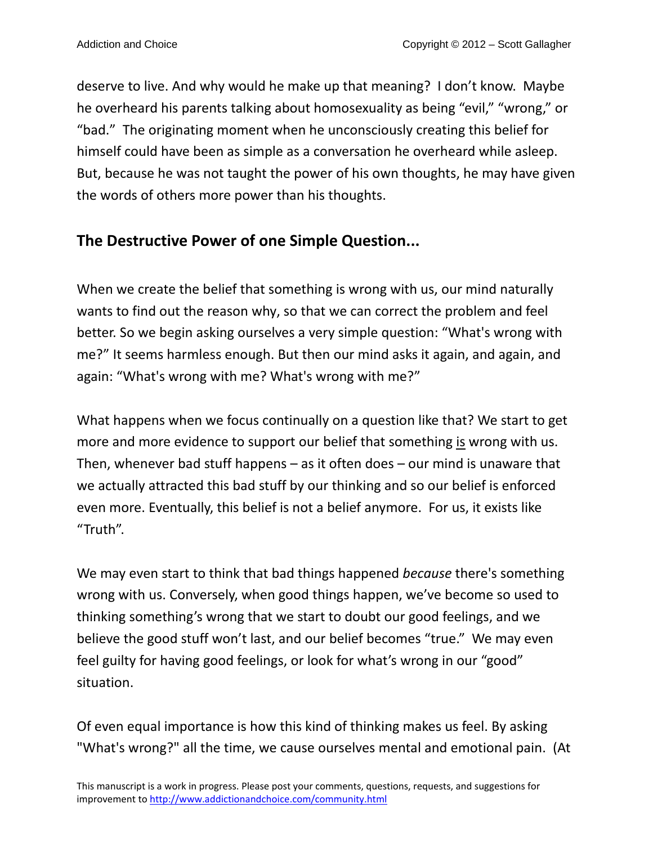deserve to live. And why would he make up that meaning? I don't know. Maybe he overheard his parents talking about homosexuality as being "evil," "wrong," or "bad." The originating moment when he unconsciously creating this belief for himself could have been as simple as a conversation he overheard while asleep. But, because he was not taught the power of his own thoughts, he may have given the words of others more power than his thoughts.

# **The Destructive Power of one Simple Question...**

When we create the belief that something is wrong with us, our mind naturally wants to find out the reason why, so that we can correct the problem and feel better. So we begin asking ourselves a very simple question: "What's wrong with me?" It seems harmless enough. But then our mind asks it again, and again, and again: "What's wrong with me? What's wrong with me?"

What happens when we focus continually on a question like that? We start to get more and more evidence to support our belief that something is wrong with us. Then, whenever bad stuff happens – as it often does – our mind is unaware that we actually attracted this bad stuff by our thinking and so our belief is enforced even more. Eventually, this belief is not a belief anymore. For us, it exists like "Truth".

We may even start to think that bad things happened *because* there's something wrong with us. Conversely, when good things happen, we've become so used to thinking something's wrong that we start to doubt our good feelings, and we believe the good stuff won't last, and our belief becomes "true." We may even feel guilty for having good feelings, or look for what's wrong in our "good" situation.

Of even equal importance is how this kind of thinking makes us feel. By asking "What's wrong?" all the time, we cause ourselves mental and emotional pain. (At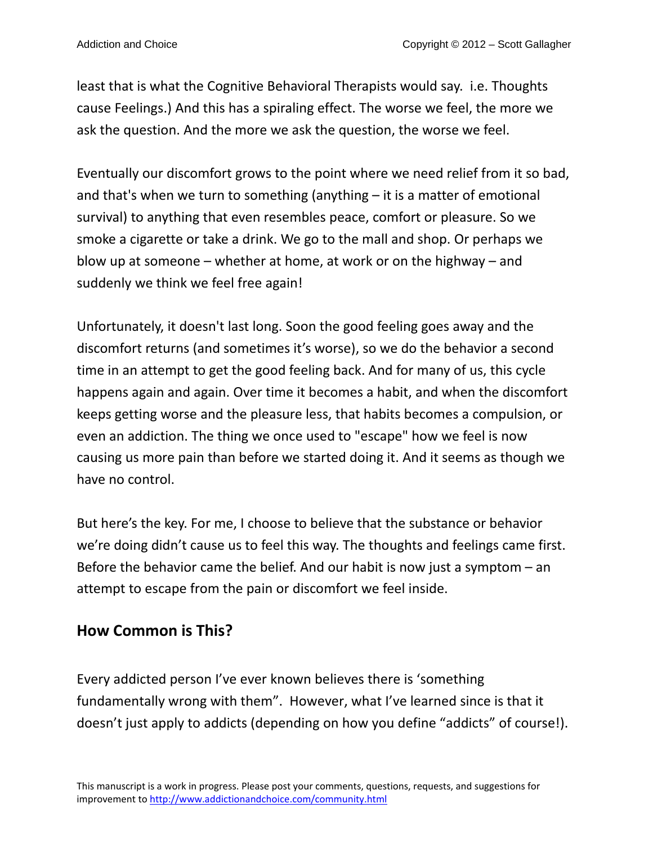least that is what the Cognitive Behavioral Therapists would say. i.e. Thoughts cause Feelings.) And this has a spiraling effect. The worse we feel, the more we ask the question. And the more we ask the question, the worse we feel.

Eventually our discomfort grows to the point where we need relief from it so bad, and that's when we turn to something (anything – it is a matter of emotional survival) to anything that even resembles peace, comfort or pleasure. So we smoke a cigarette or take a drink. We go to the mall and shop. Or perhaps we blow up at someone – whether at home, at work or on the highway – and suddenly we think we feel free again!

Unfortunately, it doesn't last long. Soon the good feeling goes away and the discomfort returns (and sometimes it's worse), so we do the behavior a second time in an attempt to get the good feeling back. And for many of us, this cycle happens again and again. Over time it becomes a habit, and when the discomfort keeps getting worse and the pleasure less, that habits becomes a compulsion, or even an addiction. The thing we once used to "escape" how we feel is now causing us more pain than before we started doing it. And it seems as though we have no control.

But here's the key. For me, I choose to believe that the substance or behavior we're doing didn't cause us to feel this way. The thoughts and feelings came first. Before the behavior came the belief. And our habit is now just a symptom – an attempt to escape from the pain or discomfort we feel inside.

### **How Common is This?**

Every addicted person I've ever known believes there is 'something fundamentally wrong with them". However, what I've learned since is that it doesn't just apply to addicts (depending on how you define "addicts" of course!).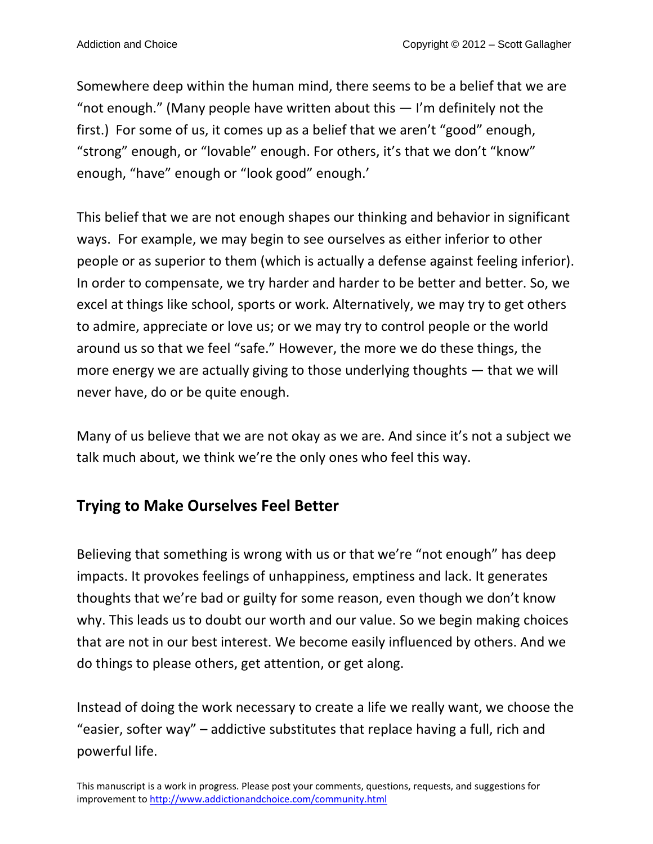Somewhere deep within the human mind, there seems to be a belief that we are "not enough." (Many people have written about this  $-1$ 'm definitely not the first.) For some of us, it comes up as a belief that we aren't "good" enough, "strong" enough, or "lovable" enough. For others, it's that we don't "know" enough, "have" enough or "look good" enough.'

This belief that we are not enough shapes our thinking and behavior in significant ways. For example, we may begin to see ourselves as either inferior to other people or as superior to them (which is actually a defense against feeling inferior). In order to compensate, we try harder and harder to be better and better. So, we excel at things like school, sports or work. Alternatively, we may try to get others to admire, appreciate or love us; or we may try to control people or the world around us so that we feel "safe." However, the more we do these things, the more energy we are actually giving to those underlying thoughts — that we will never have, do or be quite enough.

Many of us believe that we are not okay as we are. And since it's not a subject we talk much about, we think we're the only ones who feel this way.

# **Trying to Make Ourselves Feel Better**

Believing that something is wrong with us or that we're "not enough" has deep impacts. It provokes feelings of unhappiness, emptiness and lack. It generates thoughts that we're bad or guilty for some reason, even though we don't know why. This leads us to doubt our worth and our value. So we begin making choices that are not in our best interest. We become easily influenced by others. And we do things to please others, get attention, or get along.

Instead of doing the work necessary to create a life we really want, we choose the "easier, softer way" – addictive substitutes that replace having a full, rich and powerful life.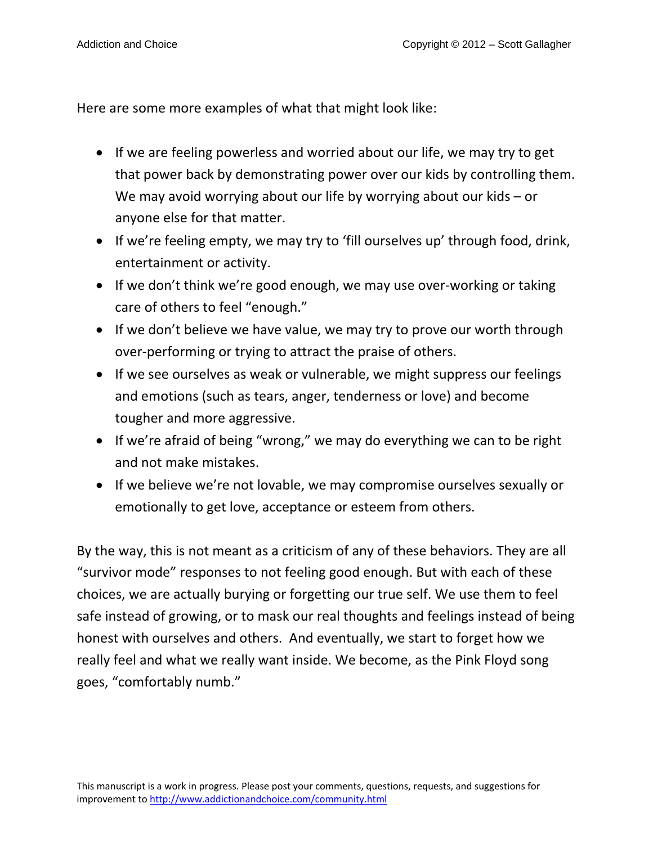Here are some more examples of what that might look like:

- If we are feeling powerless and worried about our life, we may try to get that power back by demonstrating power over our kids by controlling them. We may avoid worrying about our life by worrying about our kids – or anyone else for that matter.
- If we're feeling empty, we may try to 'fill ourselves up' through food, drink, entertainment or activity.
- If we don't think we're good enough, we may use over-working or taking care of others to feel "enough."
- If we don't believe we have value, we may try to prove our worth through over-performing or trying to attract the praise of others.
- If we see ourselves as weak or vulnerable, we might suppress our feelings and emotions (such as tears, anger, tenderness or love) and become tougher and more aggressive.
- If we're afraid of being "wrong," we may do everything we can to be right and not make mistakes.
- If we believe we're not lovable, we may compromise ourselves sexually or emotionally to get love, acceptance or esteem from others.

By the way, this is not meant as a criticism of any of these behaviors. They are all "survivor mode" responses to not feeling good enough. But with each of these choices, we are actually burying or forgetting our true self. We use them to feel safe instead of growing, or to mask our real thoughts and feelings instead of being honest with ourselves and others. And eventually, we start to forget how we really feel and what we really want inside. We become, as the Pink Floyd song goes, "comfortably numb."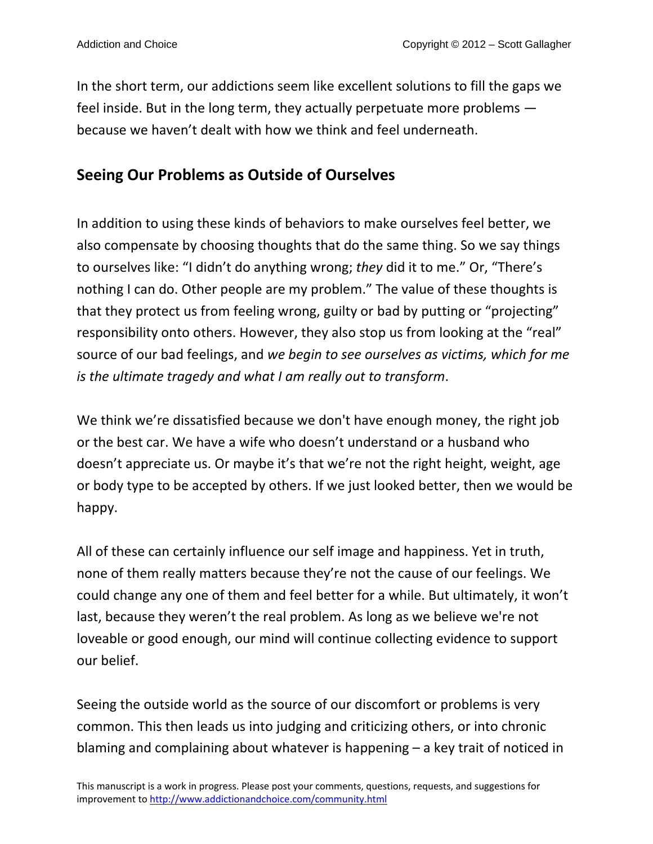In the short term, our addictions seem like excellent solutions to fill the gaps we feel inside. But in the long term, they actually perpetuate more problems because we haven't dealt with how we think and feel underneath.

# **Seeing Our Problems as Outside of Ourselves**

In addition to using these kinds of behaviors to make ourselves feel better, we also compensate by choosing thoughts that do the same thing. So we say things to ourselves like: "I didn't do anything wrong; *they* did it to me." Or, "There's nothing I can do. Other people are my problem." The value of these thoughts is that they protect us from feeling wrong, guilty or bad by putting or "projecting" responsibility onto others. However, they also stop us from looking at the "real" source of our bad feelings, and *we begin to see ourselves as victims, which for me is the ultimate tragedy and what I am really out to transform*.

We think we're dissatisfied because we don't have enough money, the right job or the best car. We have a wife who doesn't understand or a husband who doesn't appreciate us. Or maybe it's that we're not the right height, weight, age or body type to be accepted by others. If we just looked better, then we would be happy.

All of these can certainly influence our self image and happiness. Yet in truth, none of them really matters because they're not the cause of our feelings. We could change any one of them and feel better for a while. But ultimately, it won't last, because they weren't the real problem. As long as we believe we're not loveable or good enough, our mind will continue collecting evidence to support our belief.

Seeing the outside world as the source of our discomfort or problems is very common. This then leads us into judging and criticizing others, or into chronic blaming and complaining about whatever is happening – a key trait of noticed in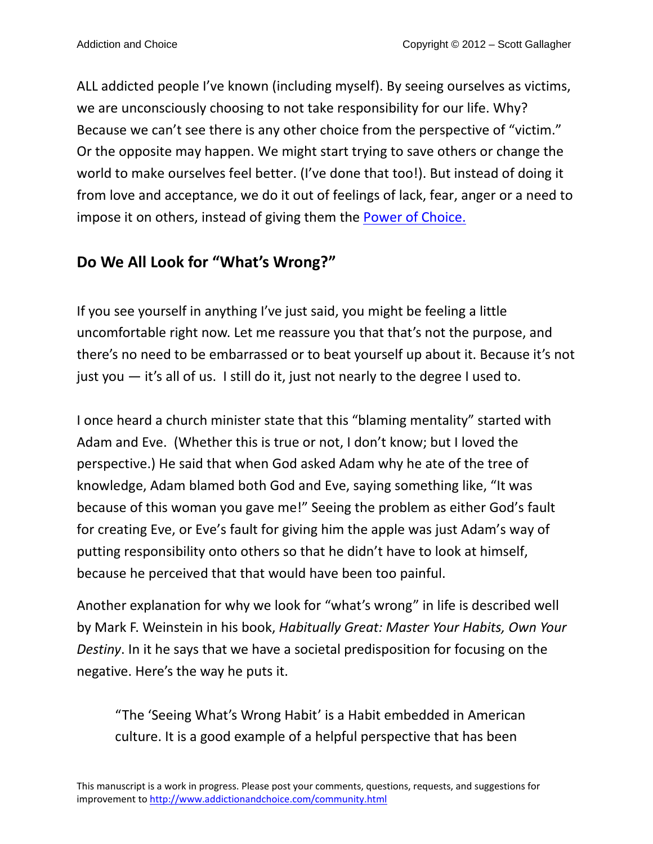ALL addicted people I've known (including myself). By seeing ourselves as victims, we are unconsciously choosing to not take responsibility for our life. Why? Because we can't see there is any other choice from the perspective of "victim." Or the opposite may happen. We might start trying to save others or change the world to make ourselves feel better. (I've done that too!). But instead of doing it from love and acceptance, we do it out of feelings of lack, fear, anger or a need to impose it on others, instead of giving them the **Power of Choice.** 

### **Do We All Look for "What's Wrong?"**

If you see yourself in anything I've just said, you might be feeling a little uncomfortable right now. Let me reassure you that that's not the purpose, and there's no need to be embarrassed or to beat yourself up about it. Because it's not just you — it's all of us. I still do it, just not nearly to the degree I used to.

I once heard a church minister state that this "blaming mentality" started with Adam and Eve. (Whether this is true or not, I don't know; but I loved the perspective.) He said that when God asked Adam why he ate of the tree of knowledge, Adam blamed both God and Eve, saying something like, "It was because of this woman you gave me!" Seeing the problem as either God's fault for creating Eve, or Eve's fault for giving him the apple was just Adam's way of putting responsibility onto others so that he didn't have to look at himself, because he perceived that that would have been too painful.

Another explanation for why we look for "what's wrong" in life is described well by Mark F. Weinstein in his book, *Habitually Great: Master Your Habits, Own Your Destiny*. In it he says that we have a societal predisposition for focusing on the negative. Here's the way he puts it.

"The 'Seeing What's Wrong Habit' is a Habit embedded in American culture. It is a good example of a helpful perspective that has been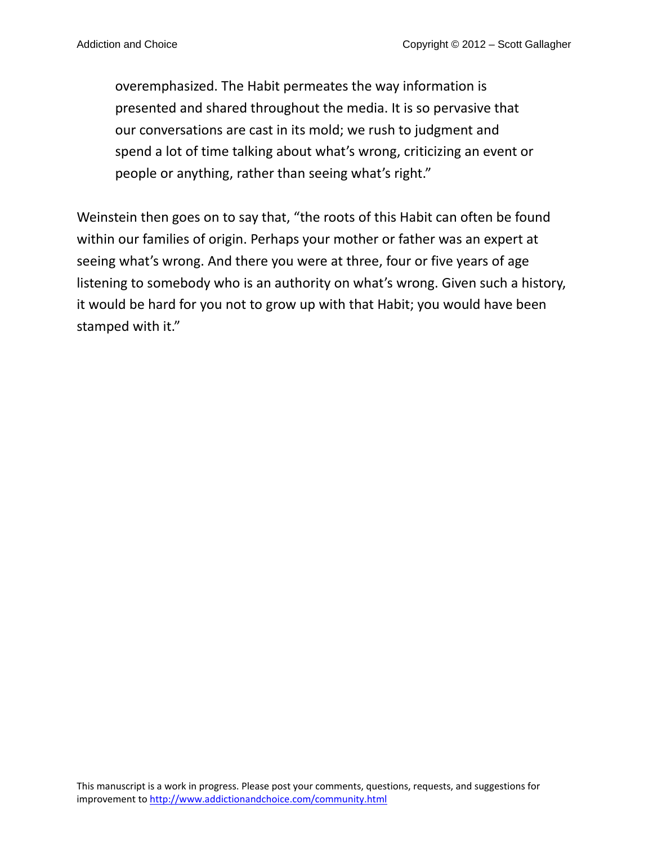overemphasized. The Habit permeates the way information is presented and shared throughout the media. It is so pervasive that our conversations are cast in its mold; we rush to judgment and spend a lot of time talking about what's wrong, criticizing an event or people or anything, rather than seeing what's right."

Weinstein then goes on to say that, "the roots of this Habit can often be found within our families of origin. Perhaps your mother or father was an expert at seeing what's wrong. And there you were at three, four or five years of age listening to somebody who is an authority on what's wrong. Given such a history, it would be hard for you not to grow up with that Habit; you would have been stamped with it."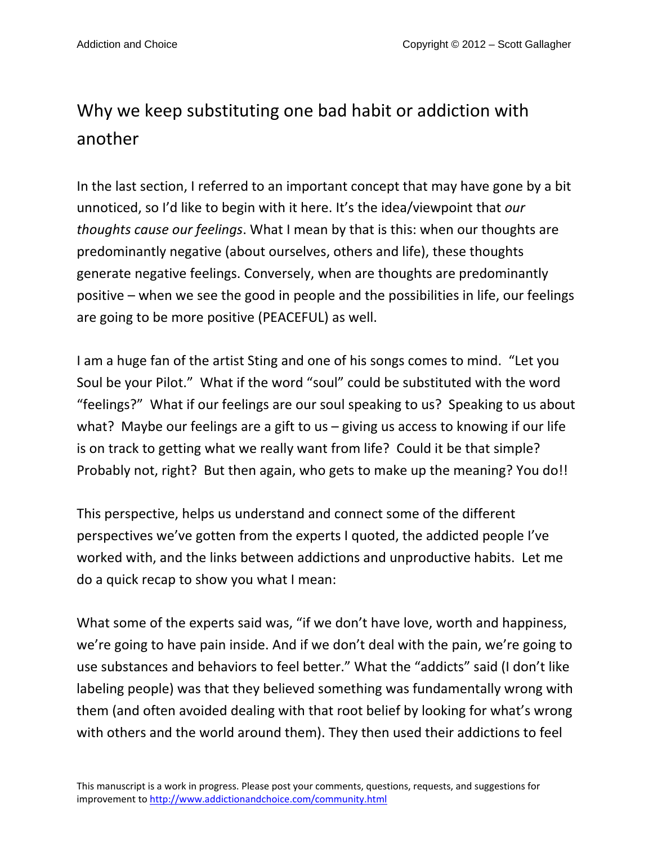# Why we keep substituting one bad habit or addiction with another

In the last section, I referred to an important concept that may have gone by a bit unnoticed, so I'd like to begin with it here. It's the idea/viewpoint that *our thoughts cause our feelings*. What I mean by that is this: when our thoughts are predominantly negative (about ourselves, others and life), these thoughts generate negative feelings. Conversely, when are thoughts are predominantly positive – when we see the good in people and the possibilities in life, our feelings are going to be more positive (PEACEFUL) as well.

I am a huge fan of the artist Sting and one of his songs comes to mind. "Let you Soul be your Pilot." What if the word "soul" could be substituted with the word "feelings?" What if our feelings are our soul speaking to us? Speaking to us about what? Maybe our feelings are a gift to us  $-$  giving us access to knowing if our life is on track to getting what we really want from life? Could it be that simple? Probably not, right? But then again, who gets to make up the meaning? You do!!

This perspective, helps us understand and connect some of the different perspectives we've gotten from the experts I quoted, the addicted people I've worked with, and the links between addictions and unproductive habits. Let me do a quick recap to show you what I mean:

What some of the experts said was, "if we don't have love, worth and happiness, we're going to have pain inside. And if we don't deal with the pain, we're going to use substances and behaviors to feel better." What the "addicts" said (I don't like labeling people) was that they believed something was fundamentally wrong with them (and often avoided dealing with that root belief by looking for what's wrong with others and the world around them). They then used their addictions to feel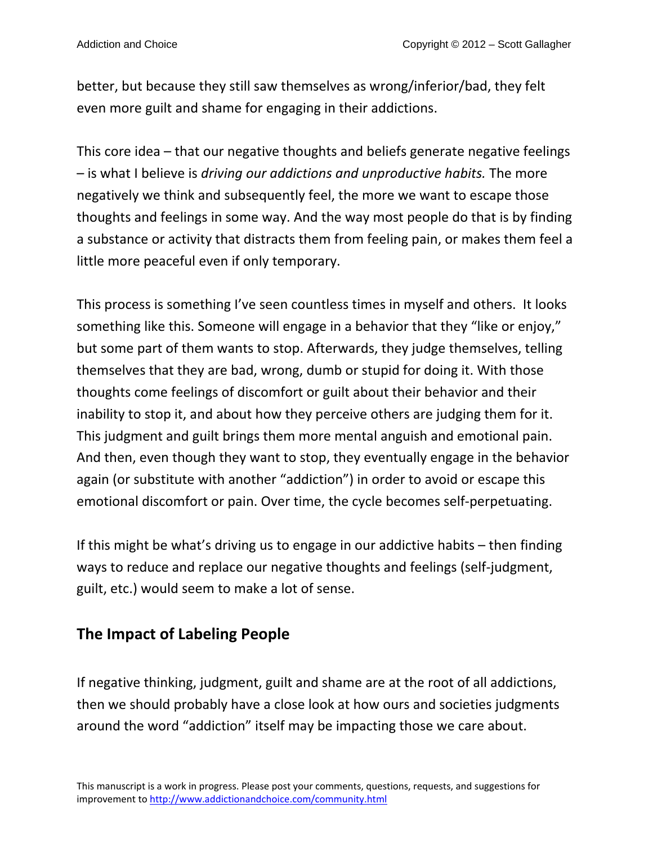better, but because they still saw themselves as wrong/inferior/bad, they felt even more guilt and shame for engaging in their addictions.

This core idea – that our negative thoughts and beliefs generate negative feelings – is what I believe is *driving our addictions and unproductive habits.* The more negatively we think and subsequently feel, the more we want to escape those thoughts and feelings in some way. And the way most people do that is by finding a substance or activity that distracts them from feeling pain, or makes them feel a little more peaceful even if only temporary.

This process is something I've seen countless times in myself and others. It looks something like this. Someone will engage in a behavior that they "like or enjoy," but some part of them wants to stop. Afterwards, they judge themselves, telling themselves that they are bad, wrong, dumb or stupid for doing it. With those thoughts come feelings of discomfort or guilt about their behavior and their inability to stop it, and about how they perceive others are judging them for it. This judgment and guilt brings them more mental anguish and emotional pain. And then, even though they want to stop, they eventually engage in the behavior again (or substitute with another "addiction") in order to avoid or escape this emotional discomfort or pain. Over time, the cycle becomes self-perpetuating.

If this might be what's driving us to engage in our addictive habits – then finding ways to reduce and replace our negative thoughts and feelings (self-judgment, guilt, etc.) would seem to make a lot of sense.

# **The Impact of Labeling People**

If negative thinking, judgment, guilt and shame are at the root of all addictions, then we should probably have a close look at how ours and societies judgments around the word "addiction" itself may be impacting those we care about.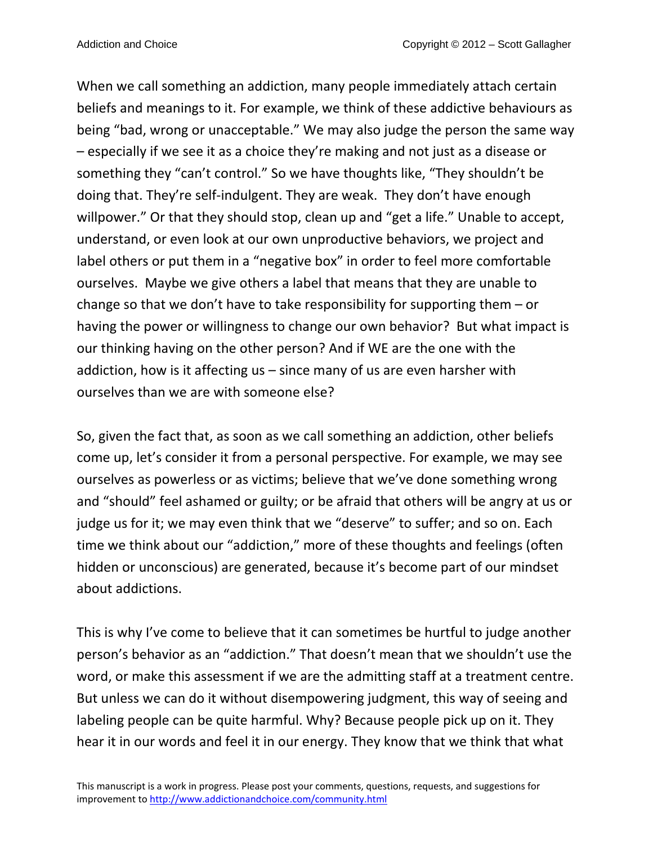When we call something an addiction, many people immediately attach certain beliefs and meanings to it. For example, we think of these addictive behaviours as being "bad, wrong or unacceptable." We may also judge the person the same way – especially if we see it as a choice they're making and not just as a disease or something they "can't control." So we have thoughts like, "They shouldn't be doing that. They're self-indulgent. They are weak. They don't have enough willpower." Or that they should stop, clean up and "get a life." Unable to accept, understand, or even look at our own unproductive behaviors, we project and label others or put them in a "negative box" in order to feel more comfortable ourselves. Maybe we give others a label that means that they are unable to change so that we don't have to take responsibility for supporting them – or having the power or willingness to change our own behavior? But what impact is our thinking having on the other person? And if WE are the one with the addiction, how is it affecting us – since many of us are even harsher with ourselves than we are with someone else?

So, given the fact that, as soon as we call something an addiction, other beliefs come up, let's consider it from a personal perspective. For example, we may see ourselves as powerless or as victims; believe that we've done something wrong and "should" feel ashamed or guilty; or be afraid that others will be angry at us or judge us for it; we may even think that we "deserve" to suffer; and so on. Each time we think about our "addiction," more of these thoughts and feelings (often hidden or unconscious) are generated, because it's become part of our mindset about addictions.

This is why I've come to believe that it can sometimes be hurtful to judge another person's behavior as an "addiction." That doesn't mean that we shouldn't use the word, or make this assessment if we are the admitting staff at a treatment centre. But unless we can do it without disempowering judgment, this way of seeing and labeling people can be quite harmful. Why? Because people pick up on it. They hear it in our words and feel it in our energy. They know that we think that what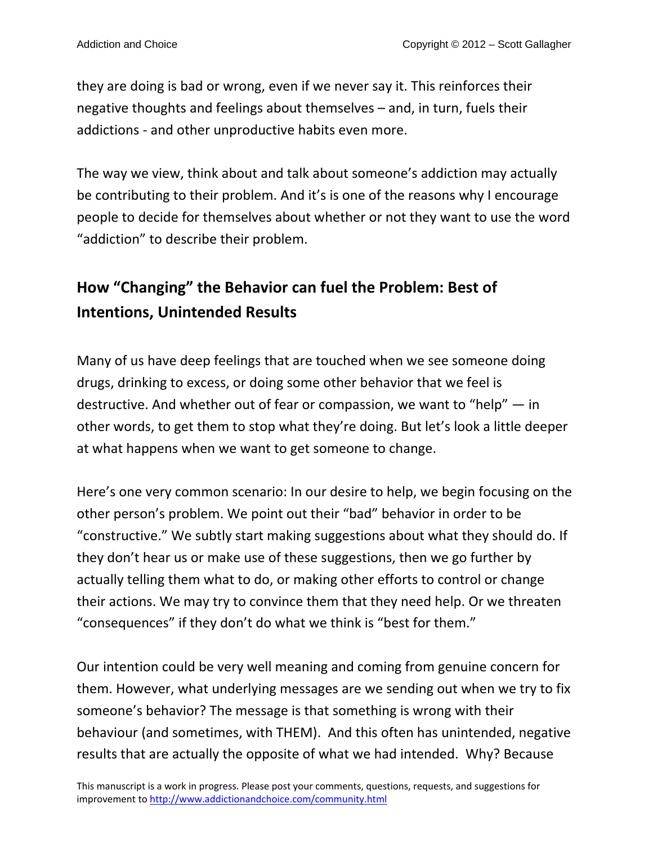they are doing is bad or wrong, even if we never say it. This reinforces their negative thoughts and feelings about themselves – and, in turn, fuels their addictions - and other unproductive habits even more.

The way we view, think about and talk about someone's addiction may actually be contributing to their problem. And it's is one of the reasons why I encourage people to decide for themselves about whether or not they want to use the word "addiction" to describe their problem.

# **How "Changing" the Behavior can fuel the Problem: Best of Intentions, Unintended Results**

Many of us have deep feelings that are touched when we see someone doing drugs, drinking to excess, or doing some other behavior that we feel is destructive. And whether out of fear or compassion, we want to "help" — in other words, to get them to stop what they're doing. But let's look a little deeper at what happens when we want to get someone to change.

Here's one very common scenario: In our desire to help, we begin focusing on the other person's problem. We point out their "bad" behavior in order to be "constructive." We subtly start making suggestions about what they should do. If they don't hear us or make use of these suggestions, then we go further by actually telling them what to do, or making other efforts to control or change their actions. We may try to convince them that they need help. Or we threaten "consequences" if they don't do what we think is "best for them."

Our intention could be very well meaning and coming from genuine concern for them. However, what underlying messages are we sending out when we try to fix someone's behavior? The message is that something is wrong with their behaviour (and sometimes, with THEM). And this often has unintended, negative results that are actually the opposite of what we had intended. Why? Because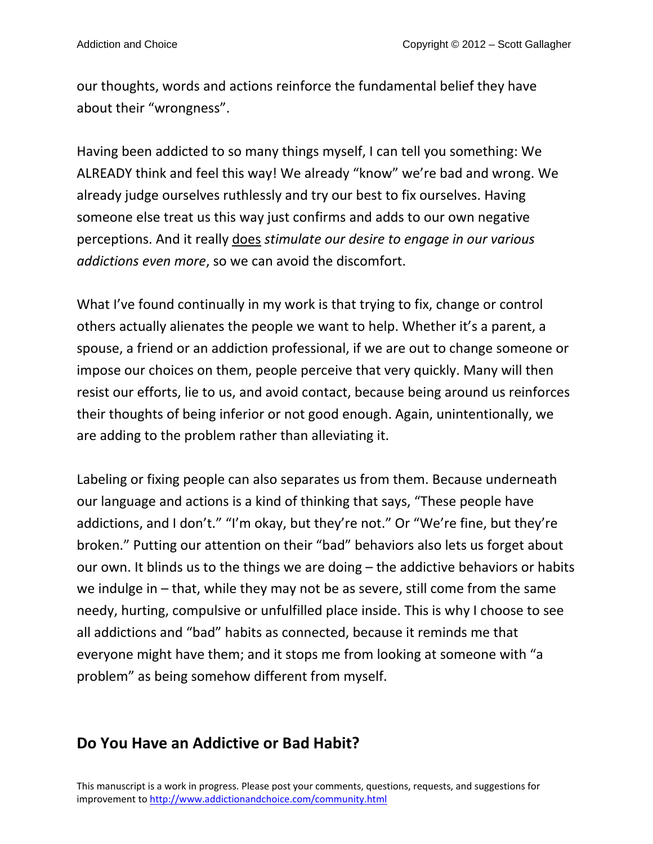our thoughts, words and actions reinforce the fundamental belief they have about their "wrongness".

Having been addicted to so many things myself, I can tell you something: We ALREADY think and feel this way! We already "know" we're bad and wrong. We already judge ourselves ruthlessly and try our best to fix ourselves. Having someone else treat us this way just confirms and adds to our own negative perceptions. And it really does *stimulate our desire to engage in our various addictions even more*, so we can avoid the discomfort.

What I've found continually in my work is that trying to fix, change or control others actually alienates the people we want to help. Whether it's a parent, a spouse, a friend or an addiction professional, if we are out to change someone or impose our choices on them, people perceive that very quickly. Many will then resist our efforts, lie to us, and avoid contact, because being around us reinforces their thoughts of being inferior or not good enough. Again, unintentionally, we are adding to the problem rather than alleviating it.

Labeling or fixing people can also separates us from them. Because underneath our language and actions is a kind of thinking that says, "These people have addictions, and I don't." "I'm okay, but they're not." Or "We're fine, but they're broken." Putting our attention on their "bad" behaviors also lets us forget about our own. It blinds us to the things we are doing – the addictive behaviors or habits we indulge in – that, while they may not be as severe, still come from the same needy, hurting, compulsive or unfulfilled place inside. This is why I choose to see all addictions and "bad" habits as connected, because it reminds me that everyone might have them; and it stops me from looking at someone with "a problem" as being somehow different from myself.

# **Do You Have an Addictive or Bad Habit?**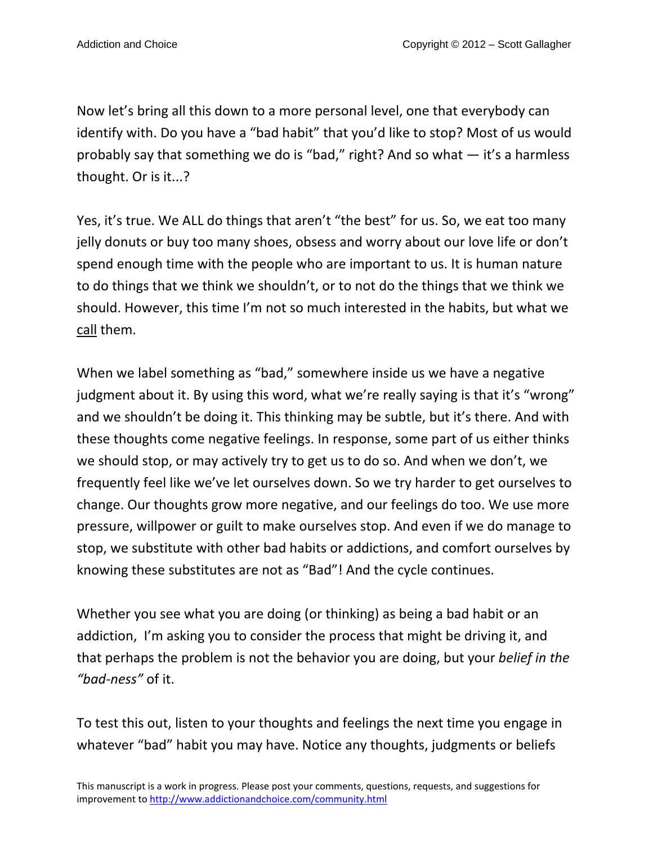Now let's bring all this down to a more personal level, one that everybody can identify with. Do you have a "bad habit" that you'd like to stop? Most of us would probably say that something we do is "bad," right? And so what — it's a harmless thought. Or is it...?

Yes, it's true. We ALL do things that aren't "the best" for us. So, we eat too many jelly donuts or buy too many shoes, obsess and worry about our love life or don't spend enough time with the people who are important to us. It is human nature to do things that we think we shouldn't, or to not do the things that we think we should. However, this time I'm not so much interested in the habits, but what we call them.

When we label something as "bad," somewhere inside us we have a negative judgment about it. By using this word, what we're really saying is that it's "wrong" and we shouldn't be doing it. This thinking may be subtle, but it's there. And with these thoughts come negative feelings. In response, some part of us either thinks we should stop, or may actively try to get us to do so. And when we don't, we frequently feel like we've let ourselves down. So we try harder to get ourselves to change. Our thoughts grow more negative, and our feelings do too. We use more pressure, willpower or guilt to make ourselves stop. And even if we do manage to stop, we substitute with other bad habits or addictions, and comfort ourselves by knowing these substitutes are not as "Bad"! And the cycle continues.

Whether you see what you are doing (or thinking) as being a bad habit or an addiction, I'm asking you to consider the process that might be driving it, and that perhaps the problem is not the behavior you are doing, but your *belief in the "bad-ness"* of it.

To test this out, listen to your thoughts and feelings the next time you engage in whatever "bad" habit you may have. Notice any thoughts, judgments or beliefs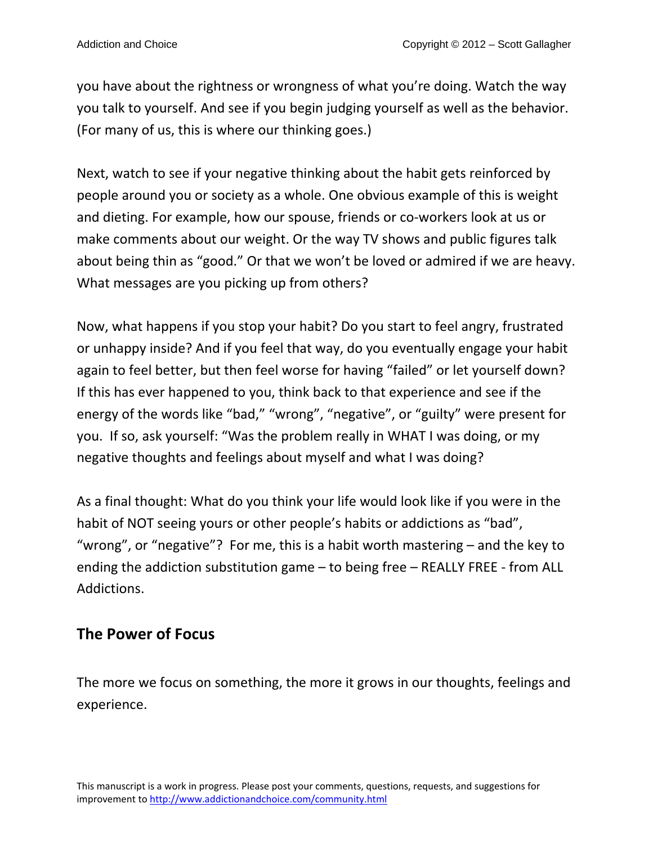you have about the rightness or wrongness of what you're doing. Watch the way you talk to yourself. And see if you begin judging yourself as well as the behavior. (For many of us, this is where our thinking goes.)

Next, watch to see if your negative thinking about the habit gets reinforced by people around you or society as a whole. One obvious example of this is weight and dieting. For example, how our spouse, friends or co-workers look at us or make comments about our weight. Or the way TV shows and public figures talk about being thin as "good." Or that we won't be loved or admired if we are heavy. What messages are you picking up from others?

Now, what happens if you stop your habit? Do you start to feel angry, frustrated or unhappy inside? And if you feel that way, do you eventually engage your habit again to feel better, but then feel worse for having "failed" or let yourself down? If this has ever happened to you, think back to that experience and see if the energy of the words like "bad," "wrong", "negative", or "guilty" were present for you. If so, ask yourself: "Was the problem really in WHAT I was doing, or my negative thoughts and feelings about myself and what I was doing?

As a final thought: What do you think your life would look like if you were in the habit of NOT seeing yours or other people's habits or addictions as "bad", "wrong", or "negative"? For me, this is a habit worth mastering – and the key to ending the addiction substitution game – to being free – REALLY FREE - from ALL Addictions.

### **The Power of Focus**

The more we focus on something, the more it grows in our thoughts, feelings and experience.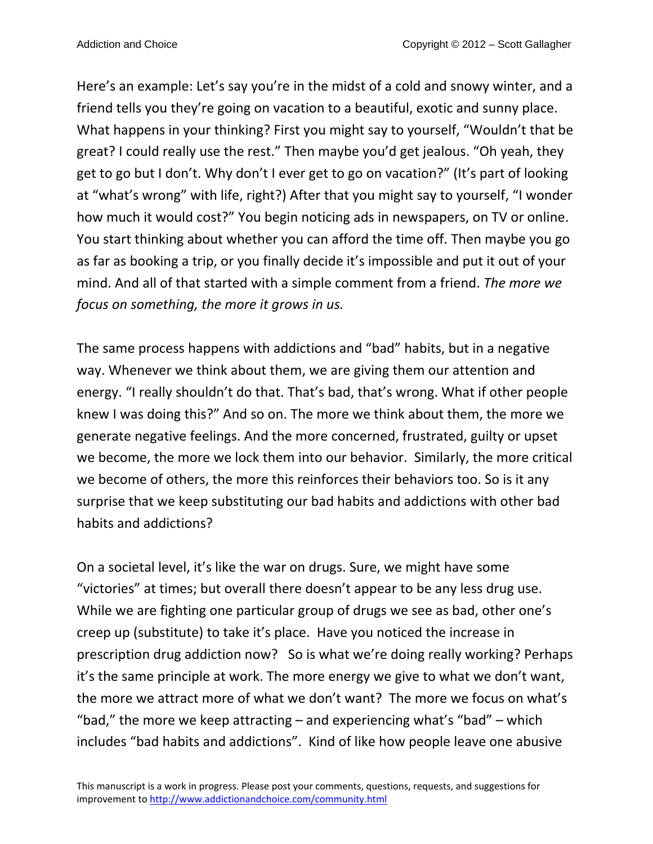Here's an example: Let's say you're in the midst of a cold and snowy winter, and a friend tells you they're going on vacation to a beautiful, exotic and sunny place. What happens in your thinking? First you might say to yourself, "Wouldn't that be great? I could really use the rest." Then maybe you'd get jealous. "Oh yeah, they get to go but I don't. Why don't I ever get to go on vacation?" (It's part of looking at "what's wrong" with life, right?) After that you might say to yourself, "I wonder how much it would cost?" You begin noticing ads in newspapers, on TV or online. You start thinking about whether you can afford the time off. Then maybe you go as far as booking a trip, or you finally decide it's impossible and put it out of your mind. And all of that started with a simple comment from a friend. *The more we focus on something, the more it grows in us.*

The same process happens with addictions and "bad" habits, but in a negative way. Whenever we think about them, we are giving them our attention and energy. "I really shouldn't do that. That's bad, that's wrong. What if other people knew I was doing this?" And so on. The more we think about them, the more we generate negative feelings. And the more concerned, frustrated, guilty or upset we become, the more we lock them into our behavior. Similarly, the more critical we become of others, the more this reinforces their behaviors too. So is it any surprise that we keep substituting our bad habits and addictions with other bad habits and addictions?

On a societal level, it's like the war on drugs. Sure, we might have some "victories" at times; but overall there doesn't appear to be any less drug use. While we are fighting one particular group of drugs we see as bad, other one's creep up (substitute) to take it's place. Have you noticed the increase in prescription drug addiction now? So is what we're doing really working? Perhaps it's the same principle at work. The more energy we give to what we don't want, the more we attract more of what we don't want? The more we focus on what's "bad," the more we keep attracting  $-$  and experiencing what's "bad"  $-$  which includes "bad habits and addictions". Kind of like how people leave one abusive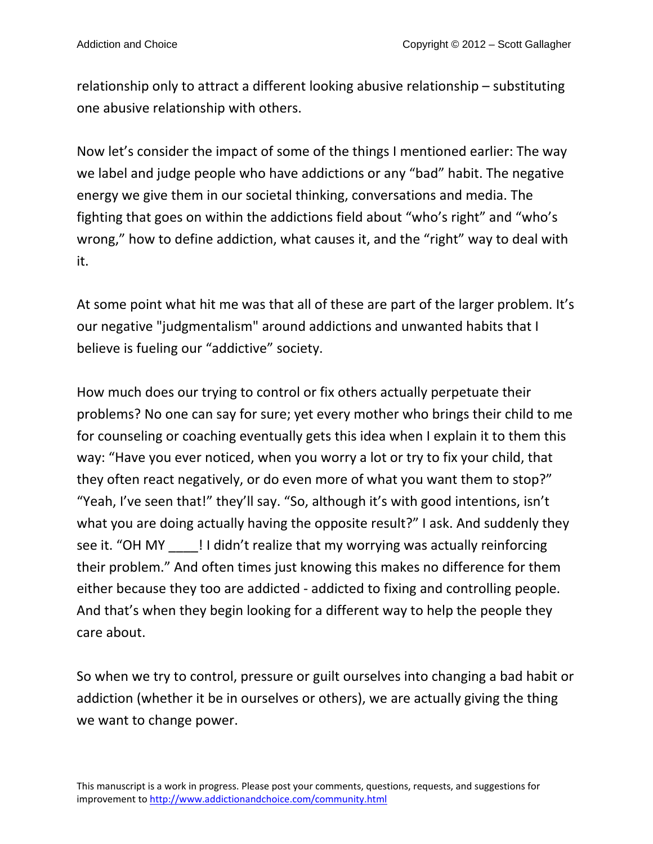relationship only to attract a different looking abusive relationship – substituting one abusive relationship with others.

Now let's consider the impact of some of the things I mentioned earlier: The way we label and judge people who have addictions or any "bad" habit. The negative energy we give them in our societal thinking, conversations and media. The fighting that goes on within the addictions field about "who's right" and "who's wrong," how to define addiction, what causes it, and the "right" way to deal with it.

At some point what hit me was that all of these are part of the larger problem. It's our negative "judgmentalism" around addictions and unwanted habits that I believe is fueling our "addictive" society.

How much does our trying to control or fix others actually perpetuate their problems? No one can say for sure; yet every mother who brings their child to me for counseling or coaching eventually gets this idea when I explain it to them this way: "Have you ever noticed, when you worry a lot or try to fix your child, that they often react negatively, or do even more of what you want them to stop?" "Yeah, I've seen that!" they'll say. "So, although it's with good intentions, isn't what you are doing actually having the opposite result?" I ask. And suddenly they see it. "OH MY \_\_\_\_! I didn't realize that my worrying was actually reinforcing their problem." And often times just knowing this makes no difference for them either because they too are addicted - addicted to fixing and controlling people. And that's when they begin looking for a different way to help the people they care about.

So when we try to control, pressure or guilt ourselves into changing a bad habit or addiction (whether it be in ourselves or others), we are actually giving the thing we want to change power.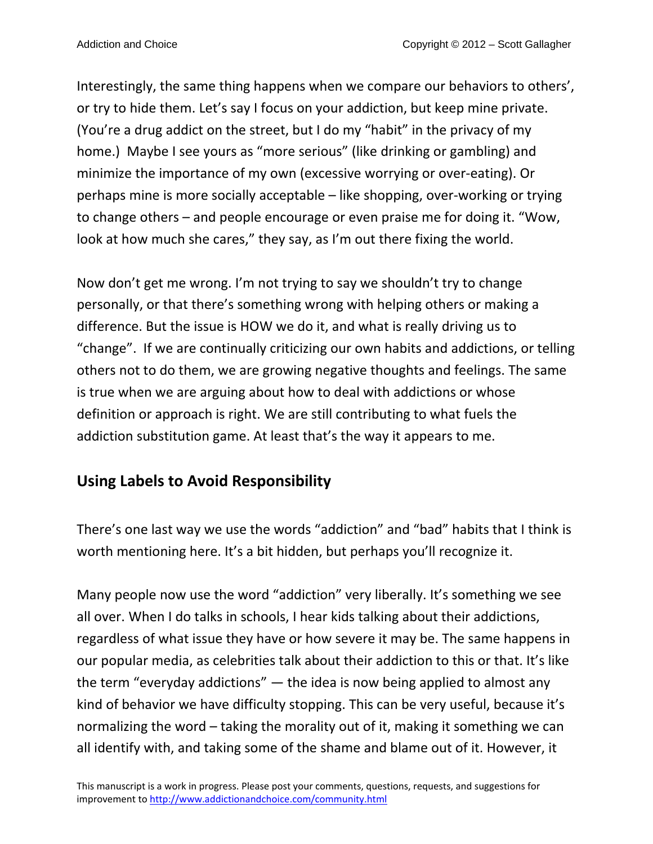Interestingly, the same thing happens when we compare our behaviors to others', or try to hide them. Let's say I focus on your addiction, but keep mine private. (You're a drug addict on the street, but I do my "habit" in the privacy of my home.) Maybe I see yours as "more serious" (like drinking or gambling) and minimize the importance of my own (excessive worrying or over-eating). Or perhaps mine is more socially acceptable – like shopping, over-working or trying to change others – and people encourage or even praise me for doing it. "Wow, look at how much she cares," they say, as I'm out there fixing the world.

Now don't get me wrong. I'm not trying to say we shouldn't try to change personally, or that there's something wrong with helping others or making a difference. But the issue is HOW we do it, and what is really driving us to "change". If we are continually criticizing our own habits and addictions, or telling others not to do them, we are growing negative thoughts and feelings. The same is true when we are arguing about how to deal with addictions or whose definition or approach is right. We are still contributing to what fuels the addiction substitution game. At least that's the way it appears to me.

# **Using Labels to Avoid Responsibility**

There's one last way we use the words "addiction" and "bad" habits that I think is worth mentioning here. It's a bit hidden, but perhaps you'll recognize it.

Many people now use the word "addiction" very liberally. It's something we see all over. When I do talks in schools, I hear kids talking about their addictions, regardless of what issue they have or how severe it may be. The same happens in our popular media, as celebrities talk about their addiction to this or that. It's like the term "everyday addictions" — the idea is now being applied to almost any kind of behavior we have difficulty stopping. This can be very useful, because it's normalizing the word – taking the morality out of it, making it something we can all identify with, and taking some of the shame and blame out of it. However, it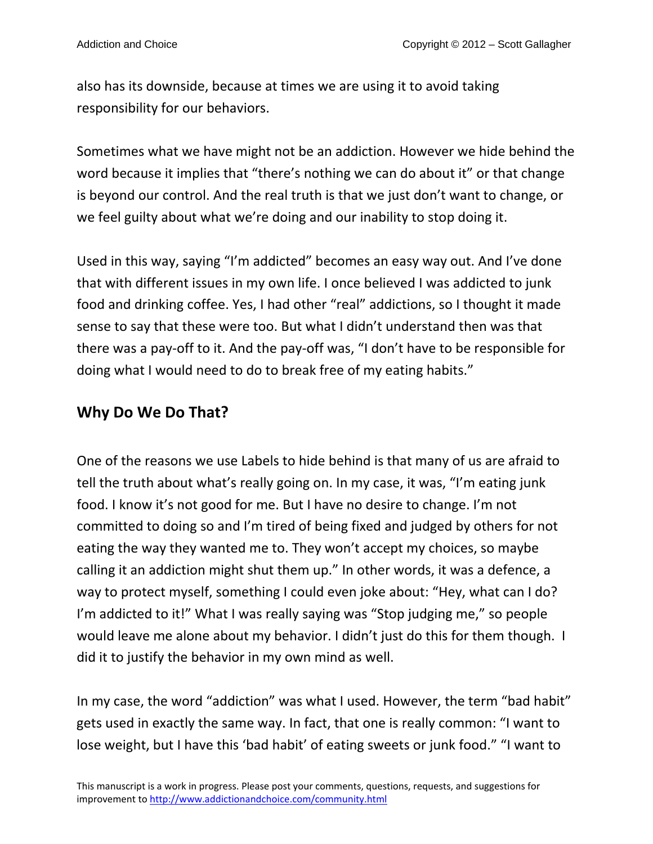also has its downside, because at times we are using it to avoid taking responsibility for our behaviors.

Sometimes what we have might not be an addiction. However we hide behind the word because it implies that "there's nothing we can do about it" or that change is beyond our control. And the real truth is that we just don't want to change, or we feel guilty about what we're doing and our inability to stop doing it.

Used in this way, saying "I'm addicted" becomes an easy way out. And I've done that with different issues in my own life. I once believed I was addicted to junk food and drinking coffee. Yes, I had other "real" addictions, so I thought it made sense to say that these were too. But what I didn't understand then was that there was a pay-off to it. And the pay-off was, "I don't have to be responsible for doing what I would need to do to break free of my eating habits."

### **Why Do We Do That?**

One of the reasons we use Labels to hide behind is that many of us are afraid to tell the truth about what's really going on. In my case, it was, "I'm eating junk food. I know it's not good for me. But I have no desire to change. I'm not committed to doing so and I'm tired of being fixed and judged by others for not eating the way they wanted me to. They won't accept my choices, so maybe calling it an addiction might shut them up." In other words, it was a defence, a way to protect myself, something I could even joke about: "Hey, what can I do? I'm addicted to it!" What I was really saying was "Stop judging me," so people would leave me alone about my behavior. I didn't just do this for them though. I did it to justify the behavior in my own mind as well.

In my case, the word "addiction" was what I used. However, the term "bad habit" gets used in exactly the same way. In fact, that one is really common: "I want to lose weight, but I have this 'bad habit' of eating sweets or junk food." "I want to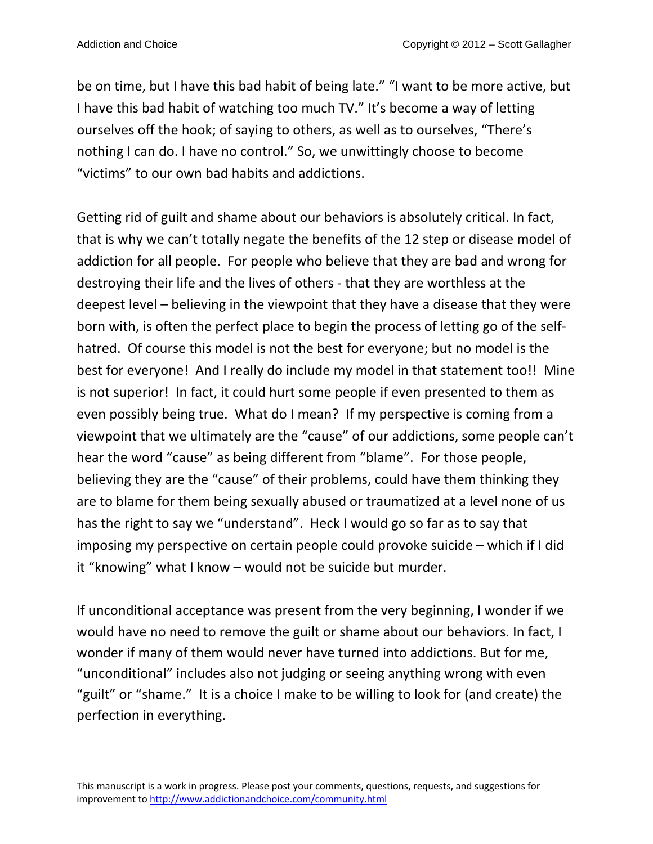be on time, but I have this bad habit of being late." "I want to be more active, but I have this bad habit of watching too much TV." It's become a way of letting ourselves off the hook; of saying to others, as well as to ourselves, "There's nothing I can do. I have no control." So, we unwittingly choose to become "victims" to our own bad habits and addictions.

Getting rid of guilt and shame about our behaviors is absolutely critical. In fact, that is why we can't totally negate the benefits of the 12 step or disease model of addiction for all people. For people who believe that they are bad and wrong for destroying their life and the lives of others - that they are worthless at the deepest level – believing in the viewpoint that they have a disease that they were born with, is often the perfect place to begin the process of letting go of the selfhatred. Of course this model is not the best for everyone; but no model is the best for everyone! And I really do include my model in that statement too!! Mine is not superior! In fact, it could hurt some people if even presented to them as even possibly being true. What do I mean? If my perspective is coming from a viewpoint that we ultimately are the "cause" of our addictions, some people can't hear the word "cause" as being different from "blame". For those people, believing they are the "cause" of their problems, could have them thinking they are to blame for them being sexually abused or traumatized at a level none of us has the right to say we "understand". Heck I would go so far as to say that imposing my perspective on certain people could provoke suicide – which if I did it "knowing" what I know – would not be suicide but murder.

If unconditional acceptance was present from the very beginning, I wonder if we would have no need to remove the guilt or shame about our behaviors. In fact, I wonder if many of them would never have turned into addictions. But for me, "unconditional" includes also not judging or seeing anything wrong with even "guilt" or "shame." It is a choice I make to be willing to look for (and create) the perfection in everything.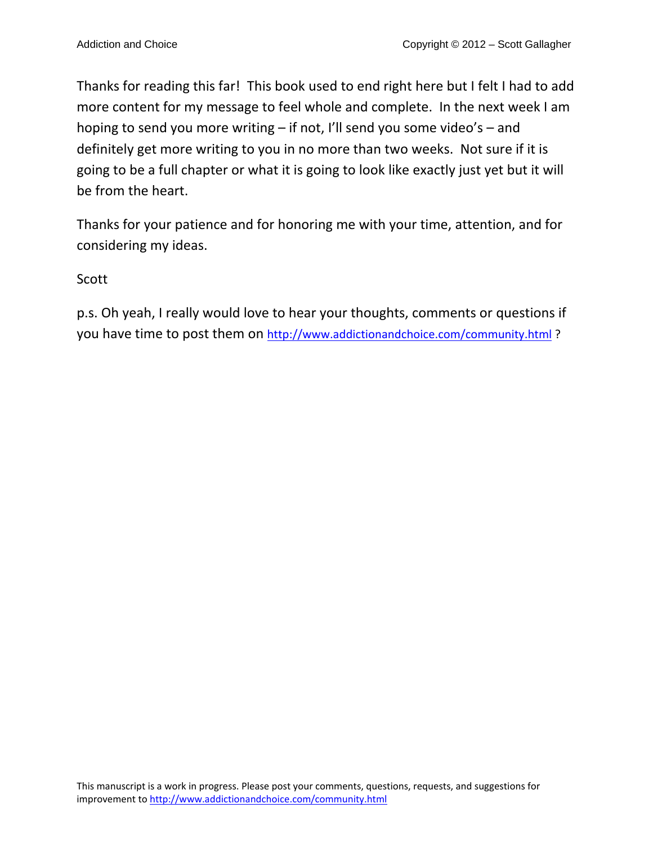Thanks for reading this far! This book used to end right here but I felt I had to add more content for my message to feel whole and complete. In the next week I am hoping to send you more writing – if not, I'll send you some video's – and definitely get more writing to you in no more than two weeks. Not sure if it is going to be a full chapter or what it is going to look like exactly just yet but it will be from the heart.

Thanks for your patience and for honoring me with your time, attention, and for considering my ideas.

Scott

p.s. Oh yeah, I really would love to hear your thoughts, comments or questions if you have time to post them on<http://www.addictionandchoice.com/community.html> ?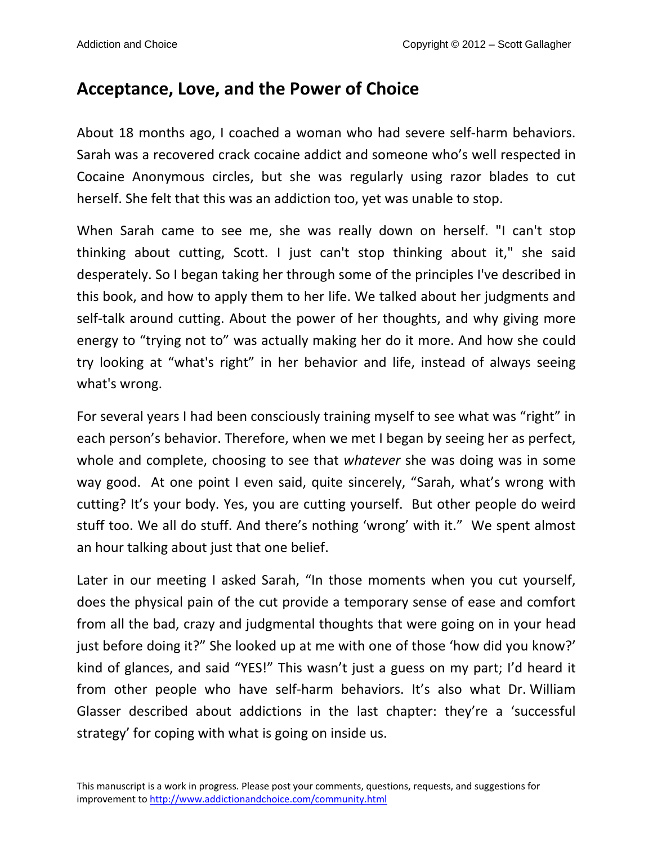# **Acceptance, Love, and the Power of Choice**

About 18 months ago, I coached a woman who had severe self-harm behaviors. Sarah was a recovered crack cocaine addict and someone who's well respected in Cocaine Anonymous circles, but she was regularly using razor blades to cut herself. She felt that this was an addiction too, yet was unable to stop.

When Sarah came to see me, she was really down on herself. "I can't stop thinking about cutting, Scott. I just can't stop thinking about it," she said desperately. So I began taking her through some of the principles I've described in this book, and how to apply them to her life. We talked about her judgments and self-talk around cutting. About the power of her thoughts, and why giving more energy to "trying not to" was actually making her do it more. And how she could try looking at "what's right" in her behavior and life, instead of always seeing what's wrong.

For several years I had been consciously training myself to see what was "right" in each person's behavior. Therefore, when we met I began by seeing her as perfect, whole and complete, choosing to see that *whatever* she was doing was in some way good. At one point I even said, quite sincerely, "Sarah, what's wrong with cutting? It's your body. Yes, you are cutting yourself. But other people do weird stuff too. We all do stuff. And there's nothing 'wrong' with it." We spent almost an hour talking about just that one belief.

Later in our meeting I asked Sarah, "In those moments when you cut yourself, does the physical pain of the cut provide a temporary sense of ease and comfort from all the bad, crazy and judgmental thoughts that were going on in your head just before doing it?" She looked up at me with one of those 'how did you know?' kind of glances, and said "YES!" This wasn't just a guess on my part; I'd heard it from other people who have self-harm behaviors. It's also what Dr. William Glasser described about addictions in the last chapter: they're a 'successful strategy' for coping with what is going on inside us.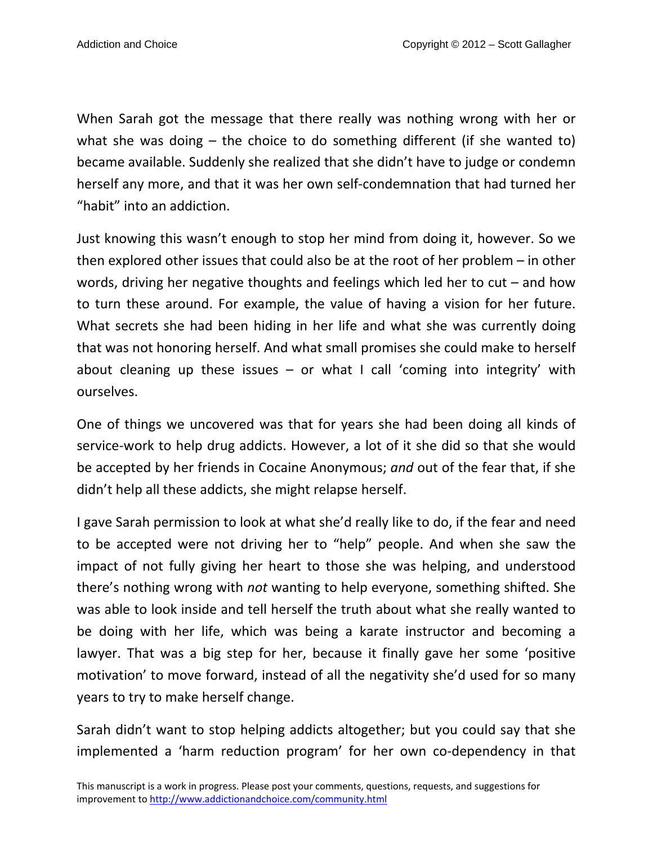When Sarah got the message that there really was nothing wrong with her or what she was doing – the choice to do something different (if she wanted to) became available. Suddenly she realized that she didn't have to judge or condemn herself any more, and that it was her own self-condemnation that had turned her "habit" into an addiction.

Just knowing this wasn't enough to stop her mind from doing it, however. So we then explored other issues that could also be at the root of her problem – in other words, driving her negative thoughts and feelings which led her to cut  $-$  and how to turn these around. For example, the value of having a vision for her future. What secrets she had been hiding in her life and what she was currently doing that was not honoring herself. And what small promises she could make to herself about cleaning up these issues  $-$  or what I call 'coming into integrity' with ourselves.

One of things we uncovered was that for years she had been doing all kinds of service-work to help drug addicts. However, a lot of it she did so that she would be accepted by her friends in Cocaine Anonymous; *and* out of the fear that, if she didn't help all these addicts, she might relapse herself.

I gave Sarah permission to look at what she'd really like to do, if the fear and need to be accepted were not driving her to "help" people. And when she saw the impact of not fully giving her heart to those she was helping, and understood there's nothing wrong with *not* wanting to help everyone, something shifted. She was able to look inside and tell herself the truth about what she really wanted to be doing with her life, which was being a karate instructor and becoming a lawyer. That was a big step for her, because it finally gave her some 'positive motivation' to move forward, instead of all the negativity she'd used for so many years to try to make herself change.

Sarah didn't want to stop helping addicts altogether; but you could say that she implemented a 'harm reduction program' for her own co-dependency in that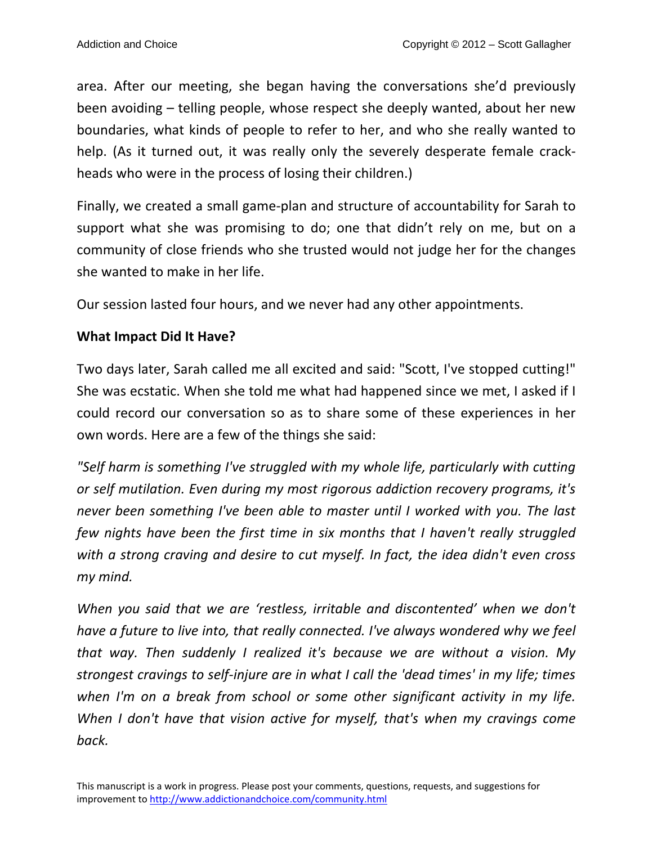area. After our meeting, she began having the conversations she'd previously been avoiding – telling people, whose respect she deeply wanted, about her new boundaries, what kinds of people to refer to her, and who she really wanted to help. (As it turned out, it was really only the severely desperate female crackheads who were in the process of losing their children.)

Finally, we created a small game-plan and structure of accountability for Sarah to support what she was promising to do; one that didn't rely on me, but on a community of close friends who she trusted would not judge her for the changes she wanted to make in her life.

Our session lasted four hours, and we never had any other appointments.

#### **What Impact Did It Have?**

Two days later, Sarah called me all excited and said: "Scott, I've stopped cutting!" She was ecstatic. When she told me what had happened since we met, I asked if I could record our conversation so as to share some of these experiences in her own words. Here are a few of the things she said:

*"Self harm is something I've struggled with my whole life, particularly with cutting or self mutilation. Even during my most rigorous addiction recovery programs, it's never been something I've been able to master until I worked with you. The last few nights have been the first time in six months that I haven't really struggled with a strong craving and desire to cut myself. In fact, the idea didn't even cross my mind.*

*When you said that we are 'restless, irritable and discontented' when we don't have a future to live into, that really connected. I've always wondered why we feel that way. Then suddenly I realized it's because we are without a vision. My strongest cravings to self-injure are in what I call the 'dead times' in my life; times when I'm on a break from school or some other significant activity in my life. When I don't have that vision active for myself, that's when my cravings come back.*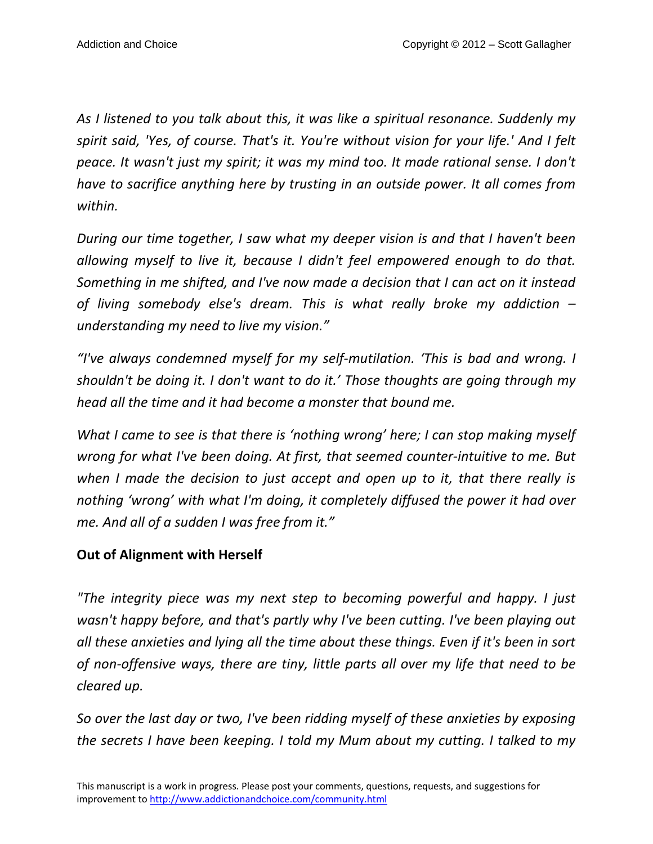*As I listened to you talk about this, it was like a spiritual resonance. Suddenly my spirit said, 'Yes, of course. That's it. You're without vision for your life.' And I felt peace. It wasn't just my spirit; it was my mind too. It made rational sense. I don't have to sacrifice anything here by trusting in an outside power. It all comes from within.*

*During our time together, I saw what my deeper vision is and that I haven't been allowing myself to live it, because I didn't feel empowered enough to do that. Something in me shifted, and I've now made a decision that I can act on it instead of living somebody else's dream. This is what really broke my addiction – understanding my need to live my vision."*

*"I've always condemned myself for my self-mutilation. 'This is bad and wrong. I shouldn't be doing it. I don't want to do it.' Those thoughts are going through my head all the time and it had become a monster that bound me.*

*What I came to see is that there is 'nothing wrong' here; I can stop making myself wrong for what I've been doing. At first, that seemed counter-intuitive to me. But when I made the decision to just accept and open up to it, that there really is*  nothing 'wrong' with what I'm doing, it completely diffused the power it had over *me. And all of a sudden I was free from it."*

### **Out of Alignment with Herself**

*"The integrity piece was my next step to becoming powerful and happy. I just wasn't happy before, and that's partly why I've been cutting. I've been playing out all these anxieties and lying all the time about these things. Even if it's been in sort of non-offensive ways, there are tiny, little parts all over my life that need to be cleared up.*

*So over the last day or two, I've been ridding myself of these anxieties by exposing the secrets I have been keeping. I told my Mum about my cutting. I talked to my*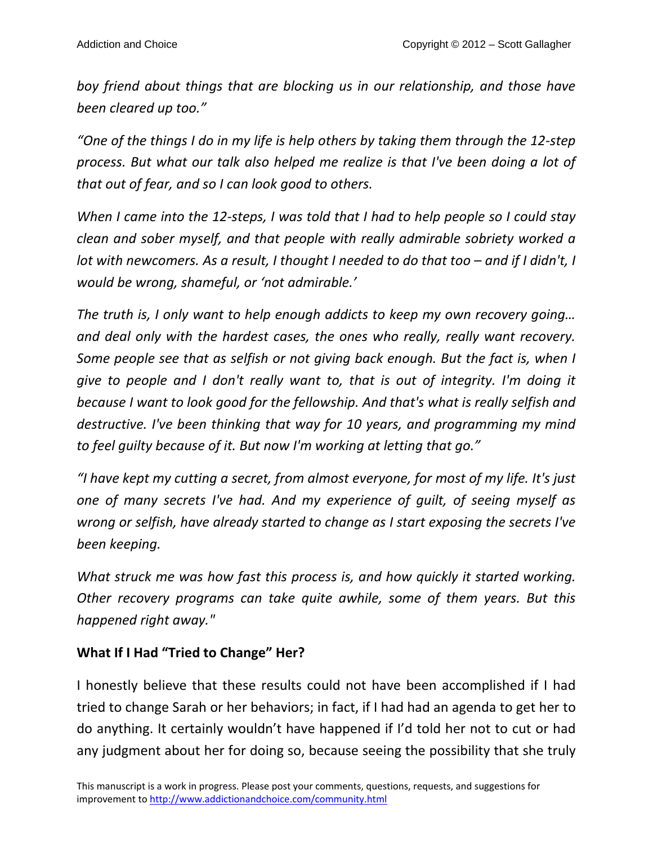*boy friend about things that are blocking us in our relationship, and those have been cleared up too."*

*"One of the things I do in my life is help others by taking them through the 12-step process. But what our talk also helped me realize is that I've been doing a lot of that out of fear, and so I can look good to others.*

*When I came into the 12-steps, I was told that I had to help people so I could stay clean and sober myself, and that people with really admirable sobriety worked a lot with newcomers. As a result, I thought I needed to do that too – and if I didn't, I would be wrong, shameful, or 'not admirable.'*

*The truth is, I only want to help enough addicts to keep my own recovery going… and deal only with the hardest cases, the ones who really, really want recovery. Some people see that as selfish or not giving back enough. But the fact is, when I give to people and I don't really want to, that is out of integrity. I'm doing it because I want to look good for the fellowship. And that's what is really selfish and destructive. I've been thinking that way for 10 years, and programming my mind to feel guilty because of it. But now I'm working at letting that go."* 

*"I have kept my cutting a secret, from almost everyone, for most of my life. It's just one of many secrets I've had. And my experience of guilt, of seeing myself as wrong or selfish, have already started to change as I start exposing the secrets I've been keeping.* 

*What struck me was how fast this process is, and how quickly it started working. Other recovery programs can take quite awhile, some of them years. But this happened right away."*

### **What If I Had "Tried to Change" Her?**

I honestly believe that these results could not have been accomplished if I had tried to change Sarah or her behaviors; in fact, if I had had an agenda to get her to do anything. It certainly wouldn't have happened if I'd told her not to cut or had any judgment about her for doing so, because seeing the possibility that she truly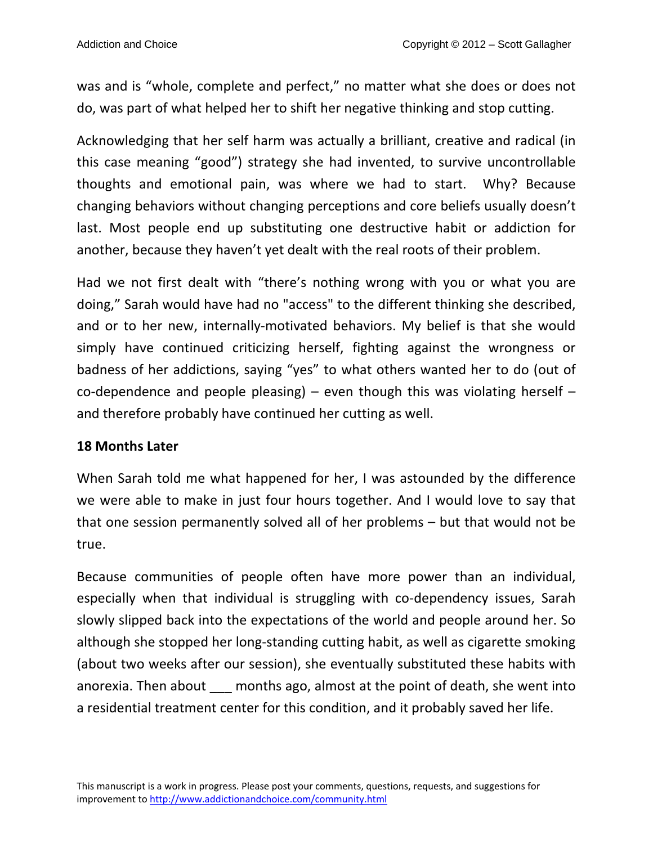was and is "whole, complete and perfect," no matter what she does or does not do, was part of what helped her to shift her negative thinking and stop cutting.

Acknowledging that her self harm was actually a brilliant, creative and radical (in this case meaning "good") strategy she had invented, to survive uncontrollable thoughts and emotional pain, was where we had to start. Why? Because changing behaviors without changing perceptions and core beliefs usually doesn't last. Most people end up substituting one destructive habit or addiction for another, because they haven't yet dealt with the real roots of their problem.

Had we not first dealt with "there's nothing wrong with you or what you are doing," Sarah would have had no "access" to the different thinking she described, and or to her new, internally-motivated behaviors. My belief is that she would simply have continued criticizing herself, fighting against the wrongness or badness of her addictions, saying "yes" to what others wanted her to do (out of co-dependence and people pleasing) – even though this was violating herself – and therefore probably have continued her cutting as well.

### **18 Months Later**

When Sarah told me what happened for her, I was astounded by the difference we were able to make in just four hours together. And I would love to say that that one session permanently solved all of her problems – but that would not be true.

Because communities of people often have more power than an individual, especially when that individual is struggling with co-dependency issues, Sarah slowly slipped back into the expectations of the world and people around her. So although she stopped her long-standing cutting habit, as well as cigarette smoking (about two weeks after our session), she eventually substituted these habits with anorexia. Then about months ago, almost at the point of death, she went into a residential treatment center for this condition, and it probably saved her life.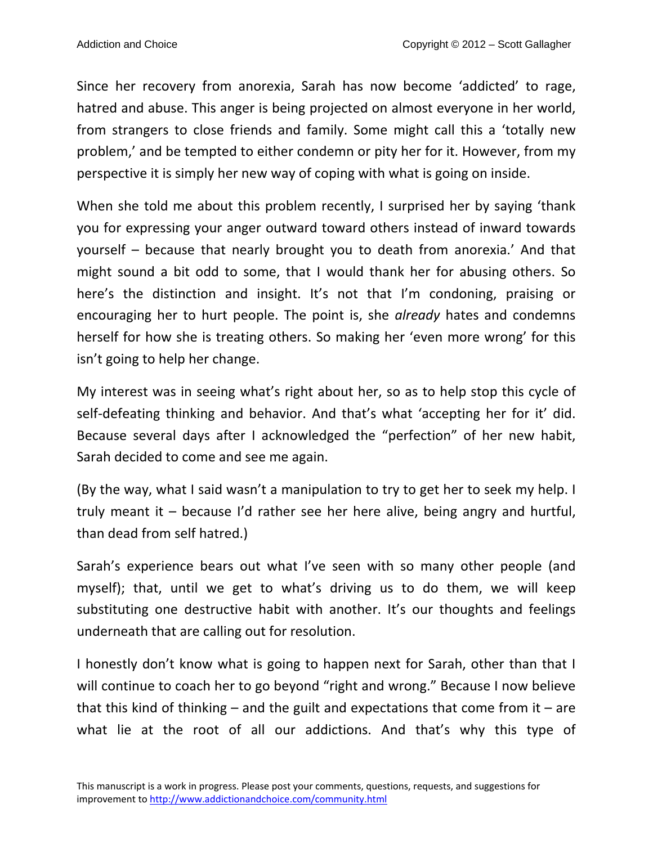Since her recovery from anorexia, Sarah has now become 'addicted' to rage, hatred and abuse. This anger is being projected on almost everyone in her world, from strangers to close friends and family. Some might call this a 'totally new problem,' and be tempted to either condemn or pity her for it. However, from my perspective it is simply her new way of coping with what is going on inside.

When she told me about this problem recently, I surprised her by saying 'thank you for expressing your anger outward toward others instead of inward towards yourself – because that nearly brought you to death from anorexia.' And that might sound a bit odd to some, that I would thank her for abusing others. So here's the distinction and insight. It's not that I'm condoning, praising or encouraging her to hurt people. The point is, she *already* hates and condemns herself for how she is treating others. So making her 'even more wrong' for this isn't going to help her change.

My interest was in seeing what's right about her, so as to help stop this cycle of self-defeating thinking and behavior. And that's what 'accepting her for it' did. Because several days after I acknowledged the "perfection" of her new habit, Sarah decided to come and see me again.

(By the way, what I said wasn't a manipulation to try to get her to seek my help. I truly meant it – because I'd rather see her here alive, being angry and hurtful, than dead from self hatred.)

Sarah's experience bears out what I've seen with so many other people (and myself); that, until we get to what's driving us to do them, we will keep substituting one destructive habit with another. It's our thoughts and feelings underneath that are calling out for resolution.

I honestly don't know what is going to happen next for Sarah, other than that I will continue to coach her to go beyond "right and wrong." Because I now believe that this kind of thinking  $-$  and the guilt and expectations that come from it  $-$  are what lie at the root of all our addictions. And that's why this type of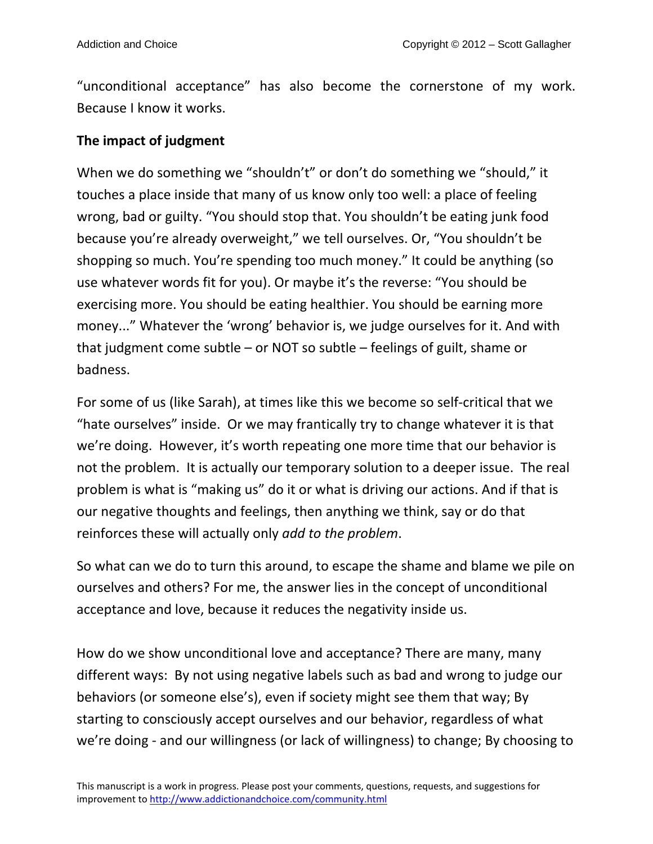"unconditional acceptance" has also become the cornerstone of my work. Because I know it works.

#### **The impact of judgment**

When we do something we "shouldn't" or don't do something we "should," it touches a place inside that many of us know only too well: a place of feeling wrong, bad or guilty. "You should stop that. You shouldn't be eating junk food because you're already overweight," we tell ourselves. Or, "You shouldn't be shopping so much. You're spending too much money." It could be anything (so use whatever words fit for you). Or maybe it's the reverse: "You should be exercising more. You should be eating healthier. You should be earning more money..." Whatever the 'wrong' behavior is, we judge ourselves for it. And with that judgment come subtle – or NOT so subtle – feelings of guilt, shame or badness.

For some of us (like Sarah), at times like this we become so self-critical that we "hate ourselves" inside. Or we may frantically try to change whatever it is that we're doing. However, it's worth repeating one more time that our behavior is not the problem. It is actually our temporary solution to a deeper issue. The real problem is what is "making us" do it or what is driving our actions. And if that is our negative thoughts and feelings, then anything we think, say or do that reinforces these will actually only *add to the problem*.

So what can we do to turn this around, to escape the shame and blame we pile on ourselves and others? For me, the answer lies in the concept of unconditional acceptance and love, because it reduces the negativity inside us.

How do we show unconditional love and acceptance? There are many, many different ways: By not using negative labels such as bad and wrong to judge our behaviors (or someone else's), even if society might see them that way; By starting to consciously accept ourselves and our behavior, regardless of what we're doing - and our willingness (or lack of willingness) to change; By choosing to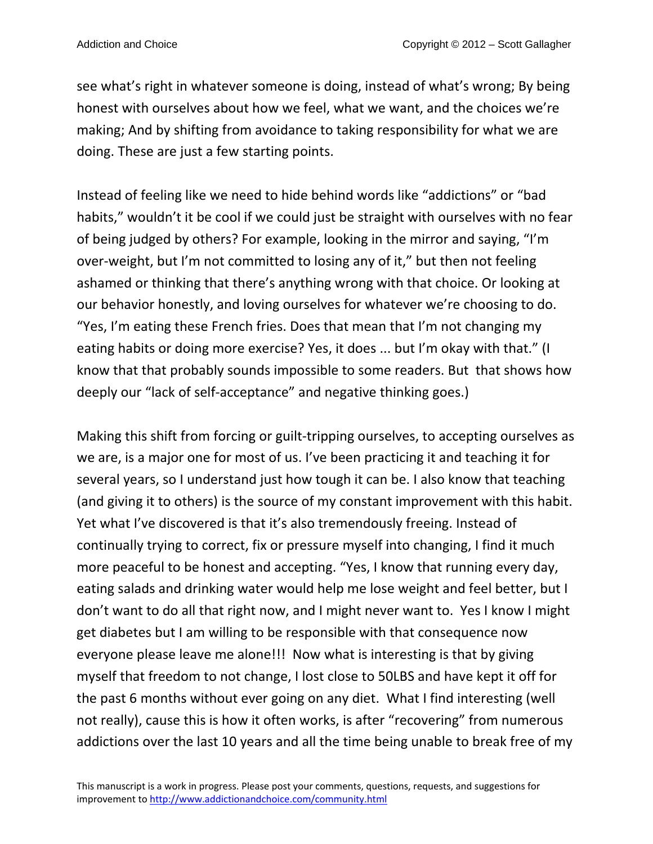see what's right in whatever someone is doing, instead of what's wrong; By being honest with ourselves about how we feel, what we want, and the choices we're making; And by shifting from avoidance to taking responsibility for what we are doing. These are just a few starting points.

Instead of feeling like we need to hide behind words like "addictions" or "bad habits," wouldn't it be cool if we could just be straight with ourselves with no fear of being judged by others? For example, looking in the mirror and saying, "I'm over-weight, but I'm not committed to losing any of it," but then not feeling ashamed or thinking that there's anything wrong with that choice. Or looking at our behavior honestly, and loving ourselves for whatever we're choosing to do. "Yes, I'm eating these French fries. Does that mean that I'm not changing my eating habits or doing more exercise? Yes, it does ... but I'm okay with that." (I know that that probably sounds impossible to some readers. But that shows how deeply our "lack of self-acceptance" and negative thinking goes.)

Making this shift from forcing or guilt-tripping ourselves, to accepting ourselves as we are, is a major one for most of us. I've been practicing it and teaching it for several years, so I understand just how tough it can be. I also know that teaching (and giving it to others) is the source of my constant improvement with this habit. Yet what I've discovered is that it's also tremendously freeing. Instead of continually trying to correct, fix or pressure myself into changing, I find it much more peaceful to be honest and accepting. "Yes, I know that running every day, eating salads and drinking water would help me lose weight and feel better, but I don't want to do all that right now, and I might never want to. Yes I know I might get diabetes but I am willing to be responsible with that consequence now everyone please leave me alone!!! Now what is interesting is that by giving myself that freedom to not change, I lost close to 50LBS and have kept it off for the past 6 months without ever going on any diet. What I find interesting (well not really), cause this is how it often works, is after "recovering" from numerous addictions over the last 10 years and all the time being unable to break free of my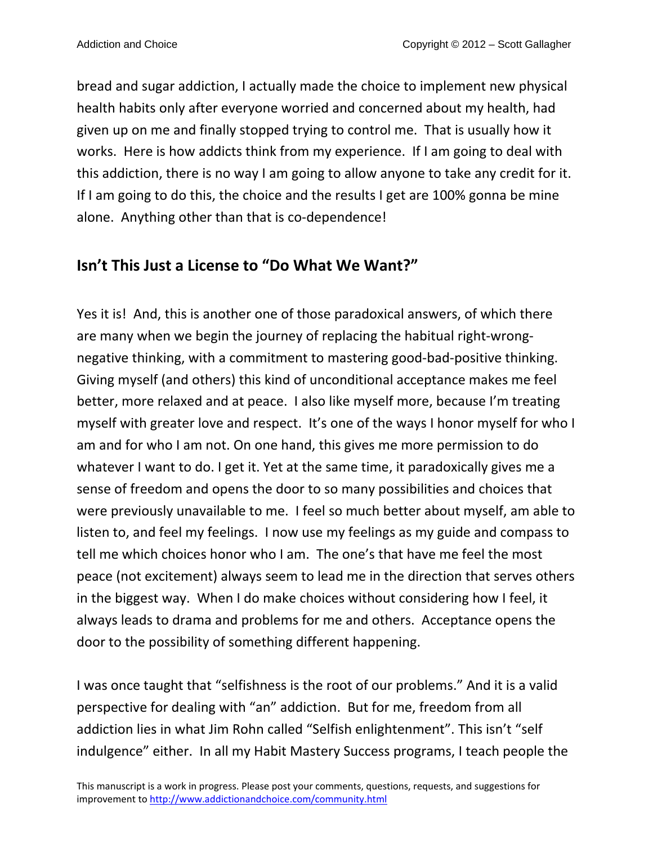bread and sugar addiction, I actually made the choice to implement new physical health habits only after everyone worried and concerned about my health, had given up on me and finally stopped trying to control me. That is usually how it works. Here is how addicts think from my experience. If I am going to deal with this addiction, there is no way I am going to allow anyone to take any credit for it. If I am going to do this, the choice and the results I get are 100% gonna be mine alone. Anything other than that is co-dependence!

# **Isn't This Just a License to "Do What We Want?"**

Yes it is! And, this is another one of those paradoxical answers, of which there are many when we begin the journey of replacing the habitual right-wrongnegative thinking, with a commitment to mastering good-bad-positive thinking. Giving myself (and others) this kind of unconditional acceptance makes me feel better, more relaxed and at peace. I also like myself more, because I'm treating myself with greater love and respect. It's one of the ways I honor myself for who I am and for who I am not. On one hand, this gives me more permission to do whatever I want to do. I get it. Yet at the same time, it paradoxically gives me a sense of freedom and opens the door to so many possibilities and choices that were previously unavailable to me. I feel so much better about myself, am able to listen to, and feel my feelings. I now use my feelings as my guide and compass to tell me which choices honor who I am. The one's that have me feel the most peace (not excitement) always seem to lead me in the direction that serves others in the biggest way. When I do make choices without considering how I feel, it always leads to drama and problems for me and others. Acceptance opens the door to the possibility of something different happening.

I was once taught that "selfishness is the root of our problems." And it is a valid perspective for dealing with "an" addiction. But for me, freedom from all addiction lies in what Jim Rohn called "Selfish enlightenment". This isn't "self indulgence" either. In all my Habit Mastery Success programs, I teach people the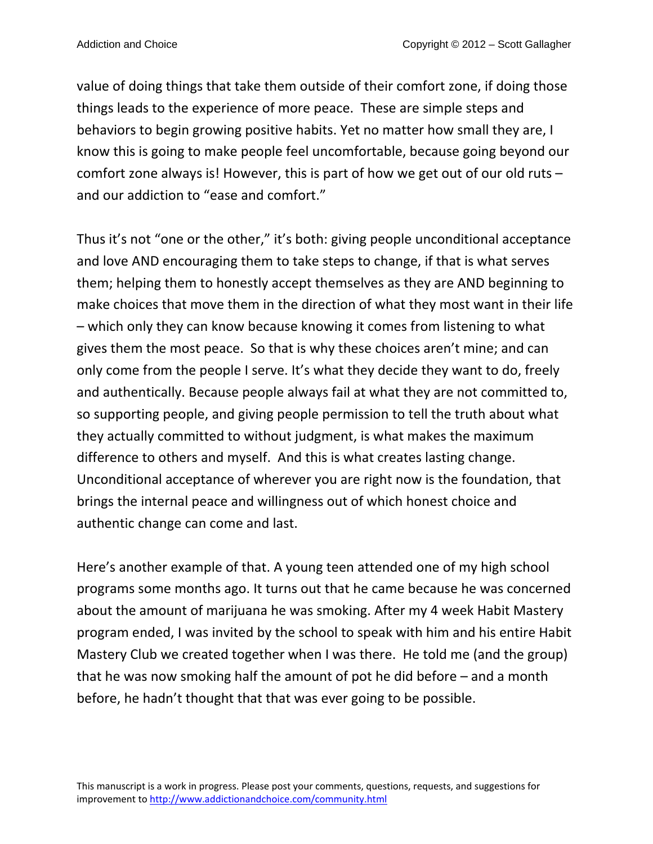value of doing things that take them outside of their comfort zone, if doing those things leads to the experience of more peace. These are simple steps and behaviors to begin growing positive habits. Yet no matter how small they are, I know this is going to make people feel uncomfortable, because going beyond our comfort zone always is! However, this is part of how we get out of our old ruts – and our addiction to "ease and comfort."

Thus it's not "one or the other," it's both: giving people unconditional acceptance and love AND encouraging them to take steps to change, if that is what serves them; helping them to honestly accept themselves as they are AND beginning to make choices that move them in the direction of what they most want in their life – which only they can know because knowing it comes from listening to what gives them the most peace. So that is why these choices aren't mine; and can only come from the people I serve. It's what they decide they want to do, freely and authentically. Because people always fail at what they are not committed to, so supporting people, and giving people permission to tell the truth about what they actually committed to without judgment, is what makes the maximum difference to others and myself. And this is what creates lasting change. Unconditional acceptance of wherever you are right now is the foundation, that brings the internal peace and willingness out of which honest choice and authentic change can come and last.

Here's another example of that. A young teen attended one of my high school programs some months ago. It turns out that he came because he was concerned about the amount of marijuana he was smoking. After my 4 week Habit Mastery program ended, I was invited by the school to speak with him and his entire Habit Mastery Club we created together when I was there. He told me (and the group) that he was now smoking half the amount of pot he did before – and a month before, he hadn't thought that that was ever going to be possible.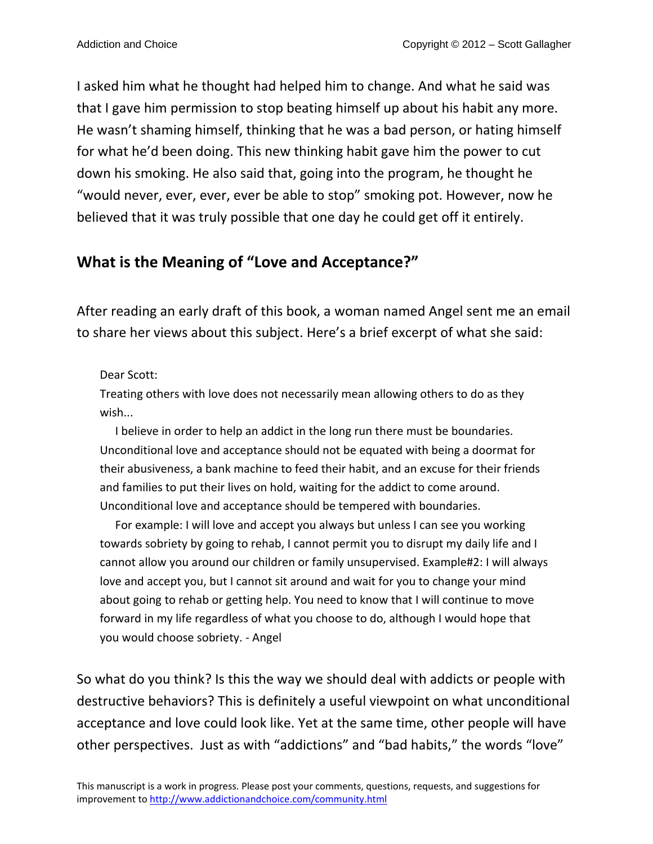I asked him what he thought had helped him to change. And what he said was that I gave him permission to stop beating himself up about his habit any more. He wasn't shaming himself, thinking that he was a bad person, or hating himself for what he'd been doing. This new thinking habit gave him the power to cut down his smoking. He also said that, going into the program, he thought he "would never, ever, ever, ever be able to stop" smoking pot. However, now he believed that it was truly possible that one day he could get off it entirely.

# **What is the Meaning of "Love and Acceptance?"**

After reading an early draft of this book, a woman named Angel sent me an email to share her views about this subject. Here's a brief excerpt of what she said:

Dear Scott:

Treating others with love does not necessarily mean allowing others to do as they wish...

I believe in order to help an addict in the long run there must be boundaries. Unconditional love and acceptance should not be equated with being a doormat for their abusiveness, a bank machine to feed their habit, and an excuse for their friends and families to put their lives on hold, waiting for the addict to come around. Unconditional love and acceptance should be tempered with boundaries.

For example: I will love and accept you always but unless I can see you working towards sobriety by going to rehab, I cannot permit you to disrupt my daily life and I cannot allow you around our children or family unsupervised. Example#2: I will always love and accept you, but I cannot sit around and wait for you to change your mind about going to rehab or getting help. You need to know that I will continue to move forward in my life regardless of what you choose to do, although I would hope that you would choose sobriety. - Angel

So what do you think? Is this the way we should deal with addicts or people with destructive behaviors? This is definitely a useful viewpoint on what unconditional acceptance and love could look like. Yet at the same time, other people will have other perspectives. Just as with "addictions" and "bad habits," the words "love"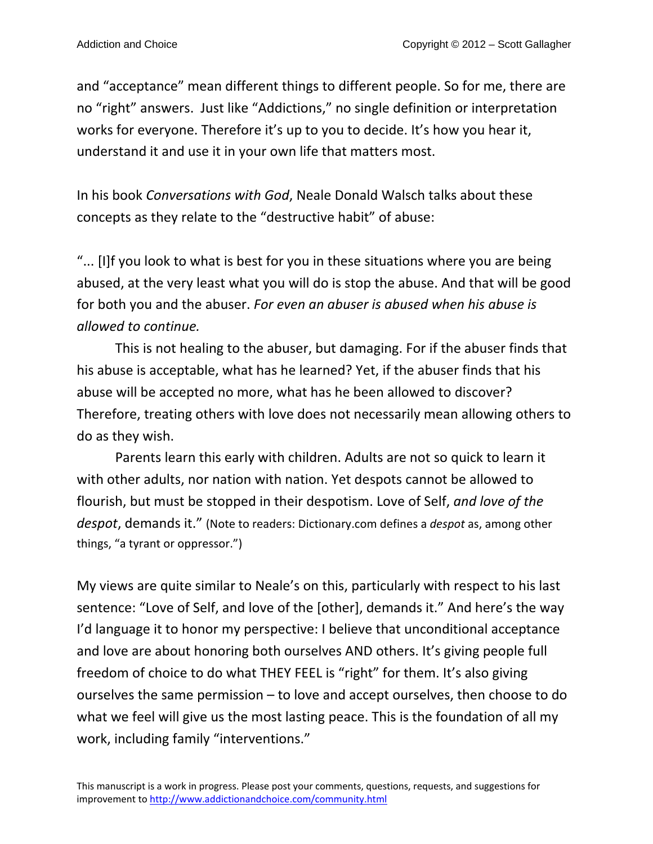and "acceptance" mean different things to different people. So for me, there are no "right" answers. Just like "Addictions," no single definition or interpretation works for everyone. Therefore it's up to you to decide. It's how you hear it, understand it and use it in your own life that matters most.

In his book *Conversations with God*, Neale Donald Walsch talks about these concepts as they relate to the "destructive habit" of abuse:

"... [I]f you look to what is best for you in these situations where you are being abused, at the very least what you will do is stop the abuse. And that will be good for both you and the abuser. *For even an abuser is abused when his abuse is allowed to continue.*

This is not healing to the abuser, but damaging. For if the abuser finds that his abuse is acceptable, what has he learned? Yet, if the abuser finds that his abuse will be accepted no more, what has he been allowed to discover? Therefore, treating others with love does not necessarily mean allowing others to do as they wish.

Parents learn this early with children. Adults are not so quick to learn it with other adults, nor nation with nation. Yet despots cannot be allowed to flourish, but must be stopped in their despotism. Love of Self, *and love of the despot*, demands it." (Note to readers: Dictionary.com defines a *despot* as, among other things, "a tyrant or oppressor.")

My views are quite similar to Neale's on this, particularly with respect to his last sentence: "Love of Self, and love of the [other], demands it." And here's the way I'd language it to honor my perspective: I believe that unconditional acceptance and love are about honoring both ourselves AND others. It's giving people full freedom of choice to do what THEY FEEL is "right" for them. It's also giving ourselves the same permission – to love and accept ourselves, then choose to do what we feel will give us the most lasting peace. This is the foundation of all my work, including family "interventions."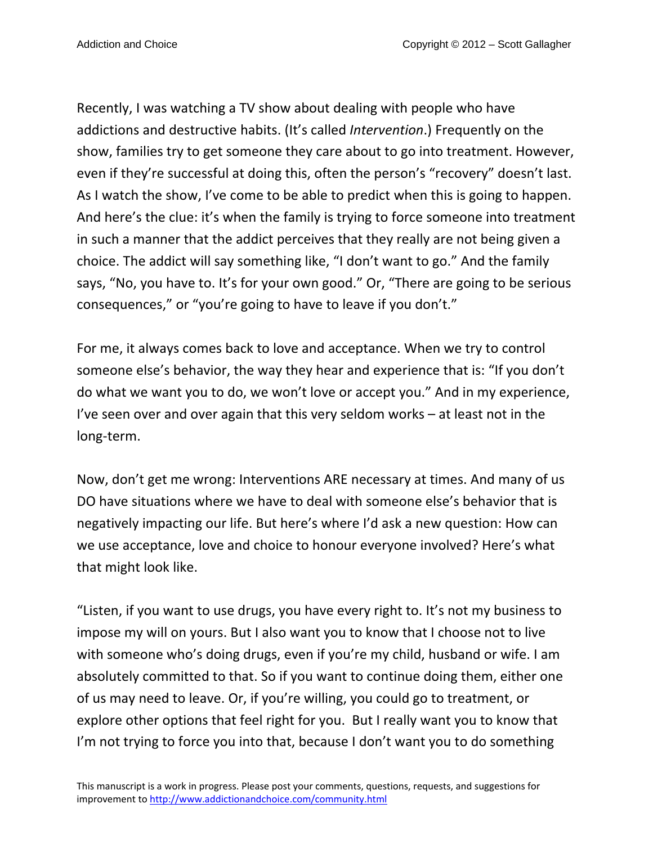Recently, I was watching a TV show about dealing with people who have addictions and destructive habits. (It's called *Intervention*.) Frequently on the show, families try to get someone they care about to go into treatment. However, even if they're successful at doing this, often the person's "recovery" doesn't last. As I watch the show, I've come to be able to predict when this is going to happen. And here's the clue: it's when the family is trying to force someone into treatment in such a manner that the addict perceives that they really are not being given a choice. The addict will say something like, "I don't want to go." And the family says, "No, you have to. It's for your own good." Or, "There are going to be serious consequences," or "you're going to have to leave if you don't."

For me, it always comes back to love and acceptance. When we try to control someone else's behavior, the way they hear and experience that is: "If you don't do what we want you to do, we won't love or accept you." And in my experience, I've seen over and over again that this very seldom works – at least not in the long-term.

Now, don't get me wrong: Interventions ARE necessary at times. And many of us DO have situations where we have to deal with someone else's behavior that is negatively impacting our life. But here's where I'd ask a new question: How can we use acceptance, love and choice to honour everyone involved? Here's what that might look like.

"Listen, if you want to use drugs, you have every right to. It's not my business to impose my will on yours. But I also want you to know that I choose not to live with someone who's doing drugs, even if you're my child, husband or wife. I am absolutely committed to that. So if you want to continue doing them, either one of us may need to leave. Or, if you're willing, you could go to treatment, or explore other options that feel right for you. But I really want you to know that I'm not trying to force you into that, because I don't want you to do something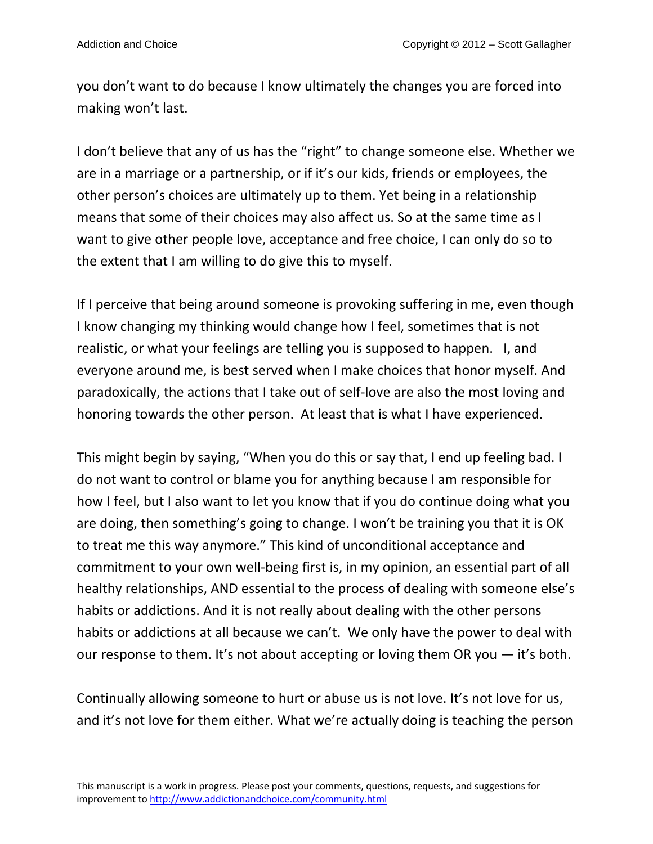you don't want to do because I know ultimately the changes you are forced into making won't last.

I don't believe that any of us has the "right" to change someone else. Whether we are in a marriage or a partnership, or if it's our kids, friends or employees, the other person's choices are ultimately up to them. Yet being in a relationship means that some of their choices may also affect us. So at the same time as I want to give other people love, acceptance and free choice, I can only do so to the extent that I am willing to do give this to myself.

If I perceive that being around someone is provoking suffering in me, even though I know changing my thinking would change how I feel, sometimes that is not realistic, or what your feelings are telling you is supposed to happen. I, and everyone around me, is best served when I make choices that honor myself. And paradoxically, the actions that I take out of self-love are also the most loving and honoring towards the other person. At least that is what I have experienced.

This might begin by saying, "When you do this or say that, I end up feeling bad. I do not want to control or blame you for anything because I am responsible for how I feel, but I also want to let you know that if you do continue doing what you are doing, then something's going to change. I won't be training you that it is OK to treat me this way anymore." This kind of unconditional acceptance and commitment to your own well-being first is, in my opinion, an essential part of all healthy relationships, AND essential to the process of dealing with someone else's habits or addictions. And it is not really about dealing with the other persons habits or addictions at all because we can't. We only have the power to deal with our response to them. It's not about accepting or loving them OR you — it's both.

Continually allowing someone to hurt or abuse us is not love. It's not love for us, and it's not love for them either. What we're actually doing is teaching the person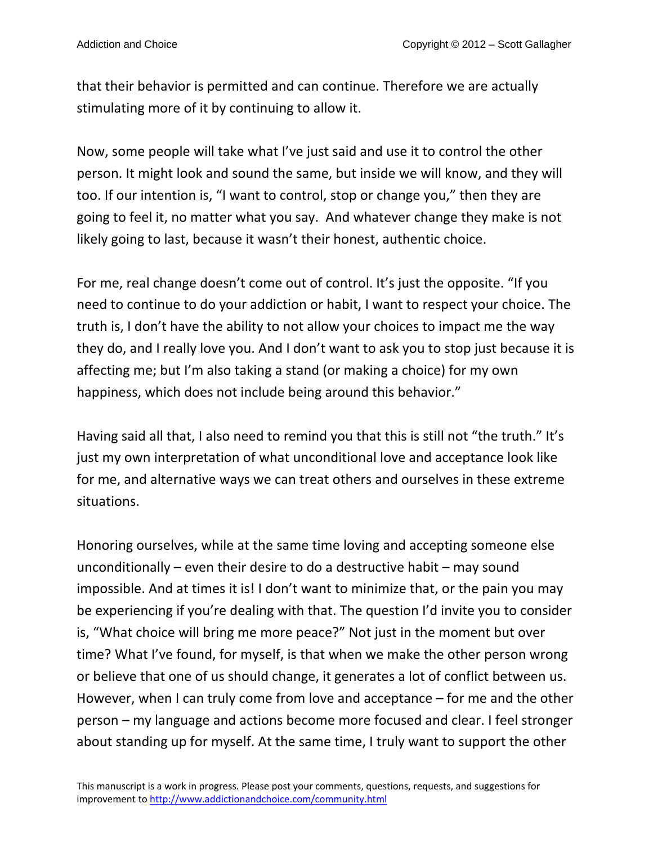that their behavior is permitted and can continue. Therefore we are actually stimulating more of it by continuing to allow it.

Now, some people will take what I've just said and use it to control the other person. It might look and sound the same, but inside we will know, and they will too. If our intention is, "I want to control, stop or change you," then they are going to feel it, no matter what you say. And whatever change they make is not likely going to last, because it wasn't their honest, authentic choice.

For me, real change doesn't come out of control. It's just the opposite. "If you need to continue to do your addiction or habit, I want to respect your choice. The truth is, I don't have the ability to not allow your choices to impact me the way they do, and I really love you. And I don't want to ask you to stop just because it is affecting me; but I'm also taking a stand (or making a choice) for my own happiness, which does not include being around this behavior."

Having said all that, I also need to remind you that this is still not "the truth." It's just my own interpretation of what unconditional love and acceptance look like for me, and alternative ways we can treat others and ourselves in these extreme situations.

Honoring ourselves, while at the same time loving and accepting someone else unconditionally – even their desire to do a destructive habit – may sound impossible. And at times it is! I don't want to minimize that, or the pain you may be experiencing if you're dealing with that. The question I'd invite you to consider is, "What choice will bring me more peace?" Not just in the moment but over time? What I've found, for myself, is that when we make the other person wrong or believe that one of us should change, it generates a lot of conflict between us. However, when I can truly come from love and acceptance – for me and the other person – my language and actions become more focused and clear. I feel stronger about standing up for myself. At the same time, I truly want to support the other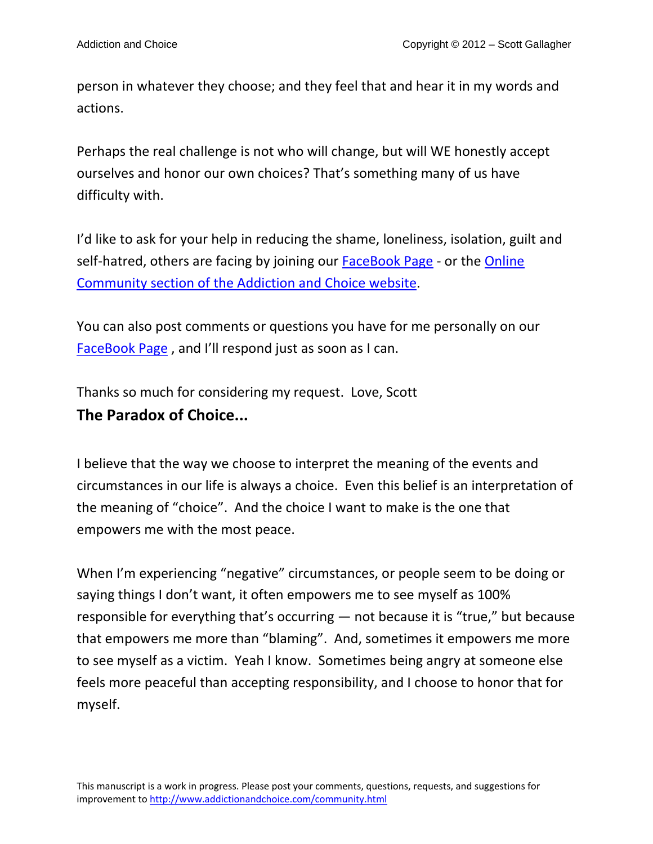person in whatever they choose; and they feel that and hear it in my words and actions.

Perhaps the real challenge is not who will change, but will WE honestly accept ourselves and honor our own choices? That's something many of us have difficulty with.

I'd like to ask for your help in reducing the shame, loneliness, isolation, guilt and self-hatred, others are facing by joining our [FaceBook Page](http://www.facebook.com/addictionandchoice) - or the Online [Community](http://www.addictionandchoice.com/community.html) section of the Addiction and Choice website.

You can also post comments or questions you have for me personally on our [FaceBook Page](http://www.facebook.com/addictionandchoice) , and I'll respond just as soon as I can.

Thanks so much for considering my request. Love, Scott **The Paradox of Choice...**

I believe that the way we choose to interpret the meaning of the events and circumstances in our life is always a choice. Even this belief is an interpretation of the meaning of "choice". And the choice I want to make is the one that empowers me with the most peace.

When I'm experiencing "negative" circumstances, or people seem to be doing or saying things I don't want, it often empowers me to see myself as 100% responsible for everything that's occurring — not because it is "true," but because that empowers me more than "blaming". And, sometimes it empowers me more to see myself as a victim. Yeah I know. Sometimes being angry at someone else feels more peaceful than accepting responsibility, and I choose to honor that for myself.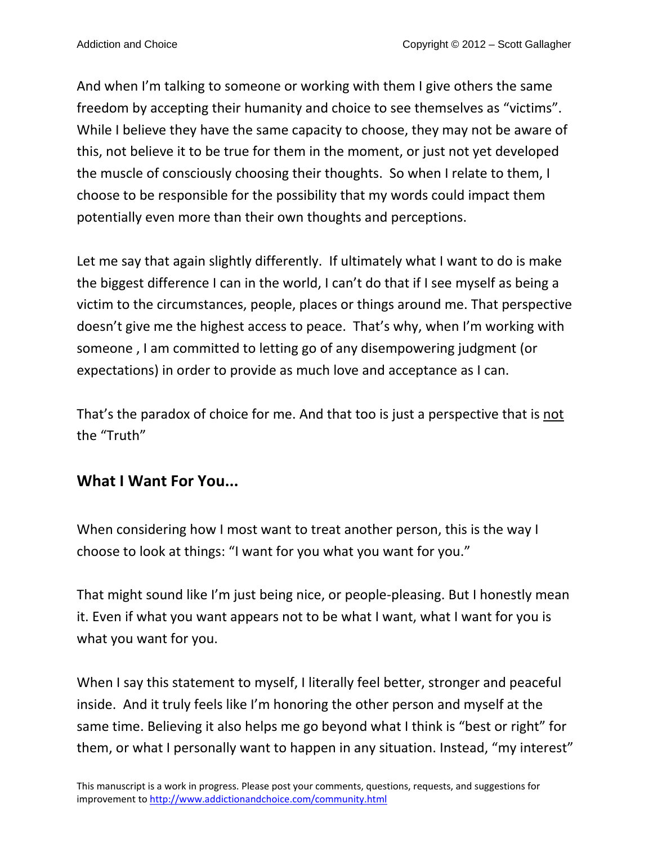And when I'm talking to someone or working with them I give others the same freedom by accepting their humanity and choice to see themselves as "victims". While I believe they have the same capacity to choose, they may not be aware of this, not believe it to be true for them in the moment, or just not yet developed the muscle of consciously choosing their thoughts. So when I relate to them, I choose to be responsible for the possibility that my words could impact them potentially even more than their own thoughts and perceptions.

Let me say that again slightly differently. If ultimately what I want to do is make the biggest difference I can in the world, I can't do that if I see myself as being a victim to the circumstances, people, places or things around me. That perspective doesn't give me the highest access to peace. That's why, when I'm working with someone , I am committed to letting go of any disempowering judgment (or expectations) in order to provide as much love and acceptance as I can.

That's the paradox of choice for me. And that too is just a perspective that is not the "Truth"

# **What I Want For You...**

When considering how I most want to treat another person, this is the way I choose to look at things: "I want for you what you want for you."

That might sound like I'm just being nice, or people-pleasing. But I honestly mean it. Even if what you want appears not to be what I want, what I want for you is what you want for you.

When I say this statement to myself, I literally feel better, stronger and peaceful inside. And it truly feels like I'm honoring the other person and myself at the same time. Believing it also helps me go beyond what I think is "best or right" for them, or what I personally want to happen in any situation. Instead, "my interest"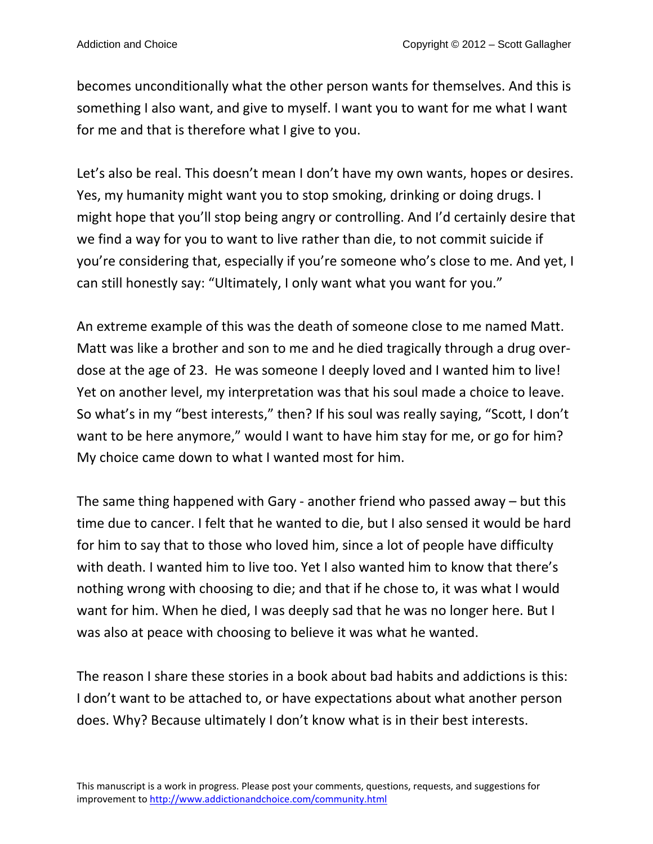becomes unconditionally what the other person wants for themselves. And this is something I also want, and give to myself. I want you to want for me what I want for me and that is therefore what I give to you.

Let's also be real. This doesn't mean I don't have my own wants, hopes or desires. Yes, my humanity might want you to stop smoking, drinking or doing drugs. I might hope that you'll stop being angry or controlling. And I'd certainly desire that we find a way for you to want to live rather than die, to not commit suicide if you're considering that, especially if you're someone who's close to me. And yet, I can still honestly say: "Ultimately, I only want what you want for you."

An extreme example of this was the death of someone close to me named Matt. Matt was like a brother and son to me and he died tragically through a drug overdose at the age of 23. He was someone I deeply loved and I wanted him to live! Yet on another level, my interpretation was that his soul made a choice to leave. So what's in my "best interests," then? If his soul was really saying, "Scott, I don't want to be here anymore," would I want to have him stay for me, or go for him? My choice came down to what I wanted most for him.

The same thing happened with Gary - another friend who passed away – but this time due to cancer. I felt that he wanted to die, but I also sensed it would be hard for him to say that to those who loved him, since a lot of people have difficulty with death. I wanted him to live too. Yet I also wanted him to know that there's nothing wrong with choosing to die; and that if he chose to, it was what I would want for him. When he died, I was deeply sad that he was no longer here. But I was also at peace with choosing to believe it was what he wanted.

The reason I share these stories in a book about bad habits and addictions is this: I don't want to be attached to, or have expectations about what another person does. Why? Because ultimately I don't know what is in their best interests.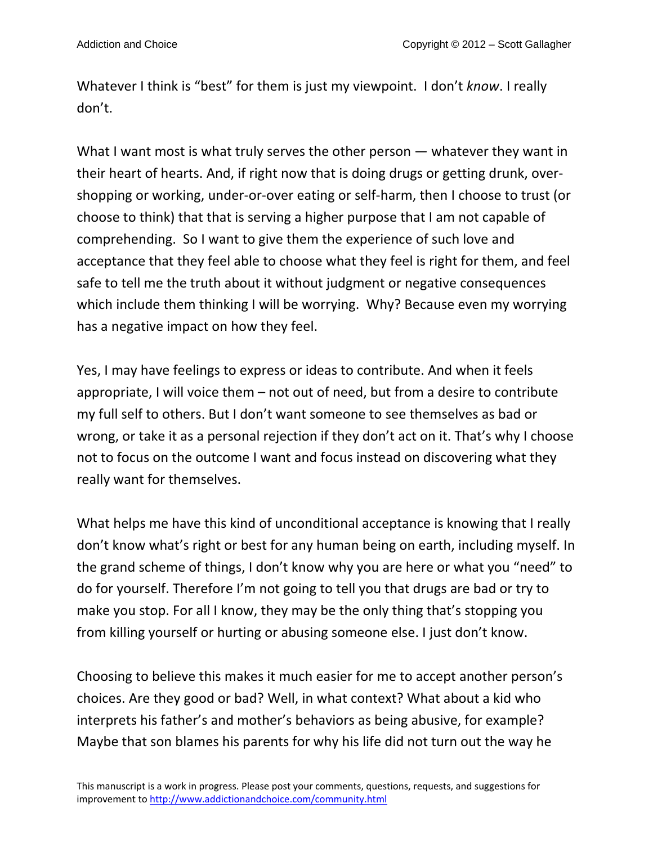Whatever I think is "best" for them is just my viewpoint. I don't *know*. I really don't.

What I want most is what truly serves the other person — whatever they want in their heart of hearts. And, if right now that is doing drugs or getting drunk, overshopping or working, under-or-over eating or self-harm, then I choose to trust (or choose to think) that that is serving a higher purpose that I am not capable of comprehending. So I want to give them the experience of such love and acceptance that they feel able to choose what they feel is right for them, and feel safe to tell me the truth about it without judgment or negative consequences which include them thinking I will be worrying. Why? Because even my worrying has a negative impact on how they feel.

Yes, I may have feelings to express or ideas to contribute. And when it feels appropriate, I will voice them – not out of need, but from a desire to contribute my full self to others. But I don't want someone to see themselves as bad or wrong, or take it as a personal rejection if they don't act on it. That's why I choose not to focus on the outcome I want and focus instead on discovering what they really want for themselves.

What helps me have this kind of unconditional acceptance is knowing that I really don't know what's right or best for any human being on earth, including myself. In the grand scheme of things, I don't know why you are here or what you "need" to do for yourself. Therefore I'm not going to tell you that drugs are bad or try to make you stop. For all I know, they may be the only thing that's stopping you from killing yourself or hurting or abusing someone else. I just don't know.

Choosing to believe this makes it much easier for me to accept another person's choices. Are they good or bad? Well, in what context? What about a kid who interprets his father's and mother's behaviors as being abusive, for example? Maybe that son blames his parents for why his life did not turn out the way he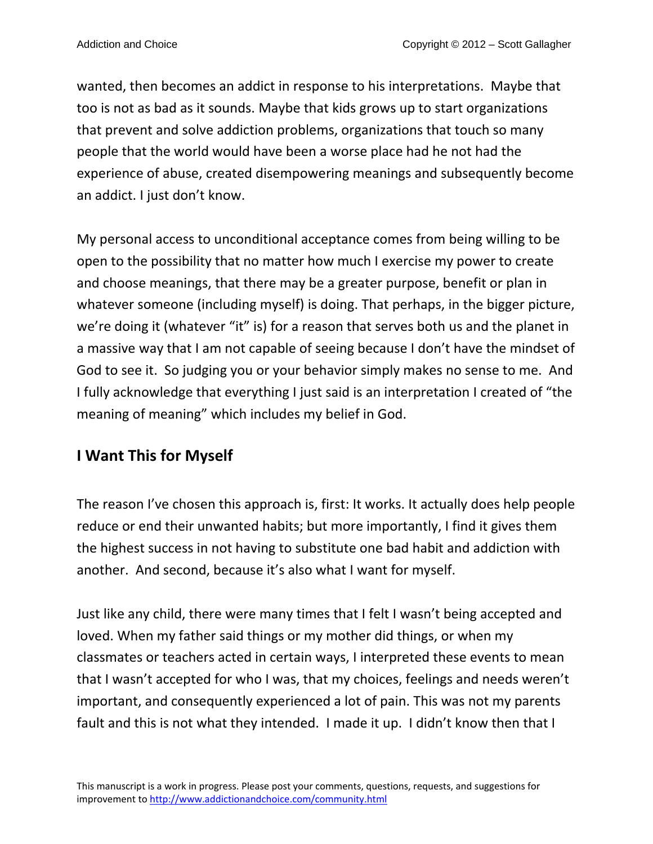wanted, then becomes an addict in response to his interpretations. Maybe that too is not as bad as it sounds. Maybe that kids grows up to start organizations that prevent and solve addiction problems, organizations that touch so many people that the world would have been a worse place had he not had the experience of abuse, created disempowering meanings and subsequently become an addict. I just don't know.

My personal access to unconditional acceptance comes from being willing to be open to the possibility that no matter how much I exercise my power to create and choose meanings, that there may be a greater purpose, benefit or plan in whatever someone (including myself) is doing. That perhaps, in the bigger picture, we're doing it (whatever "it" is) for a reason that serves both us and the planet in a massive way that I am not capable of seeing because I don't have the mindset of God to see it. So judging you or your behavior simply makes no sense to me. And I fully acknowledge that everything I just said is an interpretation I created of "the meaning of meaning" which includes my belief in God.

## **I Want This for Myself**

The reason I've chosen this approach is, first: It works. It actually does help people reduce or end their unwanted habits; but more importantly, I find it gives them the highest success in not having to substitute one bad habit and addiction with another. And second, because it's also what I want for myself.

Just like any child, there were many times that I felt I wasn't being accepted and loved. When my father said things or my mother did things, or when my classmates or teachers acted in certain ways, I interpreted these events to mean that I wasn't accepted for who I was, that my choices, feelings and needs weren't important, and consequently experienced a lot of pain. This was not my parents fault and this is not what they intended. I made it up. I didn't know then that I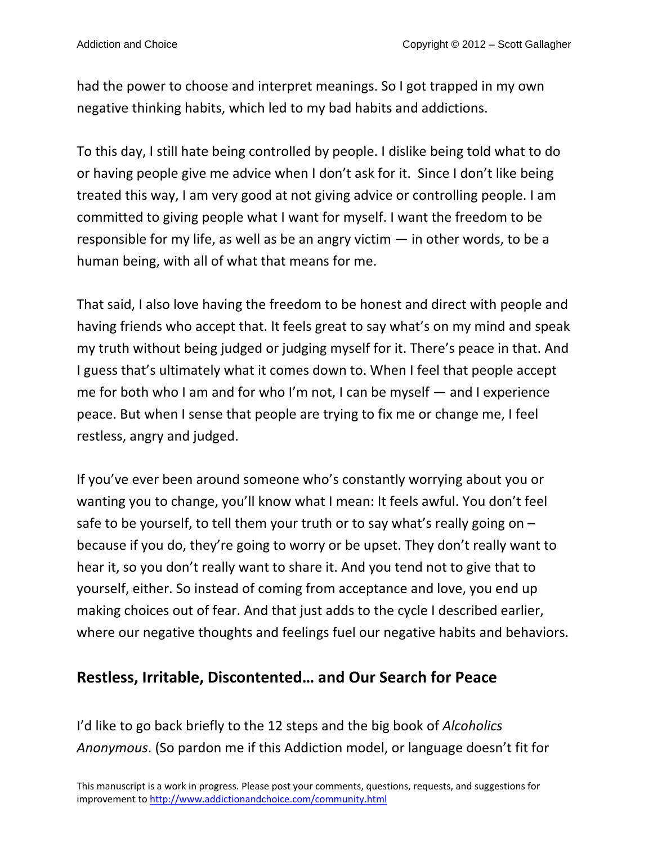had the power to choose and interpret meanings. So I got trapped in my own negative thinking habits, which led to my bad habits and addictions.

To this day, I still hate being controlled by people. I dislike being told what to do or having people give me advice when I don't ask for it. Since I don't like being treated this way, I am very good at not giving advice or controlling people. I am committed to giving people what I want for myself. I want the freedom to be responsible for my life, as well as be an angry victim  $-$  in other words, to be a human being, with all of what that means for me.

That said, I also love having the freedom to be honest and direct with people and having friends who accept that. It feels great to say what's on my mind and speak my truth without being judged or judging myself for it. There's peace in that. And I guess that's ultimately what it comes down to. When I feel that people accept me for both who I am and for who I'm not, I can be myself — and I experience peace. But when I sense that people are trying to fix me or change me, I feel restless, angry and judged.

If you've ever been around someone who's constantly worrying about you or wanting you to change, you'll know what I mean: It feels awful. You don't feel safe to be yourself, to tell them your truth or to say what's really going on – because if you do, they're going to worry or be upset. They don't really want to hear it, so you don't really want to share it. And you tend not to give that to yourself, either. So instead of coming from acceptance and love, you end up making choices out of fear. And that just adds to the cycle I described earlier, where our negative thoughts and feelings fuel our negative habits and behaviors.

### **Restless, Irritable, Discontented… and Our Search for Peace**

I'd like to go back briefly to the 12 steps and the big book of *Alcoholics Anonymous*. (So pardon me if this Addiction model, or language doesn't fit for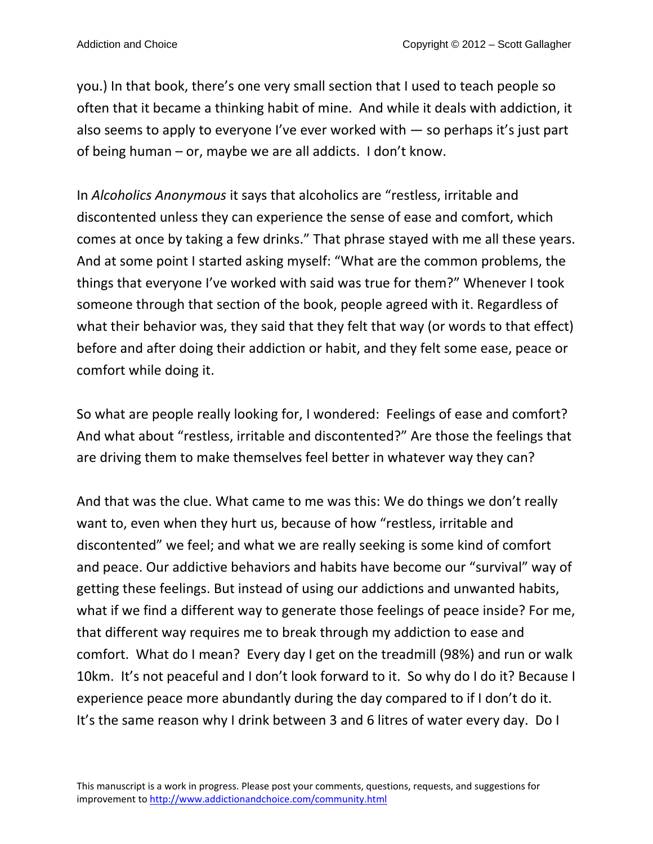you.) In that book, there's one very small section that I used to teach people so often that it became a thinking habit of mine. And while it deals with addiction, it also seems to apply to everyone I've ever worked with — so perhaps it's just part of being human – or, maybe we are all addicts. I don't know.

In *Alcoholics Anonymous* it says that alcoholics are "restless, irritable and discontented unless they can experience the sense of ease and comfort, which comes at once by taking a few drinks." That phrase stayed with me all these years. And at some point I started asking myself: "What are the common problems, the things that everyone I've worked with said was true for them?" Whenever I took someone through that section of the book, people agreed with it. Regardless of what their behavior was, they said that they felt that way (or words to that effect) before and after doing their addiction or habit, and they felt some ease, peace or comfort while doing it.

So what are people really looking for, I wondered: Feelings of ease and comfort? And what about "restless, irritable and discontented?" Are those the feelings that are driving them to make themselves feel better in whatever way they can?

And that was the clue. What came to me was this: We do things we don't really want to, even when they hurt us, because of how "restless, irritable and discontented" we feel; and what we are really seeking is some kind of comfort and peace. Our addictive behaviors and habits have become our "survival" way of getting these feelings. But instead of using our addictions and unwanted habits, what if we find a different way to generate those feelings of peace inside? For me, that different way requires me to break through my addiction to ease and comfort. What do I mean? Every day I get on the treadmill (98%) and run or walk 10km. It's not peaceful and I don't look forward to it. So why do I do it? Because I experience peace more abundantly during the day compared to if I don't do it. It's the same reason why I drink between 3 and 6 litres of water every day. Do I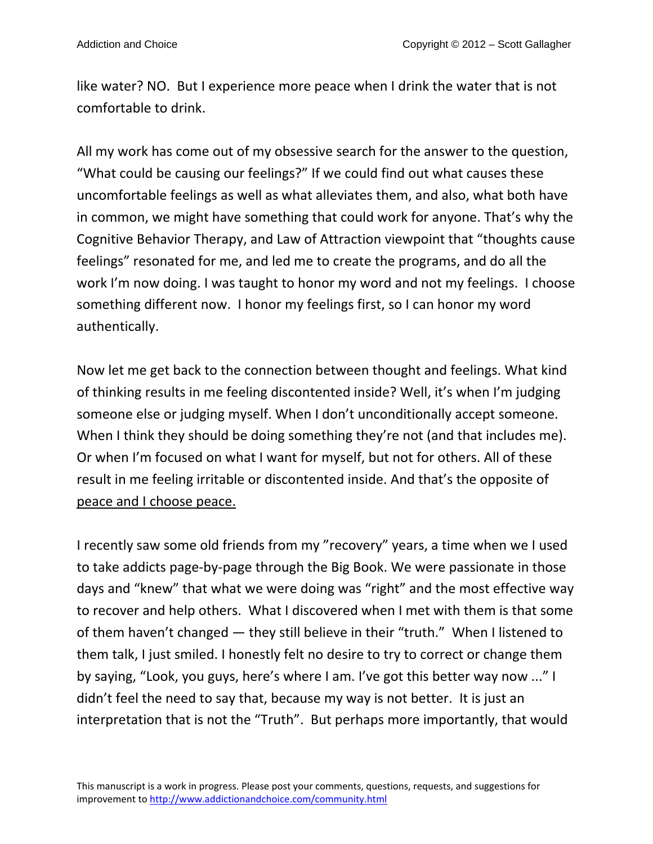like water? NO. But I experience more peace when I drink the water that is not comfortable to drink.

All my work has come out of my obsessive search for the answer to the question, "What could be causing our feelings?" If we could find out what causes these uncomfortable feelings as well as what alleviates them, and also, what both have in common, we might have something that could work for anyone. That's why the Cognitive Behavior Therapy, and Law of Attraction viewpoint that "thoughts cause feelings" resonated for me, and led me to create the programs, and do all the work I'm now doing. I was taught to honor my word and not my feelings. I choose something different now. I honor my feelings first, so I can honor my word authentically.

Now let me get back to the connection between thought and feelings. What kind of thinking results in me feeling discontented inside? Well, it's when I'm judging someone else or judging myself. When I don't unconditionally accept someone. When I think they should be doing something they're not (and that includes me). Or when I'm focused on what I want for myself, but not for others. All of these result in me feeling irritable or discontented inside. And that's the opposite of peace and I choose peace.

I recently saw some old friends from my "recovery" years, a time when we I used to take addicts page-by-page through the Big Book. We were passionate in those days and "knew" that what we were doing was "right" and the most effective way to recover and help others. What I discovered when I met with them is that some of them haven't changed — they still believe in their "truth." When I listened to them talk, I just smiled. I honestly felt no desire to try to correct or change them by saying, "Look, you guys, here's where I am. I've got this better way now ..." I didn't feel the need to say that, because my way is not better. It is just an interpretation that is not the "Truth". But perhaps more importantly, that would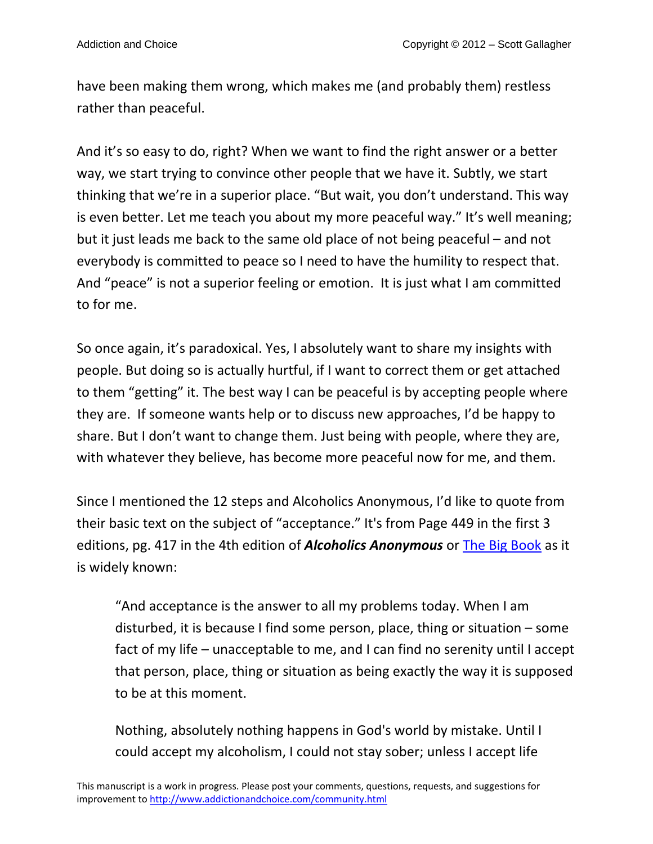have been making them wrong, which makes me (and probably them) restless rather than peaceful.

And it's so easy to do, right? When we want to find the right answer or a better way, we start trying to convince other people that we have it. Subtly, we start thinking that we're in a superior place. "But wait, you don't understand. This way is even better. Let me teach you about my more peaceful way." It's well meaning; but it just leads me back to the same old place of not being peaceful – and not everybody is committed to peace so I need to have the humility to respect that. And "peace" is not a superior feeling or emotion. It is just what I am committed to for me.

So once again, it's paradoxical. Yes, I absolutely want to share my insights with people. But doing so is actually hurtful, if I want to correct them or get attached to them "getting" it. The best way I can be peaceful is by accepting people where they are. If someone wants help or to discuss new approaches, I'd be happy to share. But I don't want to change them. Just being with people, where they are, with whatever they believe, has become more peaceful now for me, and them.

Since I mentioned the 12 steps and Alcoholics Anonymous, I'd like to quote from their basic text on the subject of "acceptance." It's from Page 449 in the first 3 editions, pg. 417 in the 4th edition of *Alcoholics Anonymous* or [The Big Book](http://silkworth.net/originalmanuscript/originalmanuscript.html) as it is widely known:

"And acceptance is the answer to all my problems today. When I am disturbed, it is because I find some person, place, thing or situation – some fact of my life – unacceptable to me, and I can find no serenity until I accept that person, place, thing or situation as being exactly the way it is supposed to be at this moment.

Nothing, absolutely nothing happens in God's world by mistake. Until I could accept my alcoholism, I could not stay sober; unless I accept life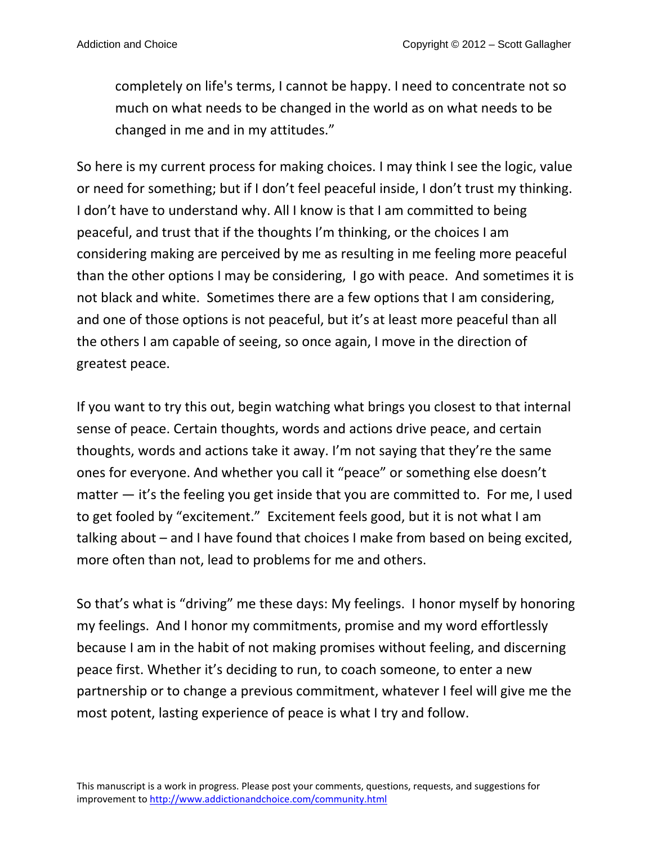completely on life's terms, I cannot be happy. I need to concentrate not so much on what needs to be changed in the world as on what needs to be changed in me and in my attitudes."

So here is my current process for making choices. I may think I see the logic, value or need for something; but if I don't feel peaceful inside, I don't trust my thinking. I don't have to understand why. All I know is that I am committed to being peaceful, and trust that if the thoughts I'm thinking, or the choices I am considering making are perceived by me as resulting in me feeling more peaceful than the other options I may be considering, I go with peace. And sometimes it is not black and white. Sometimes there are a few options that I am considering, and one of those options is not peaceful, but it's at least more peaceful than all the others I am capable of seeing, so once again, I move in the direction of greatest peace.

If you want to try this out, begin watching what brings you closest to that internal sense of peace. Certain thoughts, words and actions drive peace, and certain thoughts, words and actions take it away. I'm not saying that they're the same ones for everyone. And whether you call it "peace" or something else doesn't matter — it's the feeling you get inside that you are committed to. For me, I used to get fooled by "excitement." Excitement feels good, but it is not what I am talking about – and I have found that choices I make from based on being excited, more often than not, lead to problems for me and others.

So that's what is "driving" me these days: My feelings. I honor myself by honoring my feelings. And I honor my commitments, promise and my word effortlessly because I am in the habit of not making promises without feeling, and discerning peace first. Whether it's deciding to run, to coach someone, to enter a new partnership or to change a previous commitment, whatever I feel will give me the most potent, lasting experience of peace is what I try and follow.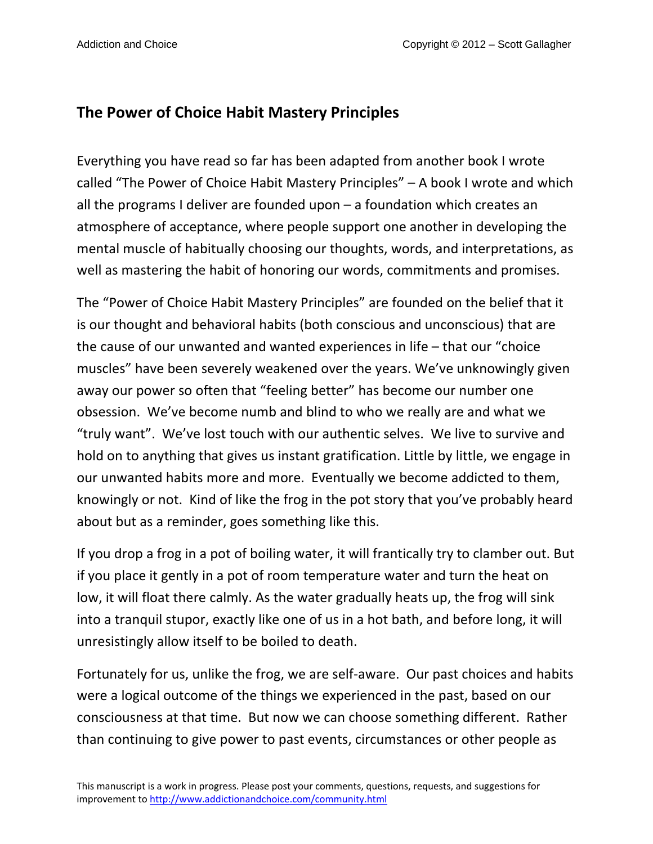### **The Power of Choice Habit Mastery Principles**

Everything you have read so far has been adapted from another book I wrote called "The Power of Choice Habit Mastery Principles" – A book I wrote and which all the programs I deliver are founded upon – a foundation which creates an atmosphere of acceptance, where people support one another in developing the mental muscle of habitually choosing our thoughts, words, and interpretations, as well as mastering the habit of honoring our words, commitments and promises.

The "Power of Choice Habit Mastery Principles" are founded on the belief that it is our thought and behavioral habits (both conscious and unconscious) that are the cause of our unwanted and wanted experiences in life – that our "choice muscles" have been severely weakened over the years. We've unknowingly given away our power so often that "feeling better" has become our number one obsession. We've become numb and blind to who we really are and what we "truly want". We've lost touch with our authentic selves. We live to survive and hold on to anything that gives us instant gratification. Little by little, we engage in our unwanted habits more and more. Eventually we become addicted to them, knowingly or not. Kind of like the frog in the pot story that you've probably heard about but as a reminder, goes something like this.

If you drop a frog in a pot of boiling water, it will frantically try to clamber out. But if you place it gently in a pot of room temperature water and turn the heat on low, it will float there calmly. As the water gradually heats up, the frog will sink into a tranquil stupor, exactly like one of us in a hot bath, and before long, it will unresistingly allow itself to be boiled to death.

Fortunately for us, unlike the frog, we are self-aware. Our past choices and habits were a logical outcome of the things we experienced in the past, based on our consciousness at that time. But now we can choose something different. Rather than continuing to give power to past events, circumstances or other people as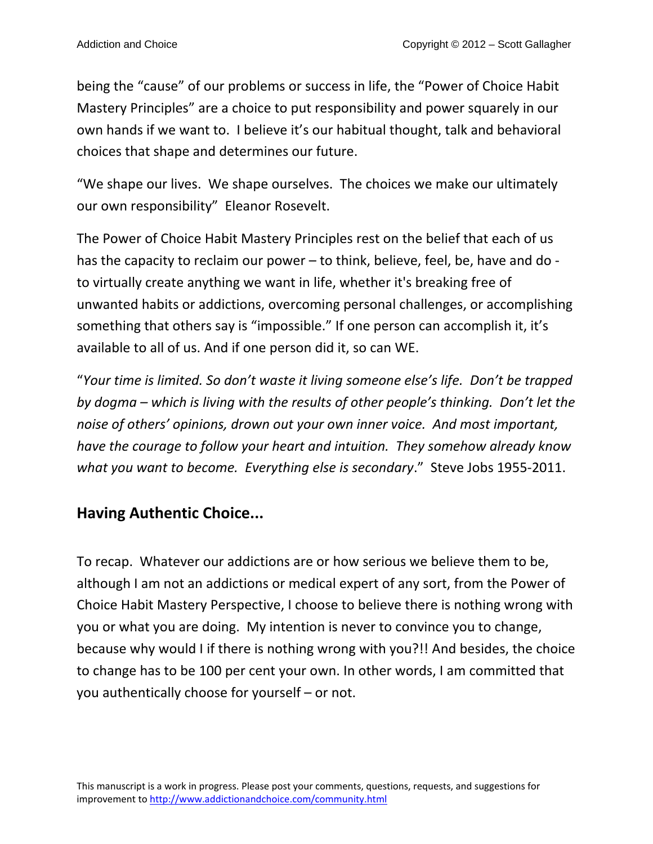being the "cause" of our problems or success in life, the "Power of Choice Habit Mastery Principles" are a choice to put responsibility and power squarely in our own hands if we want to. I believe it's our habitual thought, talk and behavioral choices that shape and determines our future.

"We shape our lives. We shape ourselves. The choices we make our ultimately our own responsibility" Eleanor Rosevelt.

The Power of Choice Habit Mastery Principles rest on the belief that each of us has the capacity to reclaim our power – to think, believe, feel, be, have and do to virtually create anything we want in life, whether it's breaking free of unwanted habits or addictions, overcoming personal challenges, or accomplishing something that others say is "impossible." If one person can accomplish it, it's available to all of us. And if one person did it, so can WE.

"*Your time is limited. So don't waste it living someone else's life. Don't be trapped by dogma – which is living with the results of other people's thinking. Don't let the noise of others' opinions, drown out your own inner voice. And most important, have the courage to follow your heart and intuition. They somehow already know what you want to become. Everything else is secondary*." Steve Jobs 1955-2011.

### **Having Authentic Choice...**

To recap. Whatever our addictions are or how serious we believe them to be, although I am not an addictions or medical expert of any sort, from the Power of Choice Habit Mastery Perspective, I choose to believe there is nothing wrong with you or what you are doing. My intention is never to convince you to change, because why would I if there is nothing wrong with you?!! And besides, the choice to change has to be 100 per cent your own. In other words, I am committed that you authentically choose for yourself – or not.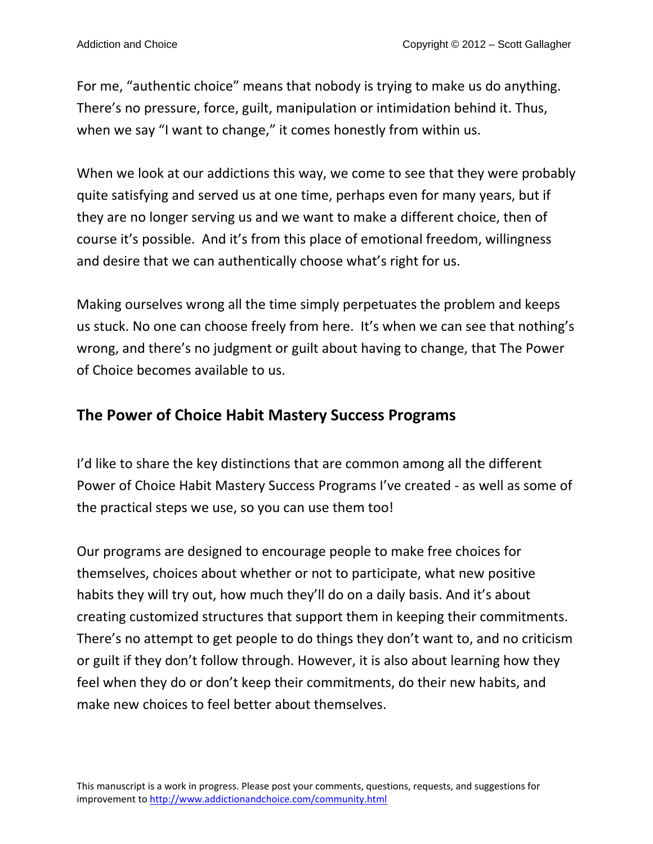For me, "authentic choice" means that nobody is trying to make us do anything. There's no pressure, force, guilt, manipulation or intimidation behind it. Thus, when we say "I want to change," it comes honestly from within us.

When we look at our addictions this way, we come to see that they were probably quite satisfying and served us at one time, perhaps even for many years, but if they are no longer serving us and we want to make a different choice, then of course it's possible. And it's from this place of emotional freedom, willingness and desire that we can authentically choose what's right for us.

Making ourselves wrong all the time simply perpetuates the problem and keeps us stuck. No one can choose freely from here. It's when we can see that nothing's wrong, and there's no judgment or guilt about having to change, that The Power of Choice becomes available to us.

## **The Power of Choice Habit Mastery Success Programs**

I'd like to share the key distinctions that are common among all the different Power of Choice Habit Mastery Success Programs I've created - as well as some of the practical steps we use, so you can use them too!

Our programs are designed to encourage people to make free choices for themselves, choices about whether or not to participate, what new positive habits they will try out, how much they'll do on a daily basis. And it's about creating customized structures that support them in keeping their commitments. There's no attempt to get people to do things they don't want to, and no criticism or guilt if they don't follow through. However, it is also about learning how they feel when they do or don't keep their commitments, do their new habits, and make new choices to feel better about themselves.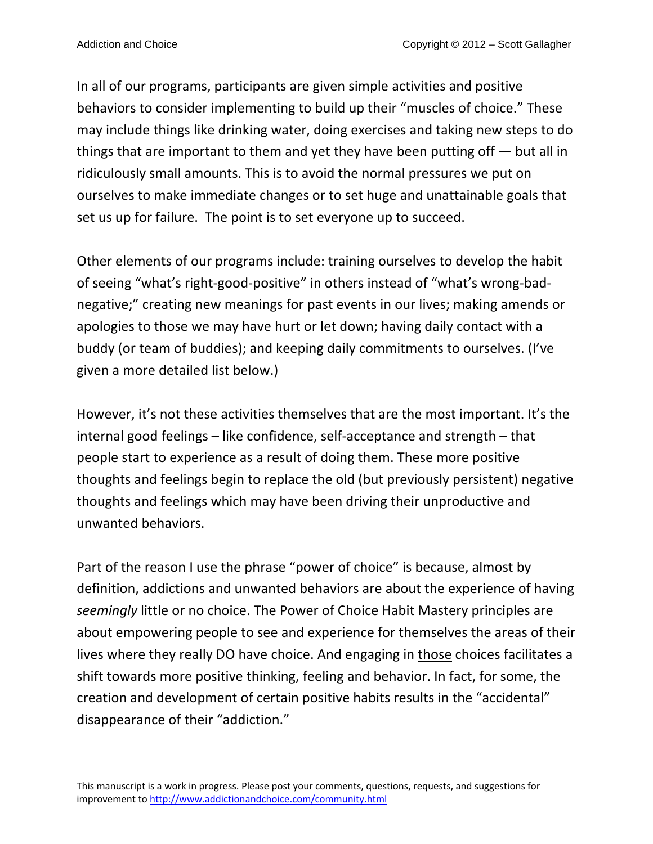In all of our programs, participants are given simple activities and positive behaviors to consider implementing to build up their "muscles of choice." These may include things like drinking water, doing exercises and taking new steps to do things that are important to them and yet they have been putting off — but all in ridiculously small amounts. This is to avoid the normal pressures we put on ourselves to make immediate changes or to set huge and unattainable goals that set us up for failure. The point is to set everyone up to succeed.

Other elements of our programs include: training ourselves to develop the habit of seeing "what's right-good-positive" in others instead of "what's wrong-badnegative;" creating new meanings for past events in our lives; making amends or apologies to those we may have hurt or let down; having daily contact with a buddy (or team of buddies); and keeping daily commitments to ourselves. (I've given a more detailed list below.)

However, it's not these activities themselves that are the most important. It's the internal good feelings – like confidence, self-acceptance and strength – that people start to experience as a result of doing them. These more positive thoughts and feelings begin to replace the old (but previously persistent) negative thoughts and feelings which may have been driving their unproductive and unwanted behaviors.

Part of the reason I use the phrase "power of choice" is because, almost by definition, addictions and unwanted behaviors are about the experience of having *seemingly* little or no choice. The Power of Choice Habit Mastery principles are about empowering people to see and experience for themselves the areas of their lives where they really DO have choice. And engaging in those choices facilitates a shift towards more positive thinking, feeling and behavior. In fact, for some, the creation and development of certain positive habits results in the "accidental" disappearance of their "addiction."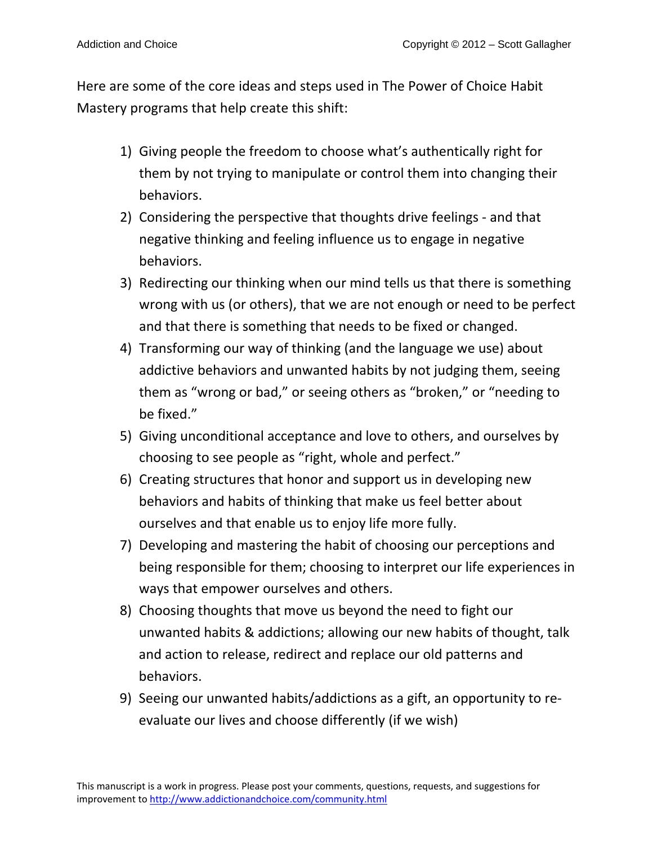Here are some of the core ideas and steps used in The Power of Choice Habit Mastery programs that help create this shift:

- 1) Giving people the freedom to choose what's authentically right for them by not trying to manipulate or control them into changing their behaviors.
- 2) Considering the perspective that thoughts drive feelings and that negative thinking and feeling influence us to engage in negative behaviors.
- 3) Redirecting our thinking when our mind tells us that there is something wrong with us (or others), that we are not enough or need to be perfect and that there is something that needs to be fixed or changed.
- 4) Transforming our way of thinking (and the language we use) about addictive behaviors and unwanted habits by not judging them, seeing them as "wrong or bad," or seeing others as "broken," or "needing to be fixed."
- 5) Giving unconditional acceptance and love to others, and ourselves by choosing to see people as "right, whole and perfect."
- 6) Creating structures that honor and support us in developing new behaviors and habits of thinking that make us feel better about ourselves and that enable us to enjoy life more fully.
- 7) Developing and mastering the habit of choosing our perceptions and being responsible for them; choosing to interpret our life experiences in ways that empower ourselves and others.
- 8) Choosing thoughts that move us beyond the need to fight our unwanted habits & addictions; allowing our new habits of thought, talk and action to release, redirect and replace our old patterns and behaviors.
- 9) Seeing our unwanted habits/addictions as a gift, an opportunity to reevaluate our lives and choose differently (if we wish)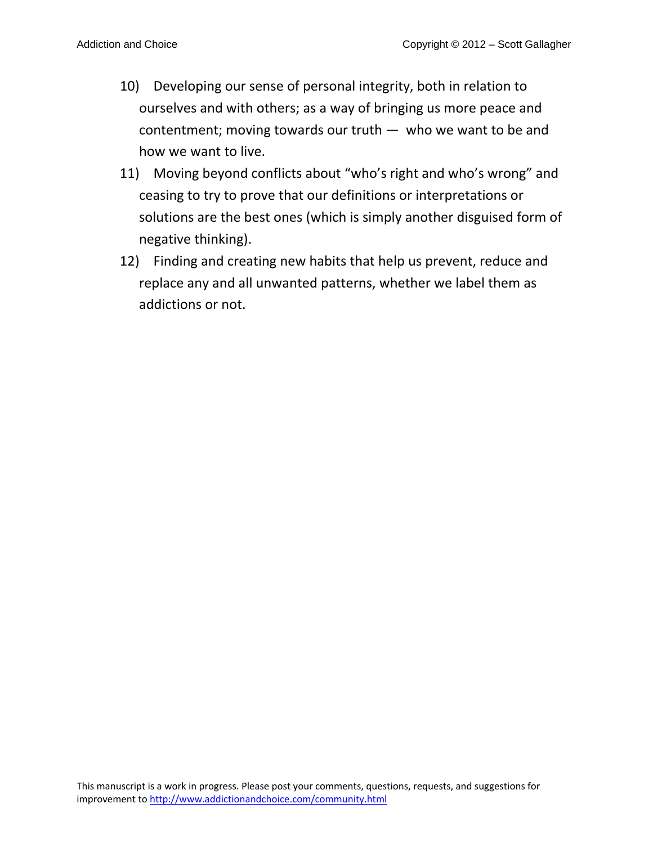- 10) Developing our sense of personal integrity, both in relation to ourselves and with others; as a way of bringing us more peace and contentment; moving towards our truth  $-$  who we want to be and how we want to live.
- 11) Moving beyond conflicts about "who's right and who's wrong" and ceasing to try to prove that our definitions or interpretations or solutions are the best ones (which is simply another disguised form of negative thinking).
- 12) Finding and creating new habits that help us prevent, reduce and replace any and all unwanted patterns, whether we label them as addictions or not.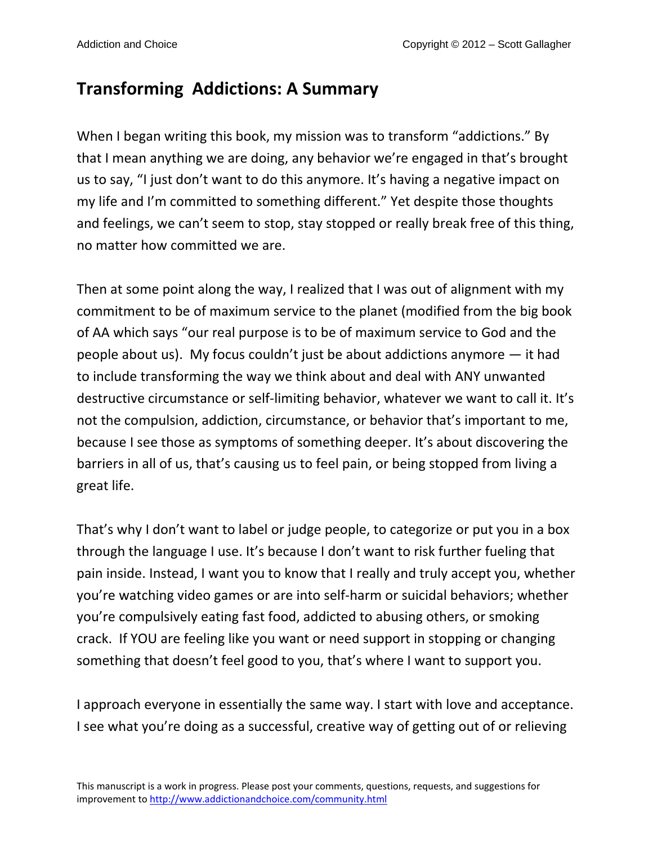# **Transforming Addictions: A Summary**

When I began writing this book, my mission was to transform "addictions." By that I mean anything we are doing, any behavior we're engaged in that's brought us to say, "I just don't want to do this anymore. It's having a negative impact on my life and I'm committed to something different." Yet despite those thoughts and feelings, we can't seem to stop, stay stopped or really break free of this thing, no matter how committed we are.

Then at some point along the way, I realized that I was out of alignment with my commitment to be of maximum service to the planet (modified from the big book of AA which says "our real purpose is to be of maximum service to God and the people about us). My focus couldn't just be about addictions anymore — it had to include transforming the way we think about and deal with ANY unwanted destructive circumstance or self-limiting behavior, whatever we want to call it. It's not the compulsion, addiction, circumstance, or behavior that's important to me, because I see those as symptoms of something deeper. It's about discovering the barriers in all of us, that's causing us to feel pain, or being stopped from living a great life.

That's why I don't want to label or judge people, to categorize or put you in a box through the language I use. It's because I don't want to risk further fueling that pain inside. Instead, I want you to know that I really and truly accept you, whether you're watching video games or are into self-harm or suicidal behaviors; whether you're compulsively eating fast food, addicted to abusing others, or smoking crack. If YOU are feeling like you want or need support in stopping or changing something that doesn't feel good to you, that's where I want to support you.

I approach everyone in essentially the same way. I start with love and acceptance. I see what you're doing as a successful, creative way of getting out of or relieving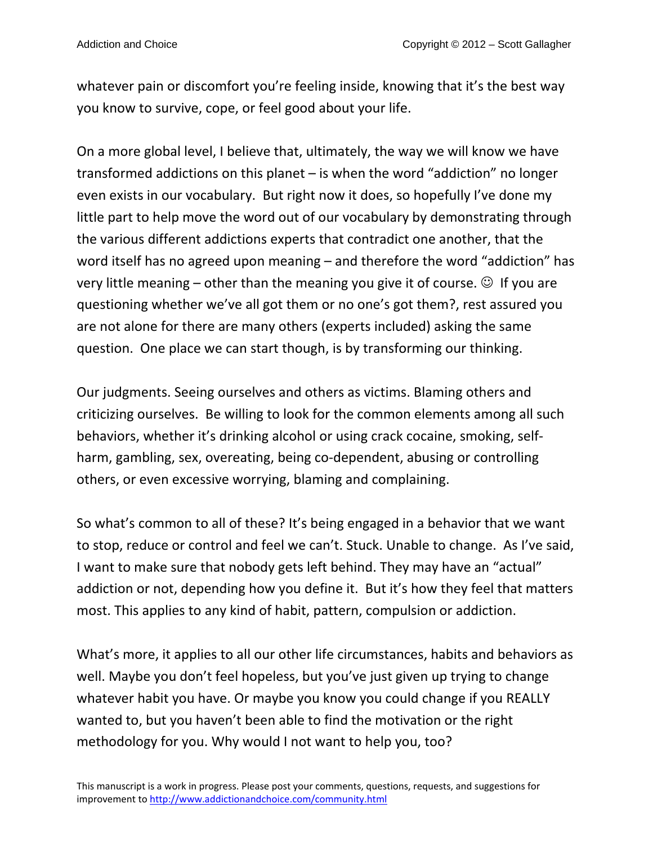whatever pain or discomfort you're feeling inside, knowing that it's the best way you know to survive, cope, or feel good about your life.

On a more global level, I believe that, ultimately, the way we will know we have transformed addictions on this planet – is when the word "addiction" no longer even exists in our vocabulary. But right now it does, so hopefully I've done my little part to help move the word out of our vocabulary by demonstrating through the various different addictions experts that contradict one another, that the word itself has no agreed upon meaning – and therefore the word "addiction" has very little meaning – other than the meaning you give it of course.  $\odot$  If you are questioning whether we've all got them or no one's got them?, rest assured you are not alone for there are many others (experts included) asking the same question. One place we can start though, is by transforming our thinking.

Our judgments. Seeing ourselves and others as victims. Blaming others and criticizing ourselves. Be willing to look for the common elements among all such behaviors, whether it's drinking alcohol or using crack cocaine, smoking, selfharm, gambling, sex, overeating, being co-dependent, abusing or controlling others, or even excessive worrying, blaming and complaining.

So what's common to all of these? It's being engaged in a behavior that we want to stop, reduce or control and feel we can't. Stuck. Unable to change. As I've said, I want to make sure that nobody gets left behind. They may have an "actual" addiction or not, depending how you define it. But it's how they feel that matters most. This applies to any kind of habit, pattern, compulsion or addiction.

What's more, it applies to all our other life circumstances, habits and behaviors as well. Maybe you don't feel hopeless, but you've just given up trying to change whatever habit you have. Or maybe you know you could change if you REALLY wanted to, but you haven't been able to find the motivation or the right methodology for you. Why would I not want to help you, too?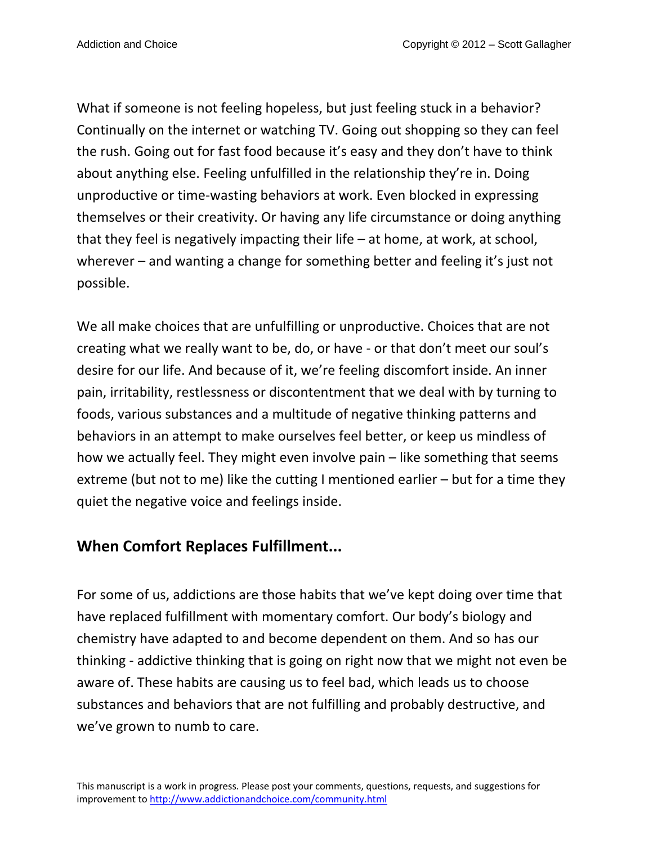What if someone is not feeling hopeless, but just feeling stuck in a behavior? Continually on the internet or watching TV. Going out shopping so they can feel the rush. Going out for fast food because it's easy and they don't have to think about anything else. Feeling unfulfilled in the relationship they're in. Doing unproductive or time-wasting behaviors at work. Even blocked in expressing themselves or their creativity. Or having any life circumstance or doing anything that they feel is negatively impacting their life – at home, at work, at school, wherever – and wanting a change for something better and feeling it's just not possible.

We all make choices that are unfulfilling or unproductive. Choices that are not creating what we really want to be, do, or have - or that don't meet our soul's desire for our life. And because of it, we're feeling discomfort inside. An inner pain, irritability, restlessness or discontentment that we deal with by turning to foods, various substances and a multitude of negative thinking patterns and behaviors in an attempt to make ourselves feel better, or keep us mindless of how we actually feel. They might even involve pain – like something that seems extreme (but not to me) like the cutting I mentioned earlier – but for a time they quiet the negative voice and feelings inside.

## **When Comfort Replaces Fulfillment...**

For some of us, addictions are those habits that we've kept doing over time that have replaced fulfillment with momentary comfort. Our body's biology and chemistry have adapted to and become dependent on them. And so has our thinking - addictive thinking that is going on right now that we might not even be aware of. These habits are causing us to feel bad, which leads us to choose substances and behaviors that are not fulfilling and probably destructive, and we've grown to numb to care.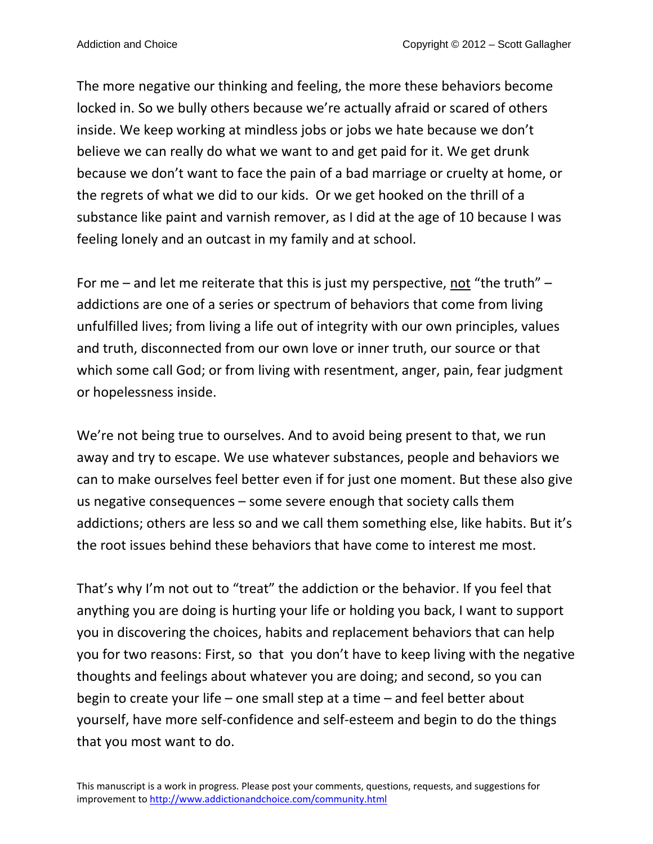The more negative our thinking and feeling, the more these behaviors become locked in. So we bully others because we're actually afraid or scared of others inside. We keep working at mindless jobs or jobs we hate because we don't believe we can really do what we want to and get paid for it. We get drunk because we don't want to face the pain of a bad marriage or cruelty at home, or the regrets of what we did to our kids. Or we get hooked on the thrill of a substance like paint and varnish remover, as I did at the age of 10 because I was feeling lonely and an outcast in my family and at school.

For me – and let me reiterate that this is just my perspective, not "the truth" – addictions are one of a series or spectrum of behaviors that come from living unfulfilled lives; from living a life out of integrity with our own principles, values and truth, disconnected from our own love or inner truth, our source or that which some call God; or from living with resentment, anger, pain, fear judgment or hopelessness inside.

We're not being true to ourselves. And to avoid being present to that, we run away and try to escape. We use whatever substances, people and behaviors we can to make ourselves feel better even if for just one moment. But these also give us negative consequences – some severe enough that society calls them addictions; others are less so and we call them something else, like habits. But it's the root issues behind these behaviors that have come to interest me most.

That's why I'm not out to "treat" the addiction or the behavior. If you feel that anything you are doing is hurting your life or holding you back, I want to support you in discovering the choices, habits and replacement behaviors that can help you for two reasons: First, so that you don't have to keep living with the negative thoughts and feelings about whatever you are doing; and second, so you can begin to create your life – one small step at a time – and feel better about yourself, have more self-confidence and self-esteem and begin to do the things that you most want to do.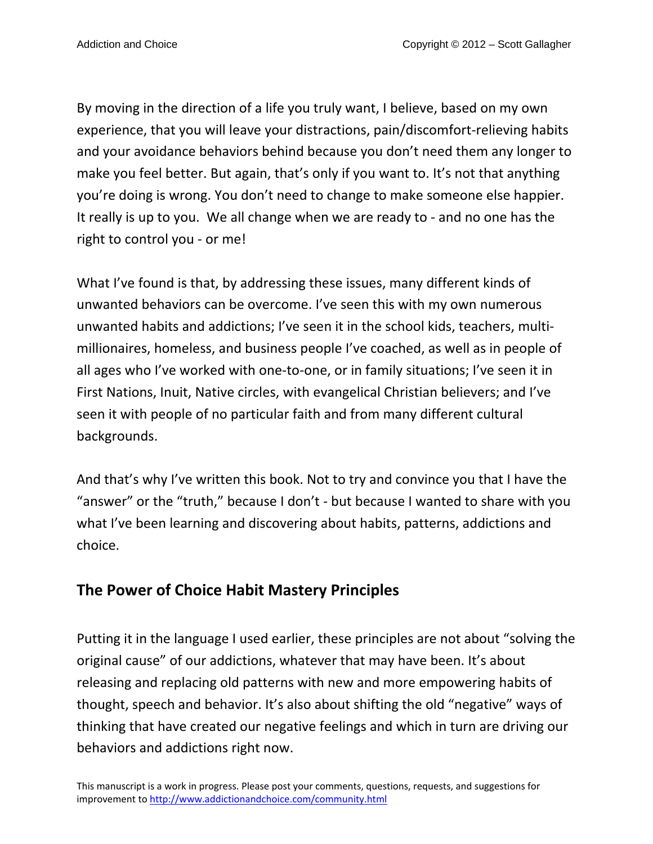By moving in the direction of a life you truly want, I believe, based on my own experience, that you will leave your distractions, pain/discomfort-relieving habits and your avoidance behaviors behind because you don't need them any longer to make you feel better. But again, that's only if you want to. It's not that anything you're doing is wrong. You don't need to change to make someone else happier. It really is up to you. We all change when we are ready to - and no one has the right to control you - or me!

What I've found is that, by addressing these issues, many different kinds of unwanted behaviors can be overcome. I've seen this with my own numerous unwanted habits and addictions; I've seen it in the school kids, teachers, multimillionaires, homeless, and business people I've coached, as well as in people of all ages who I've worked with one-to-one, or in family situations; I've seen it in First Nations, Inuit, Native circles, with evangelical Christian believers; and I've seen it with people of no particular faith and from many different cultural backgrounds.

And that's why I've written this book. Not to try and convince you that I have the "answer" or the "truth," because I don't - but because I wanted to share with you what I've been learning and discovering about habits, patterns, addictions and choice.

## **The Power of Choice Habit Mastery Principles**

Putting it in the language I used earlier, these principles are not about "solving the original cause" of our addictions, whatever that may have been. It's about releasing and replacing old patterns with new and more empowering habits of thought, speech and behavior. It's also about shifting the old "negative" ways of thinking that have created our negative feelings and which in turn are driving our behaviors and addictions right now.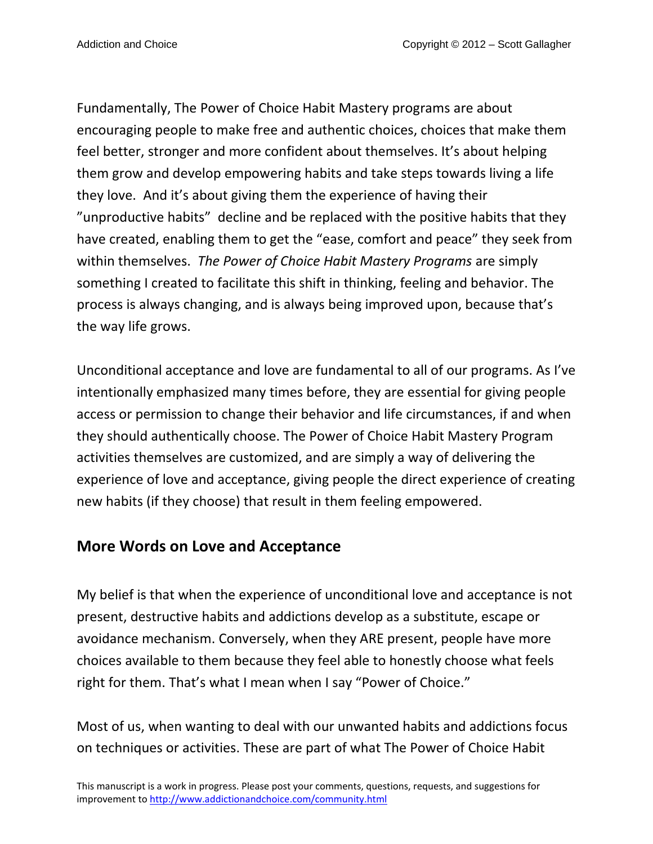Fundamentally, The Power of Choice Habit Mastery programs are about encouraging people to make free and authentic choices, choices that make them feel better, stronger and more confident about themselves. It's about helping them grow and develop empowering habits and take steps towards living a life they love. And it's about giving them the experience of having their "unproductive habits" decline and be replaced with the positive habits that they have created, enabling them to get the "ease, comfort and peace" they seek from within themselves. *The Power of Choice Habit Mastery Programs* are simply something I created to facilitate this shift in thinking, feeling and behavior. The process is always changing, and is always being improved upon, because that's the way life grows.

Unconditional acceptance and love are fundamental to all of our programs. As I've intentionally emphasized many times before, they are essential for giving people access or permission to change their behavior and life circumstances, if and when they should authentically choose. The Power of Choice Habit Mastery Program activities themselves are customized, and are simply a way of delivering the experience of love and acceptance, giving people the direct experience of creating new habits (if they choose) that result in them feeling empowered.

### **More Words on Love and Acceptance**

My belief is that when the experience of unconditional love and acceptance is not present, destructive habits and addictions develop as a substitute, escape or avoidance mechanism. Conversely, when they ARE present, people have more choices available to them because they feel able to honestly choose what feels right for them. That's what I mean when I say "Power of Choice."

Most of us, when wanting to deal with our unwanted habits and addictions focus on techniques or activities. These are part of what The Power of Choice Habit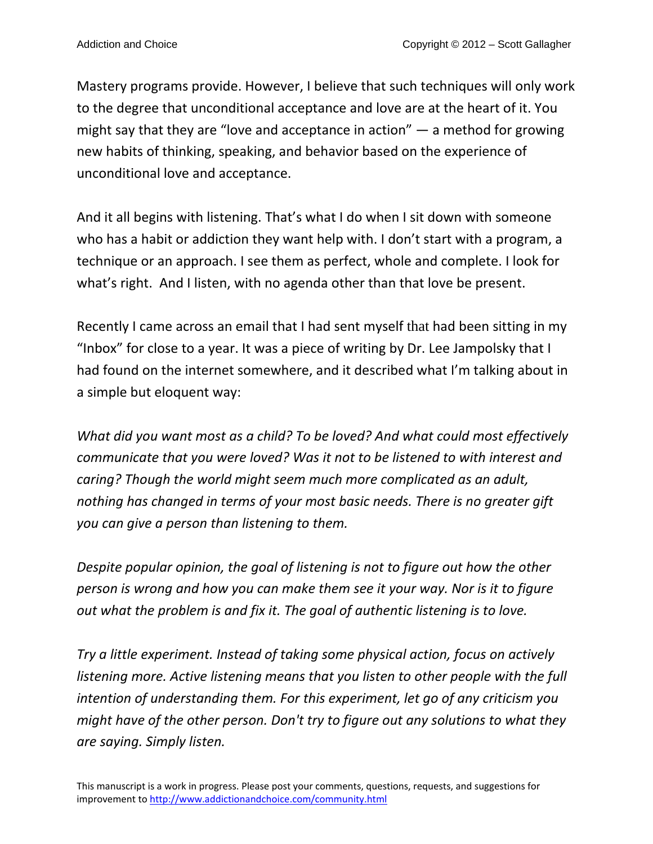Mastery programs provide. However, I believe that such techniques will only work to the degree that unconditional acceptance and love are at the heart of it. You might say that they are "love and acceptance in action" — a method for growing new habits of thinking, speaking, and behavior based on the experience of unconditional love and acceptance.

And it all begins with listening. That's what I do when I sit down with someone who has a habit or addiction they want help with. I don't start with a program, a technique or an approach. I see them as perfect, whole and complete. I look for what's right. And I listen, with no agenda other than that love be present.

Recently I came across an email that I had sent myself that had been sitting in my "Inbox" for close to a year. It was a piece of writing by Dr. Lee Jampolsky that I had found on the internet somewhere, and it described what I'm talking about in a simple but eloquent way:

*What did you want most as a child? To be loved? And what could most effectively communicate that you were loved? Was it not to be listened to with interest and caring? Though the world might seem much more complicated as an adult, nothing has changed in terms of your most basic needs. There is no greater gift you can give a person than listening to them.*

*Despite popular opinion, the goal of listening is not to figure out how the other person is wrong and how you can make them see it your way. Nor is it to figure out what the problem is and fix it. The goal of authentic listening is to love.*

*Try a little experiment. Instead of taking some physical action, focus on actively listening more. Active listening means that you listen to other people with the full intention of understanding them. For this experiment, let go of any criticism you might have of the other person. Don't try to figure out any solutions to what they are saying. Simply listen.*